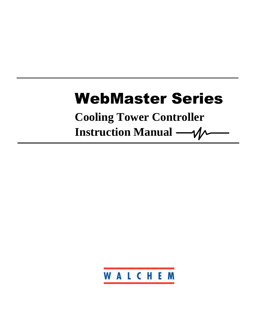# WebMaster Series

**Cooling Tower Controller Instruction Manual** -  $\mathcal{N}$ 

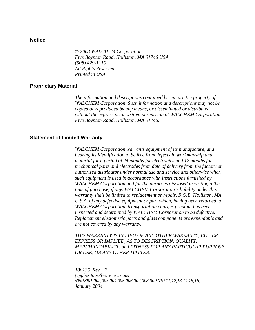## **Notice**

*© 2003 WALCHEM Corporation Five Boynton Road, Holliston, MA 01746 USA (508) 429-1110 All Rights Reserved Printed in USA*

#### **Proprietary Material**

*The information and descriptions contained herein are the property of WALCHEM Corporation. Such information and descriptions may not be copied or reproduced by any means, or disseminated or distributed without the express prior written permission of WALCHEM Corporation, Five Boynton Road, Holliston, MA 01746.* 

#### **Statement of Limited Warranty**

*WALCHEM Corporation warrants equipment of its manufacture, and bearing its identification to be free from defects in workmanship and material for a period of 24 months for electronics and 12 months for mechanical parts and electrodes from date of delivery from the factory or authorized distributor under normal use and service and otherwise when such equipment is used in accordance with instructions furnished by WALCHEM Corporation and for the purposes disclosed in writing a the time of purchase, if any. WALCHEM Corporation's liability under this warranty shall be limited to replacement or repair, F.O.B. Holliston, MA U.S.A. of any defective equipment or part which, having been returned to WALCHEM Corporation, transportation charges prepaid, has been inspected and determined by WALCHEM Corporation to be defective. Replacement elastomeric parts and glass components are expendable and are not covered by any warranty.* 

*THIS WARRANTY IS IN LIEU OF ANY OTHER WARRANTY, EITHER EXPRESS OR IMPLIED, AS TO DESCRIPTION, QUALITY, MERCHANTABILITY, and FITNESS FOR ANY PARTICULAR PURPOSE OR USE, OR ANY OTHER MATTER.*

*180135 Rev H2 (applies to software revisions s050v001,002,003,004,005,006,007,008,009.010,11,12,13,14,15,16) January 2004*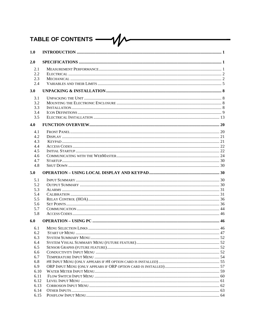### TABLE OF CONTENTS - $- \mathcal{W}$

| 1.0          |  |
|--------------|--|
| 2.0          |  |
| 2.1          |  |
| 2.2          |  |
| 2.3          |  |
| 2.4          |  |
| 3.0          |  |
| 3.1          |  |
| 3.2          |  |
| 3.3          |  |
| 3.4          |  |
| 3.5          |  |
| 4.0          |  |
| 4.1          |  |
| 4.2          |  |
| 4.3          |  |
| 4.4          |  |
| 4.5          |  |
| 4.6          |  |
| 4.7          |  |
| 4.8          |  |
| 5.0          |  |
| 5.1          |  |
| 5.2          |  |
| 5.3          |  |
| 5.4          |  |
| 5.5          |  |
| 5.6          |  |
| 5.7          |  |
| 5.8          |  |
| 6.0          |  |
| 6.1          |  |
| 6.2          |  |
| 6.3          |  |
| 6.4          |  |
| 6.5          |  |
| 6.6          |  |
| 6.7          |  |
| 6.8          |  |
| 6.9          |  |
| 6.10         |  |
| 6.11         |  |
| 6.12         |  |
| 6.13         |  |
| 6.14<br>6.15 |  |
|              |  |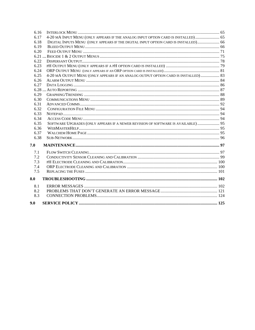| 6.16 |                                                                                     |  |
|------|-------------------------------------------------------------------------------------|--|
| 6.17 | 4-20 MA INPUT MENU (ONLY APPEARS IF THE ANALOG INPUT OPTION CARD IS INSTALLED)  65  |  |
| 6.18 | DIGITAL INPUTS MENU (ONLY APPEARS IF THE DIGITAL INPUT OPTION CARD IS INSTALLED) 66 |  |
| 6.19 |                                                                                     |  |
| 6.20 |                                                                                     |  |
|      |                                                                                     |  |
| 6.22 |                                                                                     |  |
| 6.23 |                                                                                     |  |
| 6.24 |                                                                                     |  |
| 6.25 | 4-20 MA OUTPUT MENU (ONLY APPEARS IF AN ANALOG OUTPUT OPTION CARD IS INSTALLED)  83 |  |
| 6.26 |                                                                                     |  |
| 6.27 |                                                                                     |  |
|      |                                                                                     |  |
| 6.29 |                                                                                     |  |
| 6.30 |                                                                                     |  |
| 6.31 |                                                                                     |  |
| 6.32 |                                                                                     |  |
| 6.33 |                                                                                     |  |
| 6.34 |                                                                                     |  |
| 6.35 | SOFTWARE UPGRADES (ONLY APPEARS IF A NEWER REVISION OF SOFTWARE IS AVAILABLE) 95    |  |
| 6.36 |                                                                                     |  |
| 6.37 |                                                                                     |  |
| 6.38 |                                                                                     |  |
| 7.0  |                                                                                     |  |
| 7.1  |                                                                                     |  |
| 7.2  |                                                                                     |  |
| 7.3  |                                                                                     |  |
| 7.4  |                                                                                     |  |
| 7.5  |                                                                                     |  |
| 8.0  |                                                                                     |  |
| 8.1  |                                                                                     |  |
| 8.2  |                                                                                     |  |
| 8.3  |                                                                                     |  |
| 9.0  |                                                                                     |  |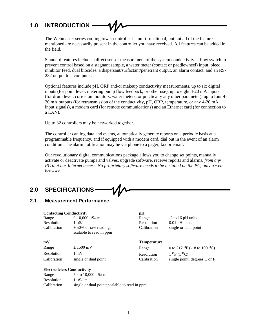# **1.0 INTRODUCTION**

The Webmaster series cooling tower controller is multi-functional, but not all of the features mentioned are necessarily present in the controller you have received. All features can be added in the field.

Standard features include a direct sensor measurement of the system conductivity, a flow switch to prevent control based on a stagnant sample, a water meter (contact or paddlewheel) input, bleed, inhibitor feed, dual biocides, a dispersant/surfactant/penetrant output, an alarm contact, and an RS-232 output to a computer.

Optional features include pH, ORP and/or makeup conductivity measurements, up to six digital inputs (for point level, metering pump flow feedback, or other use), up to eight 4-20 mA inputs (for drum level, corrosion monitors, water meters, or practically any other parameter), up to four 4- 20 mA outputs (for retransmission of the conductivity, pH, ORP, temperature, or any 4-20 mA input signals), a modem card (for remote communications) and an Ethernet card (for connection to a LAN).

Up to 32 controllers may be networked together.

The controller can log data and events, automatically generate reports on a periodic basis at a programmable frequency, and if equipped with a modem card, dial out in the event of an alarm condition. The alarm notification may be via phone to a pager, fax or email.

Our revolutionary digital communications package allows you to change set points, manually activate or deactivate pumps and valves, upgrade software, receive reports and alarms, *from any PC that has Internet access. No proprietary software needs to be installed on the PC, only a web browser.*

# **2.0 SPECIFICATIONS**

# **2.1 Measurement Performance**

| <b>Contacting Conductivity</b>          |                                                      | pH                 |                                                     |  |
|-----------------------------------------|------------------------------------------------------|--------------------|-----------------------------------------------------|--|
| Range                                   | $0-10,000 \mu S/cm$                                  | Range              | $-2$ to 16 pH units                                 |  |
| Resolution                              | $1 \mu S/cm$                                         | Resolution         | $0.01$ pH units                                     |  |
| Calibration                             | $\pm$ 50% of raw reading;<br>scalable to read in ppm | Calibration        | single or dual point                                |  |
| mV                                      |                                                      | <b>Temperature</b> |                                                     |  |
| Range                                   | $\pm 1500$ mV                                        | Range              | 0 to 212 <sup>O</sup> F (-18 to 100 <sup>O</sup> C) |  |
| Resolution                              | $1 \text{ mV}$                                       | Resolution         | $1^{0}F(1^{0}C)$                                    |  |
| Calibration                             | single or dual point                                 | Calibration        | single point; degrees $C$ or $F$                    |  |
| <b>TI</b> . <b>II</b> $\alpha$ <b>I</b> |                                                      |                    |                                                     |  |

#### **Electrodeless Conductivity**

| Range       | 50 to 10,000 $\mu$ S/cm                       |
|-------------|-----------------------------------------------|
| Resolution  | $1 \mu S/cm$                                  |
| Calibration | single or dual point; scalable to read in ppm |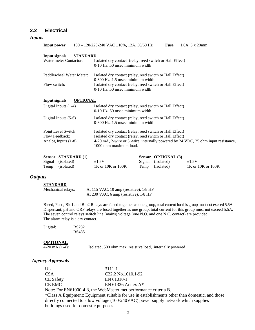# **2.2 Electrical**

#### *Inputs*

| Input power                                                                                                                                                                                                                                                                                          | $100 - 120/220 - 240$ VAC $\pm 10$ %, 12A, 50/60 Hz                                                                                                                                        | <b>Fuse</b>                       | 1.6A, 5 x 20mm |
|------------------------------------------------------------------------------------------------------------------------------------------------------------------------------------------------------------------------------------------------------------------------------------------------------|--------------------------------------------------------------------------------------------------------------------------------------------------------------------------------------------|-----------------------------------|----------------|
| <b>Input signals</b><br><b>STANDARD</b><br>Water meter Contactor:                                                                                                                                                                                                                                    | Isolated dry contact (relay, reed switch or Hall Effect)<br>0-10 Hz, 50 msec minimum width                                                                                                 |                                   |                |
| Paddlewheel Water Meter:<br>Flow switch:                                                                                                                                                                                                                                                             | Isolated dry contact (relay, reed switch or Hall Effect)<br>0-300 Hz, 1.5 msec minimum width<br>Isolated dry contact (relay, reed switch or Hall Effect)<br>0-10 Hz, 50 msec minimum width |                                   |                |
| <b>Input signals</b><br><b>OPTIONAL</b><br>Digital Inputs $(1-4)$                                                                                                                                                                                                                                    | Isolated dry contact (relay, reed switch or Hall Effect)                                                                                                                                   |                                   |                |
| Digital Inputs $(5-6)$                                                                                                                                                                                                                                                                               | 0-10 Hz, 50 msec minimum width<br>Isolated dry contact (relay, reed switch or Hall Effect)<br>0-300 Hz, 1.5 msec minimum width                                                             |                                   |                |
| Point Level Switch:<br>Isolated dry contact (relay, reed switch or Hall Effect)<br>Isolated dry contact (relay, reed switch or Hall Effect)<br>Flow Feedback:<br>4-20 mA, 2-wire or 3 -wire, internally powered by 24 VDC, 25 ohm input resistance,<br>Analog Inputs (1-8)<br>1000 ohm maximum load. |                                                                                                                                                                                            |                                   |                |
| <b>STANDARD</b> (1)<br><b>Sensor</b><br>Signal<br>(isolated)                                                                                                                                                                                                                                         | <b>Sensor</b><br>$\pm 1.5V$<br>Signal                                                                                                                                                      | <b>OPTIONAL</b> (3)<br>(isolated) | $+1.5V$        |

| <b>SCHSOL STAINDAND (1)</b> |                         | $OCHSUI$ OF HUIVAL (3) |                   |
|-----------------------------|-------------------------|------------------------|-------------------|
| Signal (isolated)           | $\pm 1.5V$              | Signal (isolated)      | $+1.5V$           |
| Temp (isolated)             | $1K$ or $10K$ or $100K$ | Temp (isolated)        | 1K or 10K or 100K |

# *Outputs*

#### **STANDARD**

Mechanical relays: At 115 VAC, 10 amp (resistive), 1/8 HP At 230 VAC, 6 amp (resistive), 1/8 HP

Bleed, Feed, Bio1 and Bio2 Relays are fused together as one group, total current for this group must not exceed 5.5A Dispersant, pH and ORP relays are fused together as one group, total current for this group must not exceed 5.5A. The seven control relays switch line (mains) voltage (one N.O. and one N.C. contact) are provided. The alarm relay is a dry contact.

| Digital: | RS232 |
|----------|-------|
|          | RS485 |

# **OPTIONAL**<br>4-20 mA (1-4):

Isolated, 500 ohm max. resistive load, internally powered

### *Agency Approvals*

| UL                                                                                              | $3111 - 1$                       |  |
|-------------------------------------------------------------------------------------------------|----------------------------------|--|
| CSA                                                                                             | C <sub>22</sub> , 2 No.1010.1-92 |  |
| <b>CE Safety</b>                                                                                | EN 61010-1                       |  |
| CE EMC-                                                                                         | EN 61326 Annex $A^*$             |  |
| Note: For EN61000-4-3, the WebMaster met performance criteria B.                                |                                  |  |
| *Class A Equipment: Equipment suitable for use in establishments other than domestic, and those |                                  |  |
| directly connected to a low voltage (100-240VAC) power supply network which supplies            |                                  |  |
| buildings used for domestic purposes.                                                           |                                  |  |
|                                                                                                 |                                  |  |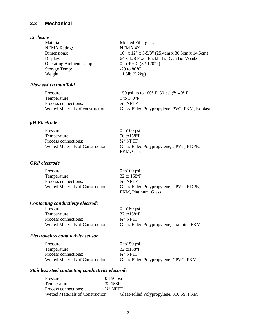# **2.3 Mechanical**

## *Enclosure*

| Material:                      | <b>Molded Fiberglass</b>                            |
|--------------------------------|-----------------------------------------------------|
| <b>NEMA Rating:</b>            | NEMA 4X                                             |
| Dimensions:                    | $10''$ x $12''$ x 5-5/8" (25.4cm x 30.5cm x 14.5cm) |
| Display:                       | 64 x 128 Pixel Backlit LCD Graphics Module          |
| <b>Operating Ambient Temp:</b> | 0 to 49 $\degree$ C (32-120 $\degree$ F)            |
| <b>Storage Temp:</b>           | $-29$ to $80^{\circ}$ C                             |
| Weight                         | $11.5$ lb $(5.2kg)$                                 |

# *Flow switch manifold*

| Pressure:                         | 150 psi up to $100^{\circ}$ F, 50 psi @ $140^{\circ}$ F |
|-----------------------------------|---------------------------------------------------------|
| Temperature:                      | 0 to $140^{\circ}$ F                                    |
| Process connections:              | $3/4$ " NPTF                                            |
| Wetted Materials of construction: | Glass-Filled Polypropylene, PVC, FKM, Isoplast          |

# *pH Electrode*

| Pressure:                         | $0$ to $100$ psi                        |
|-----------------------------------|-----------------------------------------|
| Temperature:                      | 50 to $158^{\circ}$ F                   |
| Process connections:              | $3/4$ " NPTF                            |
| Wetted Materials of Construction: | Glass-Filled Polypropylene, CPVC, HDPE, |
|                                   | FKM, Glass                              |

# *ORP electrode*

| Pressure:                         | $0$ to $100$ psi                                                |
|-----------------------------------|-----------------------------------------------------------------|
| Temperature:                      | 32 to $158^{\circ}$ F                                           |
| Process connections:              | $3/2$ " NPTF                                                    |
| Wetted Materials of Construction: | Glass-Filled Polypropylene, CPVC, HDPE,<br>FKM, Platinum, Glass |

# *Contacting conductivity electrode*

| Pressure:                                | $0$ to 150 psi                            |
|------------------------------------------|-------------------------------------------|
| Temperature:                             | 32 to $158^{\circ}$ F                     |
| Process connections:                     | $3/4$ " NPTF                              |
| <b>Wetted Materials of Construction:</b> | Glass-Filled Polypropylene, Graphite, FKM |

# *Electrodeless conductivity sensor*

| Pressure:                                | $0$ to 150 psi                        |
|------------------------------------------|---------------------------------------|
| Temperature:                             | 32 to $158^{\circ}$ F                 |
| Process connections:                     | $3/4$ " NPTF                          |
| <b>Wetted Materials of Construction:</b> | Glass-Filled Polypropylene, CPVC, FKM |

# *Stainless steel contacting conductivity electrode*

| Pressure:                         | $0-150$ psi                             |
|-----------------------------------|-----------------------------------------|
| Temperature:                      | 32-158F                                 |
| Process connections:              | $3/2$ " NPTF                            |
| Wetted Materials of Construction: | Glass-Filled Polypropylene, 316 SS, FKM |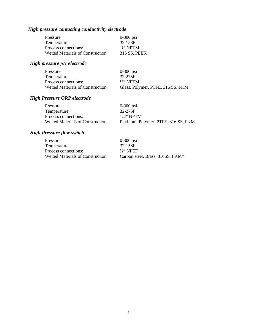# *High pressure contacting conductivity electrode*

| Pressure:                                | $0-300$ psi  |
|------------------------------------------|--------------|
| Temperature:                             | 32-158F      |
| Process connections:                     | $3/4$ " NPTM |
| <b>Wetted Materials of Construction:</b> | 316 SS, PEEK |

# *High pressure pH electrode*

| Pressure:                         | $0-300$ psi                       |
|-----------------------------------|-----------------------------------|
| Temperature:                      | 32-275F                           |
| Process connections:              | $\frac{1}{2}$ " NPTM              |
| Wetted Materials of Construction: | Glass, Polymer, PTFE, 316 SS, FKM |

# *High Pressure ORP electrode*

| Pressure:                         | $0-300$ psi                          |
|-----------------------------------|--------------------------------------|
| Temperature:                      | 32-275F                              |
| Process connections:              | $1/2$ " NPTM                         |
| Wetted Materials of Construction: | Platinum, Polymer, PTFE, 316 SS, FKM |

# *High Pressure flow switch*

| Pressure:                                | $0-300$ psi                      |
|------------------------------------------|----------------------------------|
| Temperature:                             | 32-158F                          |
| Process connections:                     | $3/2$ " NPTF                     |
| <b>Wetted Materials of Construction:</b> | Carbon steel, Brass, 316SS, FKM" |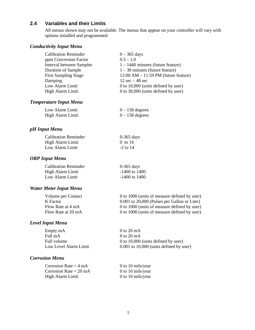# **2.4 Variables and their Limits**

All menus shown may not be available. The menus that appear on your controller will vary with options installed and programmed.

## *Conductivity Input Menu*

| $0 - 365$ days                           |
|------------------------------------------|
| $0.5 - 1.0$                              |
| $1 - 1440$ minutes (future feature)      |
| $1 - 30$ minutes (future feature)        |
| $12:00$ AM $- 11:59$ PM (future feature) |
| $12 \text{ sec} - 48 \text{ sec}$        |
| 0 to 10,000 (units defined by user)      |
| 0 to 30,000 (units defined by user)      |
|                                          |

# *Temperature Input Menu*

| Low Alarm Limit  | $0 - 158$ degrees |
|------------------|-------------------|
| High Alarm Limit | $0 - 158$ degrees |

# *pH Input Menu*

| <b>Calibration Reminder</b> | $0-365$ days |
|-----------------------------|--------------|
| High Alarm Limit            | $0$ to 16    |
| Low Alarm Limit             | $-2$ to 14   |

# *ORP Input Menu*

Calibration Reminder 0-365 days<br>High Alarm Limit 1400 to 1400 High Alarm Limit Low Alarm Limit -1400 to 1400

# *Water Meter Input Menu*

| Volume per Contact | 0 to 1000 (units of measure defined by user) |
|--------------------|----------------------------------------------|
| K Factor           | 0.001 to 20,000 (Pulses per Gallon or Liter) |
| Flow Rate at 4 mA  | 0 to 1000 (units of measure defined by user) |
| Flow Rate at 20 mA | 0 to 1000 (units of measure defined by user) |
|                    |                                              |

#### *Level Input Menu*

| Empty mA              | 0 to 20 mA                                  |
|-----------------------|---------------------------------------------|
| Full mA               | 0 to 20 mA                                  |
| Full volume           | 0 to 10,000 (units defined by user)         |
| Low Level Alarm Limit | $0.001$ to $10,000$ (units defined by user) |

# *Corrosion Menu*

Corrosion Rate =  $4 \text{ mA}$  0 to 10 mils/year<br>Corrosion Rate =  $20 \text{ mA}$  0 to 10 mils/year Corrosion Rate  $= 20$  mA High Alarm Limit 0 to 10 mils/year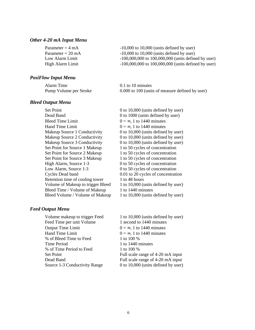#### *Other 4-20 mA Input Menu*

| Parameter = $4 \text{ mA}$  | $-10,000$ to $10,000$ (units defined by user)           |
|-----------------------------|---------------------------------------------------------|
| Parameter = $20 \text{ mA}$ | $-10,000$ to 10,000 (units defined by user)             |
| Low Alarm Limit             | $-100,000,000$ to $100,000,000$ (units defined by user) |
| High Alarm Limit            | $-100,000,000$ to $100,000,000$ (units defined by user) |

## *PosiFlow Input Menu*

| Alarm Time             | 0.1 to 10 minutes                               |
|------------------------|-------------------------------------------------|
| Pump Volume per Stroke | 0.000 to 100 (units of measure defined by user) |

#### *Bleed Output Menu*

Set Point 0 to 10,000 (units defined by user) Dead Band 0 to 1000 (units defined by user) Bleed Time Limit  $0 = \infty$ , 1 to 1440 minutes Hand Time Limit  $0 = \infty$ , 1 to 1440 minutes Makeup Source 1 Conductivity 0 to 10,000 (units defined by user) Makeup Source 2 Conductivity 0 to 10,000 (units defined by user) Makeup Source 3 Conductivity 0 to 10,000 (units defined by user) Set Point for Source 1 Makeup 1 to 50 cycles of concentration Set Point for Source 2 Makeup 1 to 50 cycles of concentration Set Point for Source 3 Makeup 1 to 50 cycles of concentration High Alarm, Source 1-3 0 to 50 cycles of concentration Low Alarm, Source 1-3 0 to 50 cycles of concentration Cycles Dead band 0.01 to 20 cycles of concentration Retention time of cooling tower 1 to 48 hours Volume of Makeup to trigger Bleed  $1$  to 10,000 (units defined by user) Bleed Time / Volume of Makeup 1 to 1440 minutes Bleed Volume / Volume of Makeup  $1$  to 10,000 (units defined by user)

#### *Feed Output Menu*

Volume makeup to trigger Feed 1 to 10,000 (units defined by user) Feed Time per unit Volume 1 second to 1440 minutes Output Time Limit  $0 = \infty$ , 1 to 1440 minutes Hand Time Limit  $0 = \infty$ , 1 to 1440 minutes % of Bleed Time to Feed 1 to 100 % Time Period 1 to 1440 minutes % of Time Period to Feed 1 to 100 %

Set Point Full scale range of 4-20 mA input Dead Band Full scale range of 4-20 mA input Source 1-3 Conductivity Range 0 to 10,000 (units defined by user)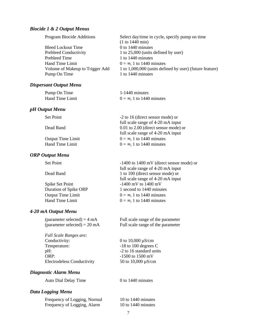#### *Biocide 1 & 2 Output Menus*

| Program Biocide Additions       | Select day/time in cycle, specify pump on time          |
|---------------------------------|---------------------------------------------------------|
|                                 | (1 to 1440 min)                                         |
| <b>Bleed Lockout Time</b>       | $0$ to 1440 minutes                                     |
| <b>Prebleed Conductivity</b>    | 1 to 25,000 (units defined by user)                     |
| Prebleed Time                   | 1 to 1440 minutes                                       |
| Hand Time Limit                 | $0 = \infty$ , 1 to 1440 minutes                        |
| Volume of Makeup to Trigger Add | 1 to 1,000,000 (units defined by user) (future feature) |
| Pump On Time                    | 1 to 1440 minutes                                       |
|                                 |                                                         |

#### *Dispersant Output Menu*

| Pump On Time    | 1-1440 minutes                   |
|-----------------|----------------------------------|
| Hand Time Limit | $0 = \infty$ , 1 to 1440 minutes |

#### *pH Output Menu*

| Output Time Limit |  |
|-------------------|--|
| Hand Time Limit   |  |

#### *ORP Output Menu*

| Spike Set Point          |  |
|--------------------------|--|
| Duration of Spike ORP    |  |
| <b>Output Time Limit</b> |  |
| <b>Hand Time Limit</b>   |  |

#### *4-20 mA Output Menu*

*Full Scale Ranges are:* Conductivity:  $0 \text{ to } 10,000 \text{ }\mu\text{S/cm}$ Temperature:  $-18$  to 100 degrees C pH:  $-2$  to 16 standard units ORP: -1500 to 1500 mV Electrodeless Conductivity 50 to 10,000  $\mu$ S/cm

#### *Diagnostic Alarm Menu*

Auto Dial Delay Time 0 to 1440 minutes

#### *Data Logging Menu*

Frequency of Logging, Normal 10 to 1440 minutes Frequency of Logging, Alarm 10 to 1440 minutes

Set Point -2 to 16 (direct sensor mode) or full scale range of 4-20 mA input Dead Band 0.01 to 2.00 (direct sensor mode) or full scale range of 4-20 mA input  $0 = \infty$ , 1 to 1440 minutes  $0 = \infty$ , 1 to 1440 minutes

Set Point -1400 to 1400 mV (direct sensor mode) or full scale range of 4-20 mA input Dead Band 1 to 100 (direct sensor mode) or full scale range of 4-20 mA input  $-1400$  mV to  $1400$  mV 1 second to 1440 minutes  $0 = \infty$ , 1 to 1440 minutes  $0 = \infty$ , 1 to 1440 minutes

 $\text{(parameter selected)} = 4 \text{ mA}$  Full scale range of the parameter  $(parameter selected) = 20 mA$  Full scale range of the parameter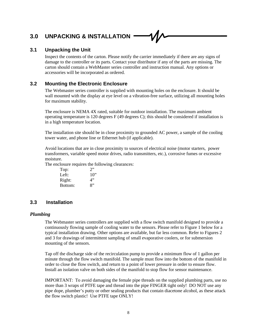# **3.0 UNPACKING & INSTALLATION**

# **3.1 Unpacking the Unit**

Inspect the contents of the carton. Please notify the carrier immediately if there are any signs of damage to the controller or its parts. Contact your distributor if any of the parts are missing. The carton should contain a WebMaster series controller and instruction manual. Any options or accessories will be incorporated as ordered.

# **3.2 Mounting the Electronic Enclosure**

The Webmaster series controller is supplied with mounting holes on the enclosure. It should be wall mounted with the display at eye level on a vibration-free surface, utilizing all mounting holes for maximum stability.

The enclosure is NEMA 4X rated, suitable for outdoor installation. The maximum ambient operating temperature is 120 degrees F (49 degrees C); this should be considered if installation is in a high temperature location.

The installation site should be in close proximity to grounded AC power, a sample of the cooling tower water, and phone line or Ethernet hub (if applicable).

Avoid locations that are in close proximity to sources of electrical noise (motor starters, power transformers, variable speed motor drives, radio transmitters, etc.), corrosive fumes or excessive moisture.

The enclosure requires the following clearances:

| Top:    | 2      |
|---------|--------|
| Left:   | $10$ " |
| Right:  | 4"     |
| Bottom: | 8"     |

# **3.3 Installation**

# *Plumbing*

The Webmaster series controllers are supplied with a flow switch manifold designed to provide a continuously flowing sample of cooling water to the sensors. Please refer to Figure 1 below for a typical installation drawing. Other options are available, but far less common. Refer to Figures 2 and 3 for drawings of intermittent sampling of small evaporative coolers, or for submersion mounting of the sensors.

Tap off the discharge side of the recirculation pump to provide a minimum flow of 1 gallon per minute through the flow switch manifold. The sample must flow into the bottom of the manifold in order to close the flow switch, and return to a point of lower pressure in order to ensure flow. Install an isolation valve on both sides of the manifold to stop flow for sensor maintenance.

IMPORTANT: To avoid damaging the female pipe threads on the supplied plumbing parts, use no more than 3 wraps of PTFE tape and thread into the pipe FINGER tight only! DO NOT use any pipe dope, plumber's putty or other sealing products that contain diacetone alcohol, as these attack the flow switch plastic! Use PTFE tape ONLY!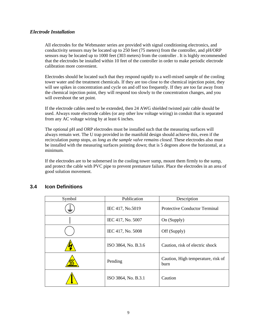# *Electrode Installation*

All electrodes for the Webmaster series are provided with signal conditioning electronics, and conductivity sensors may be located up to 250 feet (75 meters) from the controller, and pH/ORP sensors may be located up to 1000 feet (303 meters) from the controller . It is highly recommended that the electrodes be installed within 10 feet of the controller in order to make periodic electrode calibration more convenient.

Electrodes should be located such that they respond rapidly to a well-mixed sample of the cooling tower water and the treatment chemicals. If they are too close to the chemical injection point, they will see spikes in concentration and cycle on and off too frequently. If they are too far away from the chemical injection point, they will respond too slowly to the concentration changes, and you will overshoot the set point.

If the electrode cables need to be extended, then 24 AWG shielded twisted pair cable should be used. Always route electrode cables (or any other low voltage wiring) in conduit that is separated from any AC voltage wiring by at least 6 inches.

The optional pH and ORP electrodes must be installed such that the measuring surfaces will always remain wet. The U trap provided in the manifold design should achieve this, even if the recirculation pump stops, *as long as the sample valve remains closed*. These electrodes also must be installed with the measuring surfaces pointing down; that is 5 degrees above the horizontal, at a minimum.

If the electrodes are to be submersed in the cooling tower sump, mount them firmly to the sump, and protect the cable with PVC pipe to prevent premature failure. Place the electrodes in an area of good solution movement.

| Symbol | Publication         | Description                                |
|--------|---------------------|--------------------------------------------|
| 壹      | IEC 417, No.5019    | <b>Protective Conductor Terminal</b>       |
|        | IEC 417, No. 5007   | On (Supply)                                |
|        | IEC 417, No. 5008   | Off (Supply)                               |
|        | ISO 3864, No. B.3.6 | Caution, risk of electric shock            |
|        | Pending             | Caution, High temperature, risk of<br>burn |
|        | ISO 3864, No. B.3.1 | Caution                                    |

# **3.4 Icon Definitions**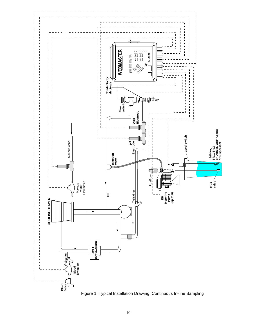

10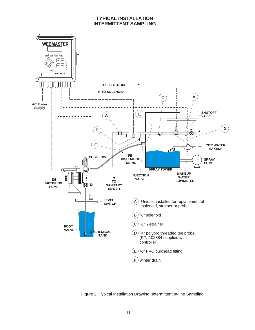## **TYPICAL INSTALLATION INTERMITTENT SAMPLING**



Figure 2: Typical Installation Drawing, Intermittent In-line Sampling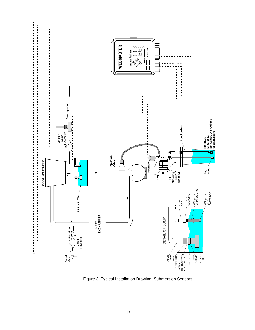

Figure 3: Typical Installation Drawing, Submersion Sensors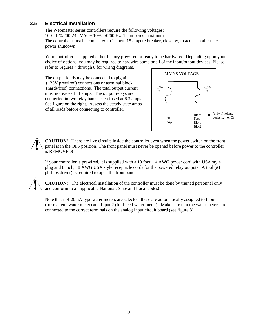# **3.5 Electrical Installation**

The Webmaster series controllers require the following voltages: 100 –120/200-240 VAC± 10%, 50/60 Hz, 12 amperes maximum The controller must be connected to its own 15 ampere breaker, close by, to act as an alternate power shutdown.

Your controller is supplied either factory prewired or ready to be hardwired. Depending upon your choice of options, you may be required to hardwire some or all of the input/output devices. Please refer to Figures 4 through 8 for wiring diagrams.

The output loads may be connected to pigtail (125V prewired) connections or terminal block (hardwired) connections. The total output current must not exceed 11 amps. The output relays are connected in two relay banks each fused at 6.3 amps. See figure on the right. Assess the steady state amps of all loads before connecting to controller.



**CAUTION!** There are live circuits inside the controller even when the power switch on the front panel is in the OFF position! The front panel must never be opened before power to the controller is REMOVED!

If your controller is prewired, it is supplied with a 10 foot, 14 AWG power cord with USA style plug and 8 inch, 18 AWG USA style receptacle cords for the powered relay outputs. A tool (#1 phillips driver) is required to open the front panel.

**CAUTION!** The electrical installation of the controller must be done by trained personnel only and conform to all applicable National, State and Local codes!

Note that if 4-20mA type water meters are selected, these are automatically assigned to Input 1 (for makeup water meter) and Input 2 (for bleed water meter). Make sure that the water meters are connected to the correct terminals on the analog input circuit board (see figure 8).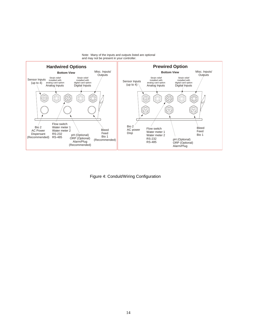

Figure 4: Conduit/Wiring Configuration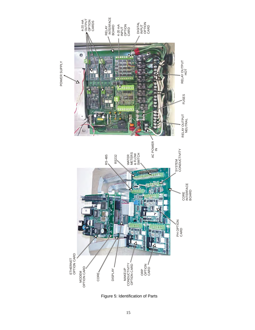

Figure 5: Identification of Parts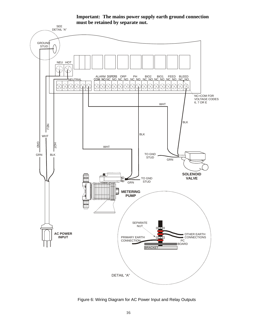

**Important: The mains power supply earth ground connection must be retained by separate nut.**

Figure 6: Wiring Diagram for AC Power Input and Relay Outputs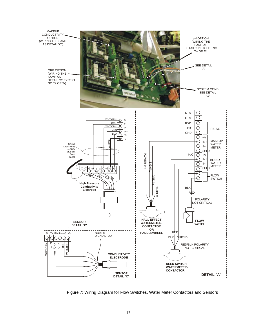

Figure 7: Wiring Diagram for Flow Switches, Water Meter Contactors and Sensors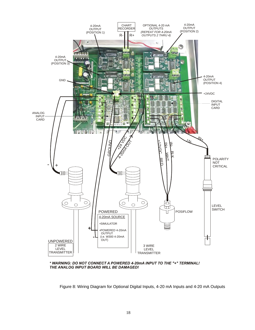

\* WARNING: DO NOT CONNECT A POWERED 4-20mA INPUT TO THE "+" TERMINAL! THE ANALOG INPUT BOARD WILL BE DAMAGED!

Figure 8: Wiring Diagram for Optional Digital Inputs, 4-20 mA Inputs and 4-20 mA Outputs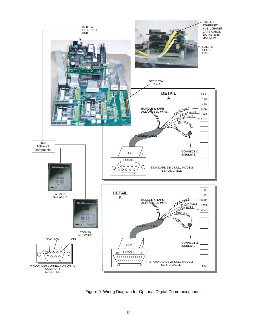

Figure 9: Wiring Diagram for Optional Digital Communications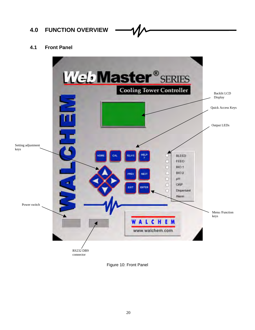# **4.0 FUNCTION OVERVIEW**

# **4.1 Front Panel**



Figure 10: Front Panel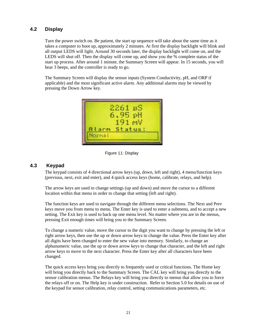# **4.2 Display**

Turn the power switch on. Be patient, the start up sequence will take about the same time as it takes a computer to boot up, approximately 2 minutes. At first the display backlight will blink and all output LEDS will light. Around 30 seconds later, the display backlight will come on, and the LEDS will shut off. Then the display will come up, and show you the % complete status of the start up process. After around 1 minute, the Summary Screen will appear. In 15 seconds, you will hear 3 beeps, and the controller is ready to go.

The Summary Screen will display the sensor inputs (System Conductivity, pH, and ORP if applicable) and the most significant active alarm. Any additional alarms may be viewed by pressing the Down Arrow key.



Figure 11: Display

# **4.3 Keypad**

The keypad consists of 4 directional arrow keys (up, down, left and right), 4 menu/function keys (previous, next, exit and enter), and 4 quick access keys (home, calibrate, relays, and help).

The arrow keys are used to change settings (up and down) and move the cursor to a different location within that menu in order to change that setting (left and right).

The function keys are used to navigate through the different menu selections. The Next and Prev keys move you from menu to menu. The Enter key is used to enter a submenu, and to accept a new setting. The Exit key is used to back up one menu level. No matter where you are in the menus, pressing Exit enough times will bring you to the Summary Screen.

To change a numeric value, move the cursor to the digit you want to change by pressing the left or right arrow keys, then use the up or down arrow keys to change the value. Press the Enter key after all digits have been changed to enter the new value into memory. Similarly, to change an alphanumeric value, use the up or down arrow keys to change that character, and the left and right arrow keys to move to the next character. Press the Enter key after all characters have been changed.

The quick access keys bring you directly to frequently used or critical functions. The Home key will bring you directly back to the Summary Screen. The CAL key will bring you directly to the sensor calibration menus. The Relays key will bring you directly to menus that allow you to force the relays off or on. The Help key is under construction. Refer to Section 5.0 for details on use of the keypad for sensor calibration, relay control, setting communications parameters, etc.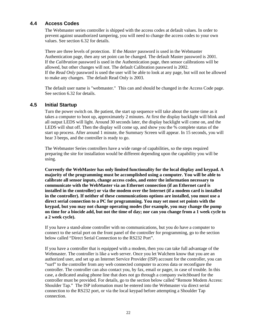# **4.4 Access Codes**

The Webmaster series controller is shipped with the access codes at default values. In order to prevent against unauthorized tampering, you will need to change the access codes to your own values. See section 6.32 for details.

There are three levels of protection. If the *Master* password is used in the Webmaster Authentication page, then any set point can be changed. The default Master password is 2001. If the *Calibration* password is used in the Authentication page, then sensor calibrations will be allowed, but other changes will not. The default Calibration password is 2002. If the *Read Only* password is used the user will be able to look at any page, but will not be allowed to make any changes. The default Read Only is 2003.

The default user name is "webmaster." This can and should be changed in the Access Code page. See section 6.32 for details.

# **4.5 Initial Startup**

Turn the power switch on. Be patient, the start up sequence will take about the same time as it takes a computer to boot up, approximately 2 minutes. At first the display backlight will blink and all output LEDS will light. Around 30 seconds later, the display backlight will come on, and the LEDS will shut off. Then the display will come up, and show you the % complete status of the start up process. After around 1 minute, the Summary Screen will appear. In 15 seconds, you will hear 3 beeps, and the controller is ready to go.

The Webmaster Series controllers have a wide range of capabilities, so the steps required preparing the site for installation would be different depending upon the capability you will be using.

**Currently the WebMaster has only limited functionality for the local display and keypad. A majority of the programming must be accomplished using a computer. You will be able to calibrate all sensor inputs, change access codes, and enter the information necessary to communicate with the WebMaster via an Ethernet connection (if an Ethernet card is installed in the controller) or via the modem over the Internet (if a modem card is installed in the controller). If neither of these communications options are installed, you must use a direct serial connection to a PC for programming. You may set most set points with the keypad, but you may not change operating modes (for example, you may change the pump on time for a biocide add, but not the time of day; nor can you change from a 1 week cycle to a 2 week cycle).**

If you have a stand-alone controller with no communications, but you do have a computer to connect to the serial port on the front panel of the controller for programming, go to the section below called "Direct Serial Connection to the RS232 Port".

If you have a controller that is equipped with a modem, then you can take full advantage of the Webmaster. The controller is like a web server. Once you let Walchem know that you are an authorized user, and set up an Internet Service Provider (ISP) account for the controller, you can "surf" to the controller from any web connected computer to access data or reconfigure the controller. The controller can also contact you, by fax, email or pager, in case of trouble. In this case, a dedicated analog phone line that does not go through a company switchboard for the controller must be provided. For details, go to the section below called "Remote Modem Access: Shoulder Tap." The ISP information must be entered into the Webmaster via direct serial connection to the RS232 port, or via the local keypad before attempting a Shoulder Tap connection.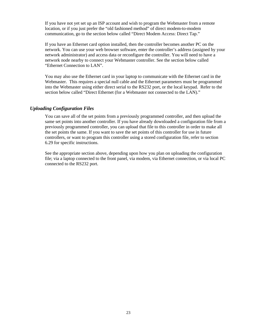If you have not yet set up an ISP account and wish to program the Webmaster from a remote location, or if you just prefer the "old fashioned method" of direct modem-to-modem communication, go to the section below called "Direct Modem Access: Direct Tap."

If you have an Ethernet card option installed, then the controller becomes another PC on the network. You can use your web browser software, enter the controller's address (assigned by your network administrator) and access data or reconfigure the controller. You will need to have a network node nearby to connect your Webmaster controller. See the section below called "Ethernet Connection to LAN".

You may also use the Ethernet card in your laptop to communicate with the Ethernet card in the Webmaster. This requires a special null cable and the Ethernet parameters must be programmed into the Webmaster using either direct serial to the RS232 port, or the local keypad. Refer to the section below called "Direct Ethernet (for a Webmaster not connected to the LAN)."

### *Uploading Configuration Files*

You can save all of the set points from a previously programmed controller, and then upload the same set points into another controller. If you have already downloaded a configuration file from a previously programmed controller, you can upload that file to this controller in order to make all the set points the same. If you want to save the set points of this controller for use in future controllers, or want to program this controller using a stored configuration file, refer to section 6.29 for specific instructions.

See the appropriate section above, depending upon how you plan on uploading the configuration file; via a laptop connected to the front panel, via modem, via Ethernet connection, or via local PC connected to the RS232 port.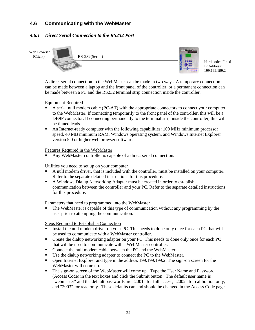# **4.6 Communicating with the WebMaster**

# *4.6.1 Direct Serial Connection to the RS232 Port*



A direct serial connection to the WebMaster can be made in two ways. A temporary connection can be made between a laptop and the front panel of the controller, or a permanent connection can be made between a PC and the RS232 terminal strip connection inside the controller.

Equipment Required

- ß A serial null modem cable (PC-AT) with the appropriate connectors to connect your computer to the WebMaster. If connecting temporarily to the front panel of the controller, this will be a DB9F connector. If connecting permanently to the terminal strip inside the controller, this will be tinned leads.
- An Internet-ready computer with the following capabilities: 100 MHz minimum processor speed, 40 MB minimum RAM, Windows operating system, and Windows Internet Explorer version 5.0 or higher web browser software.

Features Required in the WebMaster

ß Any WebMaster controller is capable of a direct serial connection.

Utilities you need to set up on your computer

- ß A null modem driver, that is included with the controller, must be installed on your computer. Refer to the separate detailed instructions for this procedure.
- A Windows Dialup Networking Adapter must be created in order to establish a communication between the controller and your PC. Refer to the separate detailed instructions for this procedure.

Parameters that need to programmed into the WebMaster

ß The WebMaster is capable of this type of communication without any programming by the user prior to attempting the communication.

- ß Install the null modem driver on your PC. This needs to done only once for each PC that will be used to communicate with a WebMaster controller.
- Create the dialup networking adapter on your PC. This needs to done only once for each PC that will be used to communicate with a WebMaster controller.
- Connect the null modem cable between the PC and the WebMaster.
- Use the dialup networking adapter to connect the PC to the WebMaster.
- **•** Open Internet Explorer and type in the address 199.199.199.2. The sign-on screen for the WebMaster will come up.
- The sign-on screen of the WebMaster will come up. Type the User Name and Password (Access Code) in the text boxes and click the Submit button. The default user name is "webmaster" and the default passwords are "2001" for full access, "2002" for calibration only, and "2003" for read only. These defaults can and should be changed in the Access Code page.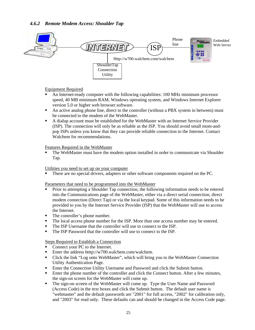# *4.6.2 Remote Modem Access: Shoulder Tap*



#### Equipment Required

- ß An Internet-ready computer with the following capabilities: 100 MHz minimum processor speed, 40 MB minimum RAM, Windows operating system, and Windows Internet Explorer version 5.0 or higher web browser software.
- An active analog phone line, direct to the controller (without a PBX system in between) must be connected to the modem of the WebMaster.
- **A** dialup account must be established for the WebMaster with an Internet Service Provider (ISP). The connection will only be as reliable as the ISP. You should avoid small mom-andpop ISPs unless you know that they can provide reliable connection to the Internet. Contact Walchem for recommendations.

#### Features Required in the WebMaster

• The WebMaster must have the modem option installed in order to communicate via Shoulder Tap.

#### Utilities you need to set up on your computer

ß There are no special drivers, adapters or other software components required on the PC.

Parameters that need to be programmed into the WebMaster

- ß Prior to attempting a Shoulder Tap connection, the following information needs to be entered into the Communications page of the WebMaster, either via a direct serial connection, direct modem connection (Direct Tap) or via the local keypad. Some of this information needs to be provided to you by the Internet Service Provider (ISP) that the WebMaster will use to access the Internet.
- The controller's phone number.
- The local access phone number for the ISP. More than one access number may be entered.
- The ISP Username that the controller will use to connect to the ISP.
- The ISP Password that the controller will use to connect to the ISP.

- ß Connect your PC to the Internet.
- **Enter the address htttp://w700.walchem.com/walchem.**
- Click the link "Log onto WebMaster", which will bring you to the WebMaster Connection Utility Authentication Page.
- **Enter the Connection Utility Username and Password and click the Submit button.**
- **Enter the phone number of the controller and click the Connect button. After a few minutes,** the sign-on screen for the WebMaster will come up.
- The sign-on screen of the WebMaster will come up. Type the User Name and Password (Access Code) in the text boxes and click the Submit button. The default user name is "webmaster" and the default passwords are "2001" for full access, "2002" for calibration only, and "2003" for read only. These defaults can and should be changed in the Access Code page.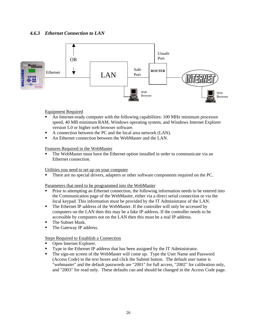

Equipment Required

- ß An Internet-ready computer with the following capabilities: 100 MHz minimum processor speed, 40 MB minimum RAM, Windows operating system, and Windows Internet Explorer version 5.0 or higher web browser software.
- A connection between the PC and the local area network (LAN).
- An Ethernet connection between the WebMaster and the LAN.

Features Required in the WebMaster

ß The WebMaster must have the Ethernet option installed in order to communicate via an Ethernet connection.

#### Utilities you need to set up on your computer

ß There are no special drivers, adapters or other software components required on the PC.

Parameters that need to be programmed into the WebMaster

- Prior to attempting an Ethernet connection, the following information needs to be entered into the Communication page of the WebMaster, either via a direct serial connection or via the local keypad. This information must be provided by the IT Administrator of the LAN.
- The Ethernet IP address of the WebMaster. If the controller will only be accessed by computers on the LAN then this may be a fake IP address. If the controller needs to be accessible by computers not on the LAN then this must be a real IP address.
- The Subnet Mask.
- The Gateway IP address.

- ß Open Internet Explorer.
- ß Type in the Ethernet IP address that has been assigned by the IT Administrator.
- The sign-on screen of the WebMaster will come up. Type the User Name and Password (Access Code) in the text boxes and click the Submit button. The default user name is "webmaster" and the default passwords are "2001" for full access, "2002" for calibration only, and "2003" for read only. These defaults can and should be changed in the Access Code page.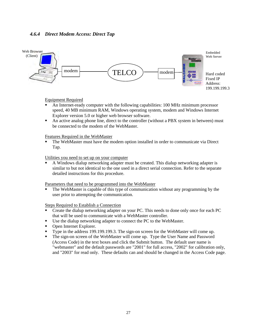## *4.6.4 Direct Modem Access: Direct Tap*



Equipment Required

- ß An Internet-ready computer with the following capabilities: 100 MHz minimum processor speed, 40 MB minimum RAM, Windows operating system, modem and Windows Internet Explorer version 5.0 or higher web browser software.
- An active analog phone line, direct to the controller (without a PBX system in between) must be connected to the modem of the WebMaster.

Features Required in the WebMaster

ß The WebMaster must have the modem option installed in order to communicate via Direct Tap.

Utilities you need to set up on your computer

ß A Windows dialup networking adapter must be created. This dialup networking adapter is similar to but not identical to the one used in a direct serial connection. Refer to the separate detailed instructions for this procedure.

Parameters that need to be programmed into the WebMaster

ß The WebMaster is capable of this type of communication without any programming by the user prior to attempting the communication.

- ß Create the dialup networking adapter on your PC. This needs to done only once for each PC that will be used to communicate with a WebMaster controller.
- Use the dialup networking adapter to connect the PC to the WebMaster.
- Open Internet Explorer.
- Type in the address 199.199.199.3. The sign-on screen for the WebMaster will come up.
- ß The sign-on screen of the WebMaster will come up. Type the User Name and Password (Access Code) in the text boxes and click the Submit button. The default user name is "webmaster" and the default passwords are "2001" for full access, "2002" for calibration only, and "2003" for read only. These defaults can and should be changed in the Access Code page.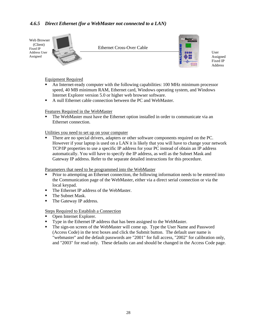# *4.6.5 Direct Ethernet (for a WebMaster not connected to a LAN)*



#### Equipment Required

- ß An Internet-ready computer with the following capabilities: 100 MHz minimum processor speed, 40 MB minimum RAM, Ethernet card, Windows operating system, and Windows Internet Explorer version 5.0 or higher web browser software.
- A null Ethernet cable connection between the PC and WebMaster.

#### Features Required in the WebMaster

ß The WebMaster must have the Ethernet option installed in order to communicate via an Ethernet connection.

#### Utilities you need to set up on your computer

ß There are no special drivers, adapters or other software components required on the PC. However if your laptop is used on a LAN it is likely that you will have to change your network TCP/IP properties to use a specific IP address for your PC instead of obtain an IP address automatically. You will have to specify the IP address, as well as the Subnet Mask and Gateway IP address. Refer to the separate detailed instructions for this procedure.

Parameters that need to be programmed into the WebMaster

- ß Prior to attempting an Ethernet connection, the following information needs to be entered into the Communication page of the WebMaster, either via a direct serial connection or via the local keypad.
- The Ethernet IP address of the WebMaster.
- $\blacksquare$  The Subnet Mask.
- The Gateway IP address.

- ß Open Internet Explorer.
- **Type in the Ethernet IP address that has been assigned to the WebMaster.**
- The sign-on screen of the WebMaster will come up. Type the User Name and Password (Access Code) in the text boxes and click the Submit button. The default user name is "webmaster" and the default passwords are "2001" for full access, "2002" for calibration only, and "2003" for read only. These defaults can and should be changed in the Access Code page.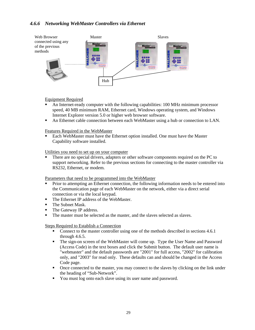# *4.6.6 Networking WebMaster Controllers via Ethernet*



#### Equipment Required

- ß An Internet-ready computer with the following capabilities: 100 MHz minimum processor speed, 40 MB minimum RAM, Ethernet card, Windows operating system, and Windows Internet Explorer version 5.0 or higher web browser software.
- An Ethernet cable connection between each WebMaster using a hub or connection to LAN.

Features Required in the WebMaster

**Each WebMaster must have the Ethernet option installed. One must have the Master** Capability software installed.

Utilities you need to set up on your computer

ß There are no special drivers, adapters or other software components required on the PC to support networking. Refer to the previous sections for connecting to the master controller via RS232, Ethernet, or modem.

Parameters that need to be programmed into the WebMaster

- ß Prior to attempting an Ethernet connection, the following information needs to be entered into the Communication page of each WebMaster on the network, either via a direct serial connection or via the local keypad.
- The Ethernet IP address of the WebMaster.
- The Subnet Mask.
- The Gateway IP address.
- The master must be selected as the master, and the slaves selected as slaves.

- ß Connect to the master controller using one of the methods described in sections 4.6.1 through 4.6.5.
- The sign-on screen of the WebMaster will come up. Type the User Name and Password (Access Code) in the text boxes and click the Submit button. The default user name is "webmaster" and the default passwords are "2001" for full access, "2002" for calibration only, and "2003" for read only. These defaults can and should be changed in the Access Code page.
- Once connected to the master, you may connect to the slaves by clicking on the link under the heading of "Sub-Network".
- ß You must log onto each slave using its user name and password.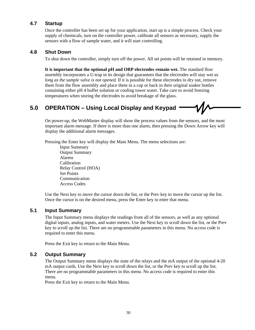# **4.7 Startup**

Once the controller has been set up for your application, start up is a simple process. Check your supply of chemicals, turn on the controller power, calibrate all sensors as necessary, supply the sensors with a flow of sample water, and it will start controlling.

# **4.8 Shut Down**

To shut down the controller, simply turn off the power. All set points will be retained in memory.

**It is important that the optional pH and ORP electrodes remain wet.** The standard flow assembly incorporates a U-trap in its design that guarantees that the electrodes will stay wet *as long as the sample valve is not opened.* If it is possible for these electrodes to dry out, remove them from the flow assembly and place them in a cup or back in their original soaker bottles containing either pH 4 buffer solution or cooling tower water. Take care to avoid freezing temperatures when storing the electrodes to avoid breakage of the glass.

# **5.0 OPERATION – Using Local Display and Keypad**

On power-up, the WebMaster display will show the process values from the sensors, and the most important alarm message. If there is more than one alarm, then pressing the Down Arrow key will display the additional alarm messages.

Pressing the Enter key will display the Main Menu. The menu selections are:

Input Summary Output Summary Alarms Calibration Relay Control (HOA) Set Points Communication Access Codes

Use the Next key to move the cursor down the list, or the Prev key to move the cursor up the list. Once the cursor is on the desired menu, press the Enter key to enter that menu.

# **5.1 Input Summary**

The Input Summary menu displays the readings from all of the sensors, as well as any optional digital inputs, analog inputs, and water meters. Use the Next key to scroll down the list, or the Prev key to scroll up the list. There are no programmable parameters in this menu. No access code is required to enter this menu.

Press the Exit key to return to the Main Menu.

# **5.2 Output Summary**

The Output Summary menu displays the state of the relays and the mA output of the optional 4-20 mA output cards. Use the Next key to scroll down the list, or the Prev key to scroll up the list. There are no programmable parameters in this menu. No access code is required to enter this menu.

Press the Exit key to return to the Main Menu.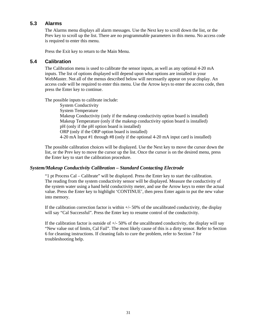# **5.3 Alarms**

The Alarms menu displays all alarm messages. Use the Next key to scroll down the list, or the Prev key to scroll up the list. There are no programmable parameters in this menu. No access code is required to enter this menu.

Press the Exit key to return to the Main Menu.

## **5.4 Calibration**

The Calibration menu is used to calibrate the sensor inputs, as well as any optional 4-20 mA inputs. The list of options displayed will depend upon what options are installed in your WebMaster. Not all of the menus described below will necessarily appear on your display. An access code will be required to enter this menu. Use the Arrow keys to enter the access code, then press the Enter key to continue.

The possible inputs to calibrate include:

System Conductivity System Temperature Makeup Conductivity (only if the makeup conductivity option board is installed) Makeup Temperature (only if the makeup conductivity option board is installed) pH (only if the pH option board is installed) ORP (only if the ORP option board is installed) 4-20 mA Input #1 through #8 (only if the optional 4-20 mA input card is installed)

The possible calibration choices will be displayed. Use the Next key to move the cursor down the list, or the Prev key to move the cursor up the list. Once the cursor is on the desired menu, press the Enter key to start the calibration procedure.

# *System/Makeup Conductivity Calibration – Standard Contacting Electrode*

"1 pt Process Cal – Calibrate" will be displayed. Press the Enter key to start the calibration. The reading from the system conductivity sensor will be displayed. Measure the conductivity of the system water using a hand held conductivity meter, and use the Arrow keys to enter the actual value. Press the Enter key to highlight 'CONTINUE', then press Enter again to put the new value into memory.

If the calibration correction factor is within  $+/-50\%$  of the uncalibrated conductivity, the display will say "Cal Successful". Press the Enter key to resume control of the conductivity.

If the calibration factor is outside of  $+/-50\%$  of the uncalibrated conductivity, the display will say "New value out of limits, Cal Fail". The most likely cause of this is a dirty sensor. Refer to Section 6 for cleaning instructions. If cleaning fails to cure the problem, refer to Section 7 for troubleshooting help.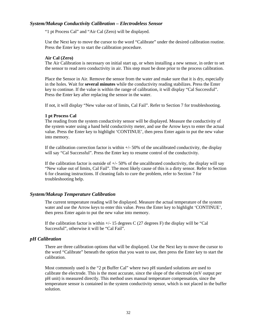#### *System/Makeup Conductivity Calibration – Electrodeless Sensor*

"1 pt Process Cal" and "Air Cal (Zero) will be displayed.

Use the Next key to move the cursor to the word "Calibrate" under the desired calibration routine. Press the Enter key to start the calibration procedure.

#### **Air Cal (Zero)**

The Air Calibration is necessary on initial start up, or when installing a new sensor, in order to set the sensor to read zero conductivity in air. This step must be done prior to the process calibration.

Place the Sensor in Air. Remove the sensor from the water and make sure that it is dry, especially in the holes. Wait for **several minutes** while the conductivity reading stabilizes. Press the Enter key to continue. If the value is within the range of calibration, it will display "Cal Successful". Press the Enter key after replacing the sensor in the water.

If not, it will display "New value out of limits, Cal Fail". Refer to Section 7 for troubleshooting.

#### **1 pt Process Cal**

The reading from the system conductivity sensor will be displayed. Measure the conductivity of the system water using a hand held conductivity meter, and use the Arrow keys to enter the actual value. Press the Enter key to highlight 'CONTINUE', then press Enter again to put the new value into memory.

If the calibration correction factor is within  $+/-50\%$  of the uncalibrated conductivity, the display will say "Cal Successful". Press the Enter key to resume control of the conductivity.

If the calibration factor is outside of  $+/-50\%$  of the uncalibrated conductivity, the display will say "New value out of limits, Cal Fail". The most likely cause of this is a dirty sensor. Refer to Section 6 for cleaning instructions. If cleaning fails to cure the problem, refer to Section 7 for troubleshooting help.

#### *System/Makeup Temperature Calibration*

The current temperature reading will be displayed. Measure the actual temperature of the system water and use the Arrow keys to enter this value. Press the Enter key to highlight 'CONTINUE', then press Enter again to put the new value into memory.

If the calibration factor is within  $+/-15$  degrees C (27 degrees F) the display will be "Cal Successful", otherwise it will be "Cal Fail".

#### *pH Calibration*

There are three calibration options that will be displayed. Use the Next key to move the cursor to the word "Calibrate" beneath the option that you want to use, then press the Enter key to start the calibration.

Most commonly used is the "2 pt Buffer Cal" where two pH standard solutions are used to calibrate the electrode. This is the most accurate, since the slope of the electrode (mV output per pH unit) is measured directly. This method uses manual temperature compensation, since the temperature sensor is contained in the system conductivity sensor, which is not placed in the buffer solution.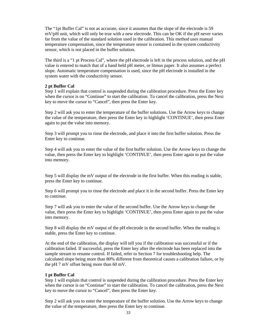The "1pt Buffer Cal" is not as accurate, since it assumes that the slope of the electrode is 59 mV/pH unit, which will only be true with a new electrode. This can be OK if the pH never varies far from the value of the standard solution used in the calibration. This method uses manual temperature compensation, since the temperature sensor is contained in the system conductivity sensor, which is not placed in the buffer solution.

The third is a "1 pt Process Cal", where the pH electrode is left in the process solution, and the pH value is entered to match that of a hand held pH meter, or litmus paper. It also assumes a perfect slope. Automatic temperature compensation is used, since the pH electrode is installed in the system water with the conductivity sensor.

# **2 pt Buffer Cal**

Step 1 will explain that control is suspended during the calibration procedure. Press the Enter key when the cursor is on "Continue" to start the calibration. To cancel the calibration, press the Next key to move the cursor to "Cancel", then press the Enter key.

Step 2 will ask you to enter the temperature of the buffer solutions. Use the Arrow keys to change the value of the temperature, then press the Enter key to highlight 'CONTINUE', then press Enter again to put the value into memory.

Step 3 will prompt you to rinse the electrode, and place it into the first buffer solution. Press the Enter key to continue.

Step 4 will ask you to enter the value of the first buffer solution. Use the Arrow keys to change the value, then press the Enter key to highlight 'CONTINUE', then press Enter again to put the value into memory.

Step 5 will display the mV output of the electrode in the first buffer. When this reading is stable, press the Enter key to continue.

Step 6 will prompt you to rinse the electrode and place it in the second buffer. Press the Enter key to continue.

Step 7 will ask you to enter the value of the second buffer. Use the Arrow keys to change the value, then press the Enter key to highlight 'CONTINUE', then press Enter again to put the value into memory.

Step 8 will display the mV output of the pH electrode in the second buffer. When the reading is stable, press the Enter key to continue.

At the end of the calibration, the display will tell you if the calibration was successful or if the calibration failed. If successful, press the Enter key after the electrode has been replaced into the sample stream to resume control. If failed, refer to Section 7 for troubleshooting help. The calculated slope being more than 80% different from theoretical causes a calibration failure, or by the pH 7 mV offset being more than 60 mV.

### **1 pt Buffer Cal**

Step 1 will explain that control is suspended during the calibration procedure. Press the Enter key when the cursor is on "Continue" to start the calibration. To cancel the calibration, press the Next key to move the cursor to "Cancel", then press the Enter key.

Step 2 will ask you to enter the temperature of the buffer solution. Use the Arrow keys to change the value of the temperature, then press the Enter key to continue.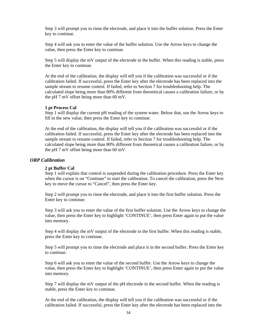Step 3 will prompt you to rinse the electrode, and place it into the buffer solution. Press the Enter key to continue.

Step 4 will ask you to enter the value of the buffer solution. Use the Arrow keys to change the value, then press the Enter key to continue.

Step 5 will display the mV output of the electrode in the buffer. When this reading is stable, press the Enter key to continue.

At the end of the calibration, the display will tell you if the calibration was successful or if the calibration failed. If successful, press the Enter key after the electrode has been replaced into the sample stream to resume control. If failed, refer to Section 7 for troubleshooting help. The calculated slope being more than 80% different from theoretical causes a calibration failure, or by the pH 7 mV offset being more than 60 mV.

#### **1 pt Process Cal**

Step 1 will display the current pH reading of the system water. Below that, use the Arrow keys to fill in the new value, then press the Enter key to continue.

At the end of the calibration, the display will tell you if the calibration was successful or if the calibration failed. If successful, press the Enter key after the electrode has been replaced into the sample stream to resume control. If failed, refer to Section 7 for troubleshooting help. The calculated slope being more than 80% different from theoretical causes a calibration failure, or by the pH 7 mV offset being more than 60 mV.

# *ORP Calibration*

#### **2 pt Buffer Cal**

Step 1 will explain that control is suspended during the calibration procedure. Press the Enter key when the cursor is on "Continue" to start the calibration. To cancel the calibration, press the Next key to move the cursor to "Cancel", then press the Enter key.

Step 2 will prompt you to rinse the electrode, and place it into the first buffer solution. Press the Enter key to continue.

Step 3 will ask you to enter the value of the first buffer solution. Use the Arrow keys to change the value, then press the Enter key to highlight 'CONTINUE', then press Enter again to put the value into memory.

Step 4 will display the mV output of the electrode in the first buffer. When this reading is stable, press the Enter key to continue.

Step 5 will prompt you to rinse the electrode and place it in the second buffer. Press the Enter key to continue.

Step 6 will ask you to enter the value of the second buffer. Use the Arrow keys to change the value, then press the Enter key to highlight 'CONTINUE', then press Enter again to put the value into memory.

Step 7 will display the mV output of the pH electrode in the second buffer. When the reading is stable, press the Enter key to continue.

At the end of the calibration, the display will tell you if the calibration was successful or if the calibration failed. If successful, press the Enter key after the electrode has been replaced into the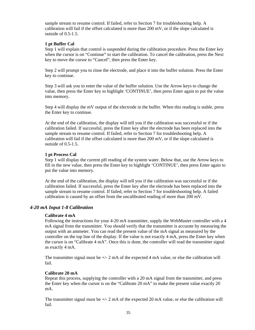sample stream to resume control. If failed, refer to Section 7 for troubleshooting help. A calibration will fail if the offset calculated is more than 200 mV, or if the slope calculated is outside of 0.5-1.5.

# **1 pt Buffer Cal**

Step 1 will explain that control is suspended during the calibration procedure. Press the Enter key when the cursor is on "Continue" to start the calibration. To cancel the calibration, press the Next key to move the cursor to "Cancel", then press the Enter key.

Step 2 will prompt you to rinse the electrode, and place it into the buffer solution. Press the Enter key to continue.

Step 3 will ask you to enter the value of the buffer solution. Use the Arrow keys to change the value, then press the Enter key to highlight 'CONTINUE', then press Enter again to put the value into memory.

Step 4 will display the mV output of the electrode in the buffer. When this reading is stable, press the Enter key to continue.

At the end of the calibration, the display will tell you if the calibration was successful or if the calibration failed. If successful, press the Enter key after the electrode has been replaced into the sample stream to resume control. If failed, refer to Section 7 for troubleshooting help. A calibration will fail if the offset calculated is more than 200 mV, or if the slope calculated is outside of 0.5-1.5.

# **1 pt Process Cal**

Step 1 will display the current pH reading of the system water. Below that, use the Arrow keys to fill in the new value, then press the Enter key to highlight 'CONTINUE', then press Enter again to put the value into memory.

At the end of the calibration, the display will tell you if the calibration was successful or if the calibration failed. If successful, press the Enter key after the electrode has been replaced into the sample stream to resume control. If failed, refer to Section 7 for troubleshooting help. A failed calibration is caused by an offset from the uncalibrated reading of more than 200 mV.

# *4-20 mA Input 1-8 Calibration*

### **Calibrate 4 mA**

Following the instructions for your 4-20 mA transmitter, supply the WebMaster controller with a 4 mA signal from the transmitter. You should verify that the transmitter is accurate by measuring the output with an ammeter. You can read the present value of the mA signal as measured by the controller on the top line of the display. If the value is not exactly 4 mA, press the Enter key when the cursor is on "Calibrate 4 mA". Once this is done, the controller will read the transmitter signal as exactly 4 mA.

The transmitter signal must be  $+\sqrt{2}$  mA of the expected 4 mA value, or else the calibration will fail.

### **Calibrate 20 mA**

Repeat this process, supplying the controller with a 20 mA signal from the transmitter, and press the Enter key when the cursor is on the "Calibrate 20 mA" to make the present value exactly 20 mA.

The transmitter signal must be  $+\sqrt{2}$  mA of the expected 20 mA value, or else the calibration will fail.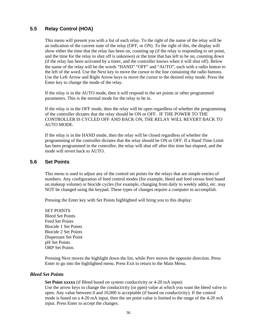# **5.5 Relay Control (HOA)**

This menu will present you with a list of each relay. To the right of the name of the relay will be an indication of the current state of the relay (OFF, or ON). To the right of this, the display will show either the time that the relay has been on, counting up (if the relay is responding to set point, and the time for the relay to shut off is unknown) or the time that has left to be on, counting down (if the relay has been activated by a timer, and the controller knows when it will shut off). Below the name of the relay will be the words "HAND" "OFF" and "AUTO", each with a radio button to the left of the word. Use the Next key to move the cursor to the line containing the radio buttons. Use the Left Arrow and Right Arrow keys to move the cursor to the desired relay mode. Press the Enter key to change the mode of the relay.

If the relay is in the AUTO mode, then it will respond to the set points or other programmed parameters. This is the normal mode for the relay to be in.

If the relay is in the OFF mode, then the relay will be open regardless of whether the programming of the controller dictates that the relay should be ON or OFF. IF THE POWER TO THE CONTROLLER IS CYCLED OFF AND BACK ON, THE RELAY WILL REVERT BACK TO AUTO MODE.

If the relay is in the HAND mode, then the relay will be closed regardless of whether the programming of the controller dictates that the relay should be ON or OFF. If a Hand Time Limit has been programmed in the controller, the relay will shut off after this time has elapsed, and the mode will revert back to AUTO.

# **5.6 Set Points**

This menu is used to adjust any of the control set points for the relays that are simple entries of numbers. Any configuration of feed control modes (for example, bleed and feed versus feed based on makeup volume) or biocide cycles (for example, changing from daily to weekly adds), etc. may NOT be changed using the keypad. These types of changes require a computer to accomplish.

Pressing the Enter key with Set Points highlighted will bring you to this display:

SET POINTS Bleed Set Points Feed Set Points Biocide 1 Set Points Biocide 2 Set Points Dispersant Set Point pH Set Points ORP Set Points

Pressing Next moves the highlight down the list, while Prev moves the opposite direction. Press Enter to go into the highlighted menu. Press Exit to return to the Main Menu.

### *Bleed Set Points*

**Set Point xxxxx** (if Bleed based on system conductivity or 4-20 mA input) Use the arrow keys to change the conductivity (or ppm) value at which you want the bleed valve to open. Any value between 0 and 10,000 is acceptable (if based on conductivity). If the control mode is based on a 4-20 mA input, then the set point value is limited to the range of the 4-20 mA input. Press Enter to accept the changes.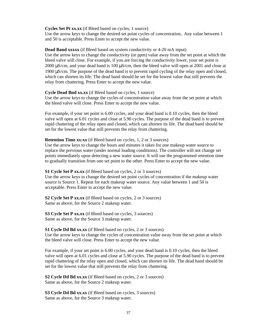#### **Cycles Set Pt xx.xx** (if Bleed based on cycles, 1 source)

Use the arrow keys to change the desired set point cycles of concentration.. Any value between 1 and 50 is acceptable. Press Enter to accept the new value.

#### **Dead Band xxxxx** (if Bleed based on system conductivity or 4-20 mA input)

Use the arrow keys to change the conductivity (or ppm) value away from the set point at which the bleed valve will close. For example, if you are forcing the conductivity lower, your set point is 2000 μS/cm, and your dead band is 100 μS/cm, then the bleed valve will open at 2001 and close at 1900 μS/cm. The purpose of the dead band is to prevent rapid cycling of the relay open and closed, which can shorten its life. The dead band should be set for the lowest value that still prevents the relay from chattering. Press Enter to accept the new value.

#### **Cycle Dead Bnd xx.xx** (if Bleed based on cycles, 1 source)

Use the arrow keys to change the cycles of concentration value away from the set point at which the bleed valve will close. Press Enter to accept the new value.

For example, if your set point is 6.00 cycles, and your dead band is 0.10 cycles, then the bleed valve will open at 6.01 cycles and close at 5.90 cycles. The purpose of the dead band is to prevent rapid chattering of the relay open and closed, which can shorten its life. The dead band should be set for the lowest value that still prevents the relay from chattering.

#### **Retention Time xx:xx** (if Bleed based on cycles, 1, 2 or 3 sources)

Use the arrow keys to change the hours and minutes it takes for one makeup water source to replace the previous water (under normal loading conditions). The controller will not change set points immediately upon detecting a new water source. It will use the programmed retention time to gradually transition from one set point to the other. Press Enter to accept the new value.

**S1 Cycle Set P xx.xx** (if Bleed based on cycles, 2 or 3 sources)

Use the arrow keys to change the desired set point cycles of concentration if the makeup water source is Source 1. Repeat for each makeup water source. Any value between 1 and 50 is acceptable. Press Enter to accept the new value.

**S2 Cycle Set P xx.xx** (if Bleed based on cycles, 2 or 3 sources) Same as above, for the Source 2 makeup water.

**S3 Cycle Set P xx.xx** (if Bleed based on cycles, 3 sources) Same as above, for the Source 3 makeup water.

#### **S1 Cycle Dd Bd xx.xx** (if Bleed based on cycles, 2 or 3 sources)

Use the arrow keys to change the cycles of concentration value away from the set point at which the bleed valve will close. Press Enter to accept the new value.

For example, if your set point is 6.00 cycles, and your dead band is 0.10 cycles, then the bleed valve will open at 6.01 cycles and close at 5.90 cycles. The purpose of the dead band is to prevent rapid chattering of the relay open and closed, which can shorten its life. The dead band should be set for the lowest value that still prevents the relay from chattering.

**S2 Cycle Dd Bd xx.xx** (if Bleed based on cycles, 2 or 3 sources) Same as above, for the Source 2 makeup water.

**S3 Cycle Dd Bd xx.xx** (if Bleed based on cycles, 3 sources) Same as above, for the Source 3 makeup water.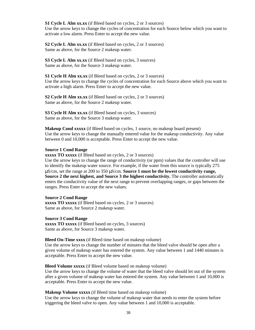**S1 Cycle L Alm xx.xx** (if Bleed based on cycles, 2 or 3 sources) Use the arrow keys to change the cycles of concentration for each Source below which you want to activate a low alarm. Press Enter to accept the new value.

**S2 Cycle L Alm xx.xx** (if Bleed based on cycles, 2 or 3 sources) Same as above, for the Source 2 makeup water.

**S3 Cycle L Alm xx.xx** (if Bleed based on cycles, 3 sources) Same as above, for the Source 3 makeup water.

**S1 Cycle H Alm xx.xx** (if Bleed based on cycles, 2 or 3 sources) Use the arrow keys to change the cycles of concentration for each Source above which you want to activate a high alarm. Press Enter to accept the new value.

**S2 Cycle H Alm xx.xx** (if Bleed based on cycles, 2 or 3 sources) Same as above, for the Source 2 makeup water.

**S3 Cycle H Alm xx.xx** (if Bleed based on cycles, 3 sources) Same as above, for the Source 3 makeup water.

**Makeup Cond xxxxx** (if Bleed based on cycles, 1 source, no makeup board present) Use the arrow keys to change the manually entered value for the makeup conductivity. Any value between 0 and 10,000 is acceptable. Press Enter to accept the new value.

#### **Source 1 Cond Range**

**xxxxx TO xxxxx** (if Bleed based on cycles, 2 or 3 sources)

Use the arrow keys to change the range of conductivity (or ppm) values that the controller will use to identify the makeup water source. For example, if the water from this source is typically 275 μS/cm, set the range at 200 to 350 μS/cm. **Source 1 must be the lowest conductivity range, Source 2 the next highest, and Source 3 the highest conductivity.** The controller automatically enters the conductivity value of the next range to prevent overlapping ranges, or gaps between the ranges. Press Enter to accept the new values.

#### **Source 2 Cond Range**

**xxxxx TO xxxxx** (if Bleed based on cycles, 2 or 3 sources) Same as above, for Source 2 makeup water.

#### **Source 3 Cond Range**

**xxxxx TO xxxxx** (if Bleed based on cycles, 3 sources) Same as above, for Source 3 makeup water.

#### **Bleed On-Time xxxx** (if Bleed time based on makeup volume)

Use the arrow keys to change the number of minutes that the bleed valve should be open after a given volume of makeup water has entered the system. Any value between 1 and 1440 minutes is acceptable. Press Enter to accept the new value.

#### **Bleed Volume xxxxx** (if Bleed volume based on makeup volume)

Use the arrow keys to change the volume of water that the bleed valve should let out of the system after a given volume of makeup water has entered the system. Any value between 1 and 10,000 is acceptable. Press Enter to accept the new value.

**Makeup Volume xxxxx** (if Bleed time based on makeup volume)

Use the arrow keys to change the volume of makeup water that needs to enter the system before triggering the bleed valve to open. Any value between 1 and 10,000 is acceptable.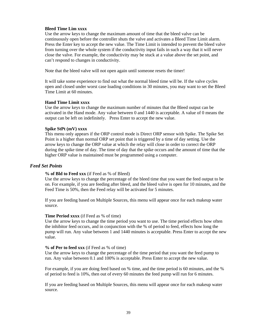### **Bleed Time Lim xxxx**

Use the arrow keys to change the maximum amount of time that the bleed valve can be continuously open before the controller shuts the valve and activates a Bleed Time Limit alarm. Press the Enter key to accept the new value. The Time Limit is intended to prevent the bleed valve from turning over the whole system if the conductivity input fails in such a way that it will never close the valve. For example, the conductivity may be stuck at a value above the set point, and can't respond to changes in conductivity.

Note that the bleed valve will not open again until someone resets the timer!

It will take some experience to find out what the normal bleed time will be. If the valve cycles open and closed under worst case loading conditions in 30 minutes, you may want to set the Bleed Time Limit at 60 minutes.

### **Hand Time Limit xxxx**

Use the arrow keys to change the maximum number of minutes that the Bleed output can be activated in the Hand mode. Any value between 0 and 1440 is acceptable. A value of 0 means the output can be left on indefinitely. Press Enter to accept the new value.

### **Spike StPt (mV) xxxx**

This menu only appears if the ORP control mode is Direct ORP sensor with Spike. The Spike Set Point is a higher than normal ORP set point that is triggered by a time of day setting. Use the arrow keys to change the ORP value at which the relay will close in order to correct the ORP during the spike time of day. The time of day that the spike occurs and the amount of time that the higher ORP value is maintained must be programmed using a computer.

### *Feed Set Points*

#### **% of Bld to Feed xxx** (if Feed as % of Bleed)

Use the arrow keys to change the percentage of the bleed time that you want the feed output to be on. For example, if you are feeding after bleed, and the bleed valve is open for 10 minutes, and the Feed Time is 50%, then the Feed relay will be activated for 5 minutes.

If you are feeding based on Multiple Sources, this menu will appear once for each makeup water source.

### **Time Period xxxx** (if Feed as % of time)

Use the arrow keys to change the time period you want to use. The time period effects how often the inhibitor feed occurs, and in conjunction with the % of period to feed, effects how long the pump will run. Any value between 1 and 1440 minutes is acceptable. Press Enter to accept the new value.

#### **% of Per to feed xxx** (if Feed as % of time)

Use the arrow keys to change the percentage of the time period that you want the feed pump to run. Any value between 0.1 and 100% is acceptable. Press Enter to accept the new value.

For example, if you are doing feed based on % time, and the time period is 60 minutes, and the % of period to feed is 10%, then out of every 60 minutes the feed pump will run for 6 minutes.

If you are feeding based on Multiple Sources, this menu will appear once for each makeup water source.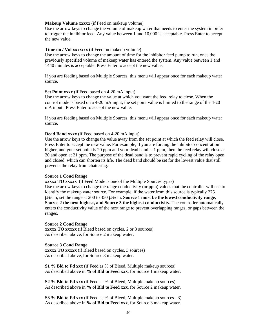#### **Makeup Volume xxxxx** (if Feed on makeup volume)

Use the arrow keys to change the volume of makeup water that needs to enter the system in order to trigger the inhibitor feed. Any value between 1 and 10,000 is acceptable. Press Enter to accept the new value.

#### **Time on / Vol xxxx:xx** (if Feed on makeup volume)

Use the arrow keys to change the amount of time for the inhibitor feed pump to run, once the previously specified volume of makeup water has entered the system. Any value between 1 and 1440 minutes is acceptable. Press Enter to accept the new value.

If you are feeding based on Multiple Sources, this menu will appear once for each makeup water source.

#### **Set Point xxxx** (if Feed based on 4-20 mA input)

Use the arrow keys to change the value at which you want the feed relay to close. When the control mode is based on a 4-20 mA input, the set point value is limited to the range of the 4-20 mA input. Press Enter to accept the new value.

If you are feeding based on Multiple Sources, this menu will appear once for each makeup water source.

#### **Dead Band xxxx** (if Feed based on 4-20 mA input)

Use the arrow keys to change the value away from the set point at which the feed relay will close. Press Enter to accept the new value. For example, if you are forcing the inhibitor concentration higher, and your set point is 20 ppm and your dead band is 1 ppm, then the feed relay will close at 20 and open at 21 ppm. The purpose of the dead band is to prevent rapid cycling of the relay open and closed, which can shorten its life. The dead band should be set for the lowest value that still prevents the relay from chattering.

### **Source 1 Cond Range**

**xxxxx TO xxxxx** (if Feed Mode is one of the Multiple Sources types) Use the arrow keys to change the range conductivity (or ppm) values that the controller will use to identify the makeup water source. For example, if the water from this source is typically 275 μS/cm, set the range at 200 to 350 μS/cm. **Source 1 must be the lowest conductivity range, Source 2 the next highest, and Source 3 the highest conductivity.** The controller automatically

enters the conductivity value of the next range to prevent overlapping ranges, or gaps between the

# **Source 2 Cond Range**

**xxxxx TO xxxxx** (if Bleed based on cycles, 2 or 3 sources) As described above, for Source 2 makeup water.

#### **Source 3 Cond Range**

ranges.

**xxxxx TO xxxxx** (if Bleed based on cycles, 3 sources) As described above, for Source 3 makeup water.

**S1 % Bld to Fd xxx** (if Feed as % of Bleed, Multiple makeup sources) As described above in **% of Bld to Feed xxx**, for Source 1 makeup water.

**S2 % Bld to Fd xxx** (if Feed as % of Bleed, Multiple makeup sources) As described above in **% of Bld to Feed xxx**, for Source 2 makeup water.

**S3 % Bld to Fd xxx** (if Feed as % of Bleed, Multiple makeup sources - 3) As described above in **% of Bld to Feed xxx**, for Source 3 makeup water.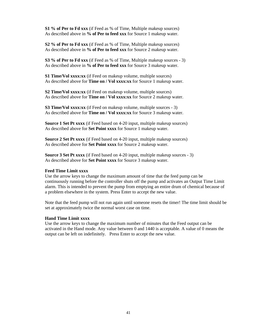**S1 % of Per to Fd xxx** (if Feed as % of Time, Multiple makeup sources) As described above in **% of Per to feed xxx** for Source 1 makeup water.

**S2 % of Per to Fd xxx** (if Feed as % of Time, Multiple makeup sources) As described above in **% of Per to feed xxx** for Source 2 makeup water.

**S3 % of Per to Fd xxx** (if Feed as % of Time, Multiple makeup sources - 3) As described above in **% of Per to feed xxx** for Source 3 makeup water.

**S1 Time/Vol xxxx:xx** (if Feed on makeup volume, multiple sources) As described above for **Time on / Vol xxxx:xx** for Source 1 makeup water.

**S2 Time/Vol xxxx:xx** (if Feed on makeup volume, multiple sources) As described above for **Time on / Vol xxxx:xx** for Source 2 makeup water.

**S3 Time/Vol xxxx:xx** (if Feed on makeup volume, multiple sources - 3) As described above for **Time on / Vol xxxx:xx** for Source 3 makeup water.

**Source 1 Set Pt xxxx** (if Feed based on 4-20 input, multiple makeup sources) As described above for **Set Point xxxx** for Source 1 makeup water.

**Source 2 Set Pt xxxx** (if Feed based on 4-20 input, multiple makeup sources) As described above for **Set Point xxxx** for Source 2 makeup water.

**Source 3 Set Pt xxxx** (if Feed based on 4-20 input, multiple makeup sources - 3) As described above for **Set Point xxxx** for Source 3 makeup water.

### **Feed Time Limit xxxx**

Use the arrow keys to change the maximum amount of time that the feed pump can be continuously running before the controller shuts off the pump and activates an Output Time Limit alarm. This is intended to prevent the pump from emptying an entire drum of chemical because of a problem elsewhere in the system. Press Enter to accept the new value.

Note that the feed pump will not run again until someone resets the timer! The time limit should be set at approximately twice the normal worst case on time.

#### **Hand Time Limit xxxx**

Use the arrow keys to change the maximum number of minutes that the Feed output can be activated in the Hand mode. Any value between 0 and 1440 is acceptable. A value of 0 means the output can be left on indefinitely. Press Enter to accept the new value.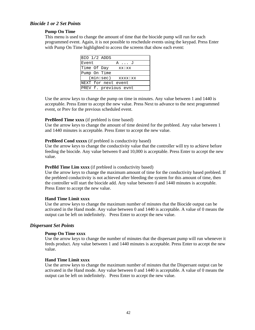# *Biocide 1 or 2 Set Points*

#### **Pump On Time**

This menu is used to change the amount of time that the biocide pump will run for each programmed event. Again, it is not possible to reschedule events using the keypad. Press Enter with Pump On Time highlighted to access the screens that show each event:

| BIO 1/2 ADDS          |       |
|-----------------------|-------|
| Event                 | AJ    |
| Time Of Day           | xx:xx |
| Pump On Time          |       |
| $(min:sec)$ $xxxx:xx$ |       |
| NEXT for next event   |       |
| PREV f. previous evnt |       |

Use the arrow keys to change the pump on time in minutes. Any value between 1 and 1440 is acceptable. Press Enter to accept the new value. Press Next to advance to the next programmed event, or Prev for the previous scheduled event.

#### **PreBleed Time xxxx** (if prebleed is time based)

Use the arrow keys to change the amount of time desired for the prebleed. Any value between 1 and 1440 minutes is acceptable. Press Enter to accept the new value.

#### **PreBleed Cond xxxxx** (if prebleed is conductivity based)

Use the arrow keys to change the conductivity value that the controller will try to achieve before feeding the biocide. Any value between 0 and 10,000 is acceptable. Press Enter to accept the new value.

### **PreBld Time Lim xxxx** (if prebleed is conductivity based)

Use the arrow keys to change the maximum amount of time for the conductivity based prebleed. If the prebleed conductivity is not achieved after bleeding the system for this amount of time, then the controller will start the biocide add. Any value between 0 and 1440 minutes is acceptable. Press Enter to accept the new value.

#### **Hand Time Limit xxxx**

Use the arrow keys to change the maximum number of minutes that the Biocide output can be activated in the Hand mode. Any value between 0 and 1440 is acceptable. A value of 0 means the output can be left on indefinitely. Press Enter to accept the new value.

### *Dispersant Set Points*

### **Pump On Time xxxx**

Use the arrow keys to change the number of minutes that the dispersant pump will run whenever it feeds product. Any value between 1 and 1440 minutes is acceptable. Press Enter to accept the new value.

#### **Hand Time Limit xxxx**

Use the arrow keys to change the maximum number of minutes that the Dispersant output can be activated in the Hand mode. Any value between 0 and 1440 is acceptable. A value of 0 means the output can be left on indefinitely. Press Enter to accept the new value.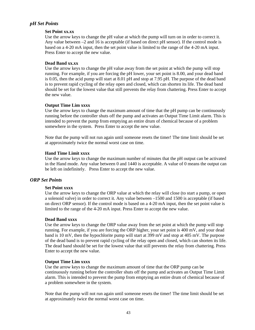# *pH Set Points*

### **Set Point xx.xx**

Use the arrow keys to change the pH value at which the pump will turn on in order to correct it. Any value between –2 and 16 is acceptable (if based on direct pH sensor). If the control mode is based on a 4-20 mA input, then the set point value is limited to the range of the 4-20 mA input. Press Enter to accept the new value.

### **Dead Band xx.xx**

Use the arrow keys to change the pH value away from the set point at which the pump will stop running. For example, if you are forcing the pH lower, your set point is 8.00, and your dead band is 0.05, then the acid pump will start at 8.01 pH and stop at 7.95 pH. The purpose of the dead band is to prevent rapid cycling of the relay open and closed, which can shorten its life. The dead band should be set for the lowest value that still prevents the relay from chattering. Press Enter to accept the new value.

### **Output Time Lim xxxx**

Use the arrow keys to change the maximum amount of time that the pH pump can be continuously running before the controller shuts off the pump and activates an Output Time Limit alarm. This is intended to prevent the pump from emptying an entire drum of chemical because of a problem somewhere in the system. Press Enter to accept the new value.

Note that the pump will not run again until someone resets the timer! The time limit should be set at approximately twice the normal worst case on time.

### **Hand Time Limit xxxx**

Use the arrow keys to change the maximum number of minutes that the pH output can be activated in the Hand mode. Any value between 0 and 1440 is acceptable. A value of 0 means the output can be left on indefinitely. Press Enter to accept the new value.

### *ORP Set Points*

#### **Set Point xxxx**

Use the arrow keys to change the ORP value at which the relay will close (to start a pump, or open a solenoid valve) in order to correct it. Any value between –1500 and 1500 is acceptable (if based on direct ORP sensor). If the control mode is based on a 4-20 mA input, then the set point value is limited to the range of the 4-20 mA input. Press Enter to accept the new value.

#### **Dead Band xxxx**

Use the arrow keys to change the ORP value away from the set point at which the pump will stop running. For example, if you are forcing the ORP higher, your set point is 400 mV, and your dead band is 10 mV, then the hypochlorite pump will start at 399 mV and stop at 405 mV. The purpose of the dead band is to prevent rapid cycling of the relay open and closed, which can shorten its life. The dead band should be set for the lowest value that still prevents the relay from chattering. Press Enter to accept the new value.

#### **Output Time Lim xxxx**

Use the arrow keys to change the maximum amount of time that the ORP pump can be continuously running before the controller shuts off the pump and activates an Output Time Limit alarm. This is intended to prevent the pump from emptying an entire drum of chemical because of a problem somewhere in the system.

Note that the pump will not run again until someone resets the timer! The time limit should be set at approximately twice the normal worst case on time.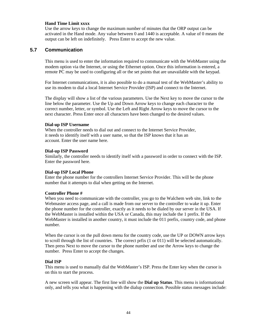### **Hand Time Limit xxxx**

Use the arrow keys to change the maximum number of minutes that the ORP output can be activated in the Hand mode. Any value between 0 and 1440 is acceptable. A value of 0 means the output can be left on indefinitely. Press Enter to accept the new value.

# **5.7 Communication**

This menu is used to enter the information required to communicate with the WebMaster using the modem option via the Internet, or using the Ethernet option. Once this information is entered, a remote PC may be used to configuring all or the set points that are unavailable with the keypad.

For Internet communications, it is also possible to do a manual test of the WebMaster's ability to use its modem to dial a local Internet Service Provider (ISP) and connect to the Internet.

The display will show a list of the various parameters. Use the Next key to move the cursor to the line below the parameter. Use the Up and Down Arrow keys to change each character to the correct number, letter, or symbol. Use the Left and Right Arrow keys to move the cursor to the next character. Press Enter once all characters have been changed to the desired values.

#### **Dial-up ISP Username**

When the controller needs to dial out and connect to the Internet Service Provider, it needs to identify itself with a user name, so that the ISP knows that it has an account. Enter the user name here.

### **Dial-up ISP Password**

Similarly, the controller needs to identify itself with a password in order to connect with the ISP. Enter the password here.

#### **Dial-up ISP Local Phone**

Enter the phone number for the controllers Internet Service Provider. This will be the phone number that it attempts to dial when getting on the Internet.

#### **Controller Phone #**

When you need to communicate with the controller, you go to the Walchem web site, link to the Webmaster access page, and a call is made from our server to the controller to wake it up. Enter the phone number for the controller, exactly as it needs to be dialed by our server in the USA. If the WebMaster is installed within the USA or Canada, this may include the 1 prefix. If the WebMaster is installed in another country, it must include the 011 prefix, country code, and phone number.

When the cursor is on the pull down menu for the country code, use the UP or DOWN arrow keys to scroll through the list of countries. The correct prfix (1 or 011) will be selected automatically. Then press Next to move the cursor to the phone number and use the Arrow keys to change the number. Press Enter to accept the changes.

#### **Dial ISP**

This menu is used to manually dial the WebMaster's ISP. Press the Enter key when the cursor is on this to start the process.

A new screen will appear. The first line will show the **Dial up Status**. This menu is informational only, and tells you what is happening with the dialup connection. Possible status messages include: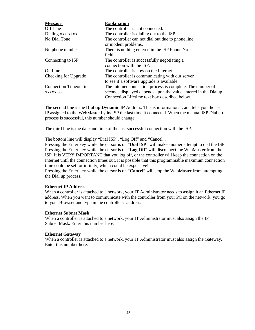| <b>Message</b>                            | <b>Explanation</b>                                                                                                                                                            |  |  |
|-------------------------------------------|-------------------------------------------------------------------------------------------------------------------------------------------------------------------------------|--|--|
| Off Line                                  | The controller is not connected.                                                                                                                                              |  |  |
| Dialing xxx-xxxx                          | The controller is dialing out to the ISP.                                                                                                                                     |  |  |
| No Dial Tone                              | The controller can not dial out due to phone line<br>or modem problems.                                                                                                       |  |  |
| No phone number                           | There is nothing entered in the ISP Phone No.<br>field.                                                                                                                       |  |  |
| Connecting to ISP                         | The controller is successfully negotiating a<br>connection with the ISP.                                                                                                      |  |  |
| On Line                                   | The controller is now on the Internet.                                                                                                                                        |  |  |
| Checking for Upgrade                      | The controller is communicating with our server<br>to see if a software upgrade is available.                                                                                 |  |  |
| Connection Timeout in<br><b>XXXXX Sec</b> | The Internet connection process is complete. The number of<br>seconds displayed depends upon the value entered in the Dialup<br>Connection Lifetime text box described below. |  |  |

The second line is the **Dial up Dynamic IP** Address. This is informational, and tells you the last IP assigned to the WebMaster by its ISP the last time it connected. When the manual ISP Dial up process is successful, this number should change.

The third line is the date and time of the last successful connection with the ISP.

The bottom line will display "Dial ISP", "Log Off" and "Cancel".

Pressing the Enter key while the cursor is on "**Dial ISP**" will make another attempt to dial the ISP. Pressing the Enter key while the cursor is on "**Log Off**" will disconnect the WebMaster from the ISP. It is VERY IMPORTANT that you log off, or the controller will keep the connection on the Internet until the connection times out. It is possible that this programmable maximum connection time could be set for infinity, which could be expensive!

Pressing the Enter key while the cursor is on "**Cancel**" will stop the WebMaster from attempting the Dial up process.

#### **Ethernet IP Address**

When a controller is attached to a network, your IT Administrator needs to assign it an Ethernet IP address. When you want to communicate with the controller from your PC on the network, you go to your Browser and type in the controller's address.

#### **Ethernet Subnet Mask**

When a controller is attached to a network, your IT Administrator must also assign the IP Subnet Mask. Enter this number here.

#### **Ethernet Gateway**

When a controller is attached to a network, your IT Administrator must also assign the Gateway. Enter this number here.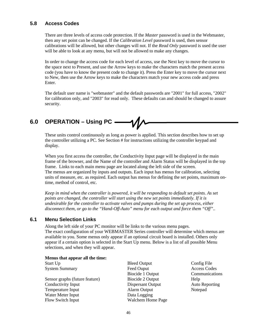# **5.8 Access Codes**

There are three levels of access code protection. If the *Master* password is used in the Webmaster, then any set point can be changed. If the *Calibration Level* password is used, then sensor calibrations will be allowed, but other changes will not. If the *Read Only* password is used the user will be able to look at any menu, but will not be allowed to make any changes.

In order to change the access code for each level of access, use the Next key to move the cursor to the space next to Present, and use the Arrow keys to make the characters match the present access code (you have to know the present code to change it). Press the Enter key to move the cursor next to New, then use the Arrow keys to make the characters match your new access code and press Enter.

The default user name is "webmaster" and the default passwords are "2001" for full access, "2002" for calibration only, and "2003" for read only. These defaults can and should be changed to assure security.

**6.0 OPERATION – Using PC** — 1

These units control continuously as long as power is applied. This section describes how to set up the controller utilizing a PC. See Section # for instructions utilizing the controller keypad and display.

When you first access the controller, the Conductivity Input page will be displayed in the main frame of the browser, and the Name of the controller and Alarm Status will be displayed in the top frame. Links to each main menu page are located along the left side of the screen. The menus are organized by inputs and outputs. Each input has menus for calibration, selecting units of measure, etc. as required. Each output has menus for defining the set points, maximum ontime, method of control, etc.

*Keep in mind when the controller is powered, it will be responding to default set points. As set points are changed, the controller will start using the new set points immediately. If it is undesirable for the controller to activate valves and pumps during the set up process, either disconnect them, or go to the "Hand-Off-Auto" menu for each output and force them "Off"..* 

# **6.1 Menu Selection Links**

Along the left side of your PC monitor will be links to the various menu pages. The exact configuration of your WEBMASTER Series controller will determine which menus are available to you. Some menus only appear if an optional circuit board is installed. Others only appear if a certain option is selected in the Start Up menu. Below is a list of all possible Menu selections, and when they will appear.

**Menus that appear all the time:**

| Start Up                       |
|--------------------------------|
| <b>System Summary</b>          |
|                                |
| Sensor graphs (future feature) |
| Conductivity Input             |
| Temperature Input              |
| Water Meter Input              |
| Flow Switch Input              |
|                                |

Bleed Output Config File Feed Ouput Access Codes Biocide 1 Output Communications Biocide 2 Output Help Dispersant Output Auto Reporting Alarm Output Notepad Data Logging Walchem Home Page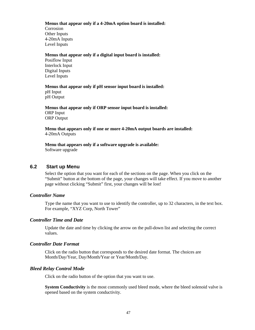### **Menus that appear only if a 4-20mA option board is installed:**

Corrosion Other Inputs 4-20mA Inputs Level Inputs

### **Menus that appear only if a digital input board is installed:**

Posiflow Input Interlock Input Digital Inputs Level Inputs

# **Menus that appear only if pH sensor input board is installed:** pH Input

pH Output

**Menus that appear only if ORP sensor input board is installed:** ORP Input ORP Output

**Menu that appears only if one or more 4-20mA output boards are installed:** 4-20mA Outputs

**Menu that appears only if a software upgrade is available:** Software upgrade

# **6.2 Start up Menu**

Select the option that you want for each of the sections on the page. When you click on the "Submit" button at the bottom of the page, your changes will take effect. If you move to another page without clicking "Submit" first, your changes will be lost!

# *Controller Name*

Type the name that you want to use to identify the controller, up to 32 characters, in the text box. For example, "XYZ Corp, North Tower"

# *Controller Time and Date*

Update the date and time by clicking the arrow on the pull-down list and selecting the correct values.

### *Controller Date Format*

Click on the radio button that corresponds to the desired date format. The choices are Month/Day/Year, Day/Month/Year or Year/Month/Day.

# *Bleed Relay Control Mode*

Click on the radio button of the option that you want to use.

**System Conductivity** is the most commonly used bleed mode, where the bleed solenoid valve is opened based on the system conductivity.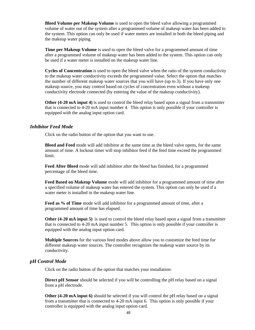**Bleed Volume per Makeup Volume** is used to open the bleed valve allowing a programmed volume of water out of the system after a programmed volume of makeup water has been added to the system. This option can only be used if water meters are installed in both the bleed piping and the makeup water piping.

**Time per Makeup Volume** is used to open the bleed valve for a programmed amount of time after a programmed volume of makeup water has been added to the system. This option can only be used if a water meter is installed on the makeup water line.

**Cycles of Concentration** is used to open the bleed valve when the ratio of the system conductivity to the makeup water conductivity exceeds the programmed value. Select the option that matches the number of different makeup water sources that you will have (up to 3). If you have only one makeup source, you may control based on cycles of concentration even without a makeup conductivity electrode connected (by entering the value of the makeup conductivity).

**Other (4-20 mA input 4)** is used to control the bleed relay based upon a signal from a transmitter that is connected to 4-20 mA input number 4. This option is only possible if your controller is equipped with the analog input option card.

### *Inhibitor Feed Mode*

Click on the radio button of the option that you want to use.

**Bleed and Feed** mode will add inhibitor at the same time as the bleed valve opens, for the same amount of time. A lockout timer will stop inhibitor feed if the feed time exceed the programmed limit.

**Feed After Bleed** mode will add inhibitor after the bleed has finished, for a programmed percentage of the bleed time.

**Feed Based on Makeup Volume** mode will add inhibitor for a programmed amount of time after a specified volume of makeup water has entered the system. This option can only be used if a water meter is installed in the makeup water line.

**Feed as % of Time** mode will add inhibitor for a programmed amount of time, after a programmed amount of time has elapsed.

**Other (4-20 mA input 5)** is used to control the bleed relay based upon a signal from a transmitter that is connected to 4-20 mA input number 5. This option is only possible if your controller is equipped with the analog input option card.

**Multiple Sources** for the various feed modes above allow you to customize the feed time for different makeup water sources. The controller recognizes the makeup water source by its conductivity.

### *pH Control Mode*

Click on the radio button of the option that matches your installation:

**Direct pH Sensor** should be selected if you will be controlling the pH relay based on a signal from a pH electrode.

**Other (4-20 mA input 6)** should be selected if you will control the pH relay based on a signal from a transmitter that is connected to 4-20 mA input 6. This option is only possible if your controller is equipped with the analog input option card.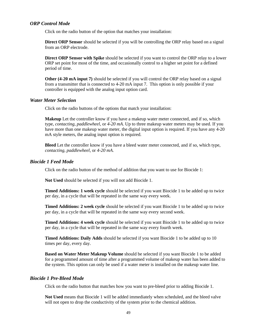### *ORP Control Mode*

Click on the radio button of the option that matches your installation:

**Direct ORP Sensor** should be selected if you will be controlling the ORP relay based on a signal from an ORP electrode.

**Direct ORP Sensor with Spike** should be selected if you want to control the ORP relay to a lower ORP set point for most of the time, and occasionally control to a higher set point for a defined period of time.

**Other (4-20 mA input 7)** should be selected if you will control the ORP relay based on a signal from a transmitter that is connected to 4-20 mA input 7. This option is only possible if your controller is equipped with the analog input option card.

### *Water Meter Selection*

Click on the radio buttons of the options that match your installation:

**Makeup** Let the controller know if you have a makeup water meter connected, and if so, which type, *contacting*, *paddlewheel*, or *4-20 mA*. Up to three makeup water meters may be used. If you have more than one makeup water meter, the digital input option is required. If you have any 4-20 mA style meters, the analog input option is required.

**Bleed** Let the controller know if you have a bleed water meter connected, and if so, which type, *contacting*, *paddlewheel*, or *4-20 mA*.

### *Biocide 1 Feed Mode*

Click on the radio button of the method of addition that you want to use for Biocide 1:

**Not Used** should be selected if you will not add Biocide 1.

**Timed Additions: 1 week cycle** should be selected if you want Biocide 1 to be added up to twice per day, in a cycle that will be repeated in the same way every week.

**Timed Additions: 2 week cycle** should be selected if you want Biocide 1 to be added up to twice per day, in a cycle that will be repeated in the same way every second week.

**Timed Additions: 4 week cycle** should be selected if you want Biocide 1 to be added up to twice per day, in a cycle that will be repeated in the same way every fourth week.

**Timed Additions: Daily Adds** should be selected if you want Biocide 1 to be added up to 10 times per day, every day.

**Based on Water Meter Makeup Volume** should be selected if you want Biocide 1 to be added for a programmed amount of time after a programmed volume of makeup water has been added to the system. This option can only be used if a water meter is installed on the makeup water line.

### *Biocide 1 Pre-Bleed Mode*

Click on the radio button that matches how you want to pre-bleed prior to adding Biocide 1.

**Not Used** means that Biocide 1 will be added immediately when scheduled, and the bleed valve will not open to drop the conductivity of the system prior to the chemical addition.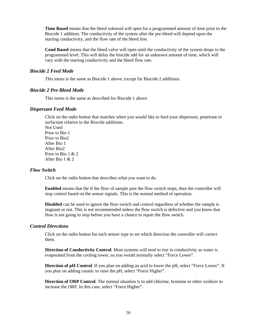**Time Based** means that the bleed solenoid will open for a programmed amount of time prior to the Biocide 1 addition. The conductivity of the system after the pre-bleed will depend upon the starting conductivity, and the flow rate of the bleed line.

**Cond Based** means that the bleed valve will open until the conductivity of the system drops to the programmed level. This will delay the biocide add for an unknown amount of time, which will vary with the starting conductivity and the bleed flow rate.

### *Biocide 2 Feed Mode*

This menu is the same as Biocide 1 above, except for Biocide 2 additions.

### *Biocide 2 Pre-Bleed Mode*

This menu is the same as described for Biocide 1 above.

### *Dispersant Feed Mode*

Click on the radio button that matches when you would like to feed your dispersant, penetrant or surfactant relative to the Biocide additions.

Not Used Prior to Bio 1 Prior to Bio2 After Bio 1 After Bio2 Prior to Bio 1 & 2 After Bio 1 & 2

### *Flow Switch*

Click on the radio button that describes what you want to do.

**Enabled** means that the if the flow of sample past the flow switch stops, then the controller will stop control based on the sensor signals. This is the normal method of operation.

**Disabled** can be used to ignore the flow switch and control regardless of whether the sample is stagnant or not. This is not recommended unless the flow switch is defective and you know that flow is not going to stop before you have a chance to repair the flow switch.

### *Control Directions*

Click on the radio button for each sensor type to set which direction the controller will correct them.

**Direction of Conductivity Control**. Most systems will tend to rise in conductivity as water is evaporated from the cooling tower, so you would normally select "Force Lower".

**Direction of pH Control**. If you plan on adding an acid to lower the pH, select "Force Lower". If you plan on adding caustic to raise the pH, select "Force Higher".

**Direction of ORP Control***.* The normal situation is to add chlorine, bromine or other oxidizer to increase the ORP. In this case, select "Force Higher".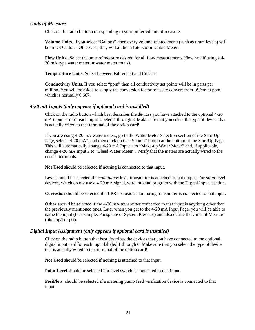## *Units of Measure*

Click on the radio button corresponding to your preferred unit of measure.

**Volume Units**. If you select "Gallons", then every volume-related menu (such as drum levels) will be in US Gallons. Otherwise, they will all be in Liters or in Cubic Meters.

**Flow Units**. Select the units of measure desired for all flow measurements (flow rate if using a 4- 20 mA type water meter or water meter totals).

**Temperature Units.** Select between Fahrenheit and Celsius.

**Conductivity Units**. If you select "ppm" then all conductivity set points will be in parts per million. You will be asked to supply the conversion factor to use to convert from μS/cm to ppm, which is normally 0.667.

### *4-20 mA Inputs (only appears if optional card is installed)*

Click on the radio button which best describes the devices you have attached to the optional 4-20 mA input card for each input labeled 1 through 8. Make sure that you select the type of device that is actually wired to that terminal of the option card!

If you are using 4-20 mA water meters, go to the Water Meter Selection section of the Start Up Page, select "4-20 mA", and then click on the "Submit" button at the bottom of the Start Up Page. This will automatically change 4-20 mA Input 1 to "Make-up Water Meter" and, if applicable, change 4-20 mA Input 2 to "Bleed Water Meter". Verify that the meters are actually wired to the correct terminals.

**Not Used** should be selected if nothing is connected to that input.

**Level** should be selected if a *continuous* level transmitter is attached to that output. For *point* level devices, which do not use a 4-20 mA signal, wire into and program with the Digital Inputs section.

**Corrosion** should be selected if a LPR corrosion-monitoring transmitter is connected to that input.

**Other** should be selected if the 4-20 mA transmitter connected to that input is anything other than the previously mentioned ones. Later when you get to the 4-20 mA Input Page, you will be able to name the input (for example, Phosphate or System Pressure) and also define the Units of Measure (like mg/l or psi).

### *Digital Input Assignment (only appears if optional card is installed)*

Click on the radio button that best describes the devices that you have connected to the optional digital input card for each input labeled 1 through 6. Make sure that you select the type of device that is actually wired to that terminal of the option card!

**Not Used** should be selected if nothing is attached to that input.

**Point Level** should be selected if a level switch is connected to that input.

**PosiFlow** should be selected if a metering pump feed verification device is connected to that input.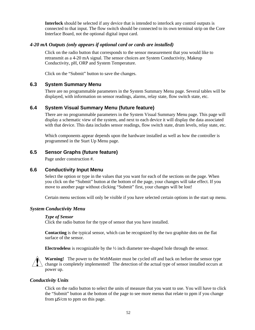**Interlock** should be selected if any device that is intended to interlock any control outputs is connected to that input. The flow switch should be connected to its own terminal strip on the Core Interface Board, not the optional digital input card.

# *4-20 mA Outputs (only appears if optional card or cards are installed)*

Click on the radio button that corresponds to the sensor measurement that you would like to retransmit as a 4-20 mA signal. The sensor choices are System Conductivity, Makeup Conductivity, pH, ORP and System Temperature.

Click on the "Submit" button to save the changes.

# **6.3 System Summary Menu**

There are no programmable parameters in the System Summary Menu page. Several tables will be displayed, with information on sensor readings, alarms, relay state, flow switch state, etc.

# **6.4 System Visual Summary Menu (future feature)**

There are no programmable parameters in the System Visual Summary Menu page. This page will display a schematic view of the system, and next to each device it will display the data associated with that device. This data includes sensor readings, flow switch state, drum levels, relay state, etc.

Which components appear depends upon the hardware installed as well as how the controller is programmed in the Start Up Menu page.

# **6.5 Sensor Graphs (future feature)**

Page under construction #.

### **6.6 Conductivity Input Menu**

Select the option or type in the values that you want for each of the sections on the page. When you click on the "Submit" button at the bottom of the page, your changes will take effect. If you move to another page without clicking "Submit" first, your changes will be lost!

Certain menu sections will only be visible if you have selected certain options in the start up menu.

### *System Conductivity Menu*

#### *Type of Sensor*

Click the radio button for the type of sensor that you have installed.

**Contacting** is the typical sensor, which can be recognized by the two graphite dots on the flat surface of the sensor.

**Electrodeles***s* is recognizable by the ½ inch diameter tee-shaped hole through the sensor.



**Warning!** The power to the WebMaster must be cycled off and back on before the sensor type change is completely implemented! The detection of the actual type of sensor installed occurs at power up.

### *Conductivity Units*

Click on the radio button to select the units of measure that you want to use. You will have to click the "Submit" button at the bottom of the page to see more menus that relate to ppm if you change from μS/cm to ppm on this page.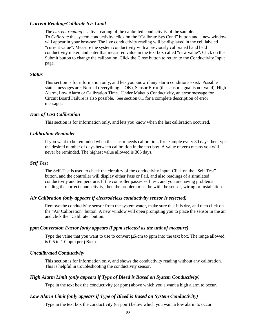### *Current Reading/Calibrate Sys Cond*

The *current reading* is a live reading of the calibrated conductivity of the sample. To *Calibrate* the system conductivity, click on the "Calibrate Sys Cond" button and a new window will appear in your browser. The live conductivity reading will be displayed in the cell labeled "current value". Measure the system conductivity with a previously calibrated hand held conductivity meter, and enter that measured value in the text box called "new value". Click on the Submit button to change the calibration. Click the Close button to return to the Conductivity Input page.

#### *Status*

This section is for information only, and lets you know if any alarm conditions exist. Possible status messages are; Normal (everything is OK), Sensor Error (the sensor signal is not valid), High Alarm, Low Alarm or Calibration Time. Under Makeup Conductivity, an error message for Circuit Board Failure is also possible. See section 8.1 for a complete description of error messages.

### *Date of Last Calibration*

This section is for information only, and lets you know when the last calibration occurred.

### *Calibration Reminder*

If you want to be reminded when the sensor needs calibration, for example every 30 days then type the desired number of days between calibration in the text box. A value of zero means you will never be reminded. The highest value allowed is 365 days.

#### *Self Test*

The Self Test is used to check the circuitry of the conductivity input. Click on the "Self Test" button, and the controller will display either Pass or Fail, and also readings of a simulated conductivity and temperature. If the controller passes self test, and you are having problems reading the correct conductivity, then the problem must be with the sensor, wiring or installation.

### *Air Calibration (only appears if electrodeless conductivity sensor is selected)*

Remove the conductivity sensor from the system water, make sure that it is dry, and then click on the "Air Calibration" button. A new window will open prompting you to place the sensor in the air and click the "Calibrate" button.

### *ppm Conversion Factor (only appears if ppm selected as the unit of measure)*

Type the value that you want to use to convert μS/cm to ppm into the text box. The range allowed is 0.5 to 1.0 ppm per  $\mu$ S/cm.

### *Uncalibrated Conductivity*

This section is for information only, and shows the conductivity reading without any calibration. This is helpful in troubleshooting the conductivity sensor.

### *High Alarm Limit (only appears if Type of Bleed is Based on System Conductivity)*

Type in the text box the conductivity (or ppm) above which you a want a high alarm to occur.

### *Low Alarm Limit (only appears if Type of Bleed is Based on System Conductivity)*

Type in the text box the conductivity (or ppm) below which you want a low alarm to occur.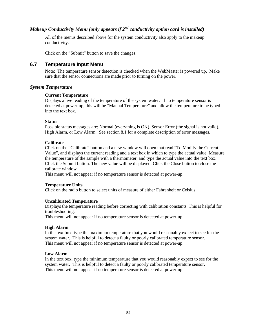# *Makeup Conductivity Menu (only appears if 2nd conductivity option card is installed)*

All of the menus described above for the system conductivity also apply to the makeup conductivity.

Click on the "Submit" button to save the changes.

# **6.7 Temperature Input Menu**

Note: The temperature sensor detection is checked when the WebMaster is powered up. Make sure that the sensor connections are made prior to turning on the power.

### *System Temperature*

### **Current Temperature**

Displays a live reading of the temperature of the system water. If no temperature sensor is detected at power-up, this will be "Manual Temperature" and allow the temperature to be typed into the text box.

### **Status**

Possible status messages are; Normal (everything is OK), Sensor Error (the signal is not valid), High Alarm, or Low Alarm. See section 8.1 for a complete description of error messages.

### **Calibrate**

Click on the "Calibrate" button and a new window will open that read "To Modify the Current Value", and displays the current reading and a text box in which to type the actual value. Measure the temperature of the sample with a thermometer, and type the actual value into the text box. Click the Submit button. The new value will be displayed. Click the Close button to close the calibrate window.

This menu will not appear if no temperature sensor is detected at power-up.

### **Temperature Units**

Click on the radio button to select units of measure of either Fahrenheit or Celsius.

### **Uncalibrated Temperature**

Displays the temperature reading before correcting with calibration constants. This is helpful for troubleshooting.

This menu will not appear if no temperature sensor is detected at power-up.

### **High Alarm**

In the text box, type the maximum temperature that you would reasonably expect to see for the system water. This is helpful to detect a faulty or poorly calibrated temperature sensor. This menu will not appear if no temperature sensor is detected at power-up.

### **Low Alarm**

In the text box, type the minimum temperature that you would reasonably expect to see for the system water. This is helpful to detect a faulty or poorly calibrated temperature sensor. This menu will not appear if no temperature sensor is detected at power-up.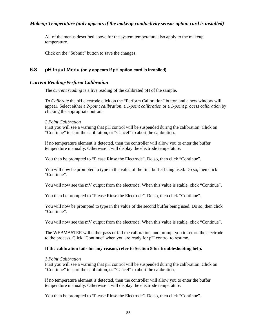# *Makeup Temperature (only appears if the makeup conductivity sensor option card is installed)*

All of the menus described above for the system temperature also apply to the makeup temperature.

Click on the "Submit" button to save the changes.

# **6.8 pH Input Menu (only appears if pH option card is installed)**

### *Current Reading/Perform Calibration*

The *current reading* is a live reading of the calibrated pH of the sample.

To *Calibrate* the pH electrode click on the "Perform Calibration" button and a new window will appear. Select either a *2-point calibration*, a *1-point calibration* or a *1-point process calibration* by clicking the appropriate button.

#### *2 Point Calibration*

First you will see a warning that pH control will be suspended during the calibration. Click on "Continue" to start the calibration, or "Cancel" to abort the calibration.

If no temperature element is detected, then the controller will allow you to enter the buffer temperature manually. Otherwise it will display the electrode temperature.

You then be prompted to "Please Rinse the Electrode". Do so, then click "Continue".

You will now be prompted to type in the value of the first buffer being used. Do so, then click "Continue".

You will now see the mV output from the electrode. When this value is stable, click "Continue".

You then be prompted to "Please Rinse the Electrode". Do so, then click "Continue".

You will now be prompted to type in the value of the second buffer being used. Do so, then click "Continue".

You will now see the mV output from the electrode. When this value is stable, click "Continue".

The WEBMASTER will either pass or fail the calibration, and prompt you to return the electrode to the process. Click "Continue" when you are ready for pH control to resume.

#### **If the calibration fails for any reason, refer to Section 8 for troubleshooting help.**

#### *1 Point Calibration*

First you will see a warning that pH control will be suspended during the calibration. Click on "Continue" to start the calibration, or "Cancel" to abort the calibration.

If no temperature element is detected, then the controller will allow you to enter the buffer temperature manually. Otherwise it will display the electrode temperature.

You then be prompted to "Please Rinse the Electrode". Do so, then click "Continue".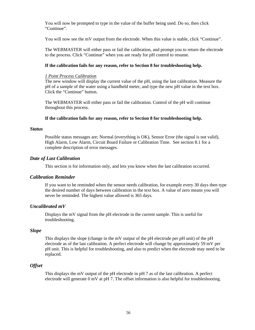You will now be prompted to type in the value of the buffer being used. Do so, then click "Continue".

You will now see the mV output from the electrode. When this value is stable, click "Continue".

The WEBMASTER will either pass or fail the calibration, and prompt you to return the electrode to the process. Click "Continue" when you are ready for pH control to resume.

### **If the calibration fails for any reason, refer to Section 8 for troubleshooting help.**

### *1 Point Process Calibration*

The new window will display the current value of the pH, using the last calibration. Measure the pH of a sample of the water using a handheld meter, and type the new pH value in the text box. Click the "Continue" button.

The WEBMASTER will either pass or fail the calibration. Control of the pH will continue throughout this process.

### **If the calibration fails for any reason, refer to Section 8 for troubleshooting help.**

### *Status*

Possible status messages are; Normal (everything is OK), Sensor Error (the signal is not valid), High Alarm, Low Alarm, Circuit Board Failure or Calibration Time. See section 8.1 for a complete description of error messages.

### *Date of Last Calibration*

This section is for information only, and lets you know when the last calibration occurred.

### *Calibration Reminder*

If you want to be reminded when the sensor needs calibration, for example every 30 days then type the desired number of days between calibration in the text box. A value of zero means you will never be reminded. The highest value allowed is 365 days.

### *Uncalibrated mV*

Displays the mV signal from the pH electrode in the current sample. This is useful for troubleshooting.

### *Slope*

This displays the slope (change in the mV output of the pH electrode per pH unit) of the pH electrode as of the last calibration. A perfect electrode will change by approximately 59 mV per pH unit. This is helpful for troubleshooting, and also to predict when the electrode may need to be replaced.

### *Offset*

This displays the mV output of the pH electrode in pH 7 as of the last calibration. A perfect electrode will generate 0 mV at pH 7. The offset information is also helpful for troubleshooting.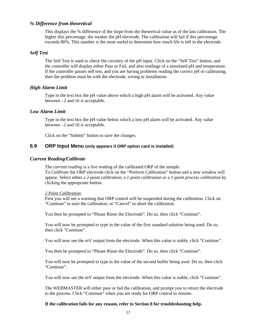# *% Difference from theoretical*

This displays the % difference of the slope from the theoretical value as of the last calibration. The higher this percentage, the weaker the pH electrode. The calibration will fail if this percentage exceeds 80%. This number is the most useful to determine how much life is left in the electrode.

### *Self Test*

The Self Test is used to check the circuitry of the pH input. Click on the "Self Test" button, and the controller will display either Pass or Fail, and also readings of a simulated pH and temperature. If the controller passes self test, and you are having problems reading the correct pH or calibrating, then the problem must be with the electrode, wiring or installation.

### *High Alarm Limit*

Type in the text box the pH value above which a high pH alarm will be activated. Any value between –2 and 16 is acceptable.

#### *Low Alarm Limit*

Type in the text box the pH value below which a low pH alarm will be activated. Any value between –2 and 16 is acceptable.

Click on the "Submit" button to save the changes.

### **6.9 ORP Input Menu (only appears if ORP option card is installed**)

### *Current Reading/Calibrate*

The *current reading* is a live reading of the calibrated ORP of the sample. To *Calibrate* the ORP electrode click on the "Perform Calibration" button and a new window will appear. Select either a *2-point calibration*, a *1-point calibration* or a *1-point process calibration* by clicking the appropriate button.

#### *2 Point Calibration*

First you will see a warning that ORP control will be suspended during the calibration. Click on "Continue" to start the calibration, or "Cancel" to abort the calibration.

You then be prompted to "Please Rinse the Electrode". Do so, then click "Continue".

You will now be prompted to type in the value of the first standard solution being used. Do so, then click "Continue".

You will now see the mV output from the electrode. When this value is stable, click "Continue".

You then be prompted to "Please Rinse the Electrode". Do so, then click "Continue".

You will now be prompted to type in the value of the second buffer being used. Do so, then click "Continue".

You will now see the mV output from the electrode. When this value is stable, click "Continue".

The WEBMASTER will either pass or fail the calibration, and prompt you to return the electrode to the process. Click "Continue" when you are ready for ORP control to resume.

#### **If the calibration fails for any reason, refer to Section 8 for troubleshooting help.**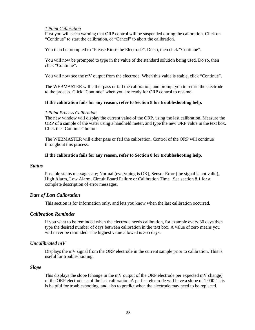### *1 Point Calibration*

First you will see a warning that ORP control will be suspended during the calibration. Click on "Continue" to start the calibration, or "Cancel" to abort the calibration.

You then be prompted to "Please Rinse the Electrode". Do so, then click "Continue".

You will now be prompted to type in the value of the standard solution being used. Do so, then click "Continue".

You will now see the mV output from the electrode. When this value is stable, click "Continue".

The WEBMASTER will either pass or fail the calibration, and prompt you to return the electrode to the process. Click "Continue" when you are ready for ORP control to resume.

#### **If the calibration fails for any reason, refer to Section 8 for troubleshooting help.**

#### *1 Point Process Calibration*

The new window will display the current value of the ORP, using the last calibration. Measure the ORP of a sample of the water using a handheld meter, and type the new ORP value in the text box. Click the "Continue" button.

The WEBMASTER will either pass or fail the calibration. Control of the ORP will continue throughout this process.

#### **If the calibration fails for any reason, refer to Section 8 for troubleshooting help.**

#### *Status*

Possible status messages are; Normal (everything is OK), Sensor Error (the signal is not valid), High Alarm, Low Alarm, Circuit Board Failure or Calibration Time. See section 8.1 for a complete description of error messages.

### *Date of Last Calibration*

This section is for information only, and lets you know when the last calibration occurred.

### *Calibration Reminder*

If you want to be reminded when the electrode needs calibration, for example every 30 days then type the desired number of days between calibration in the text box. A value of zero means you will never be reminded. The highest value allowed is 365 days.

### *Uncalibrated mV*

Displays the mV signal from the ORP electrode in the current sample prior to calibration. This is useful for troubleshooting.

#### *Slope*

This displays the slope (change in the mV output of the ORP electrode per expected mV change) of the ORP electrode as of the last calibration. A perfect electrode will have a slope of 1.000. This is helpful for troubleshooting, and also to predict when the electrode may need to be replaced.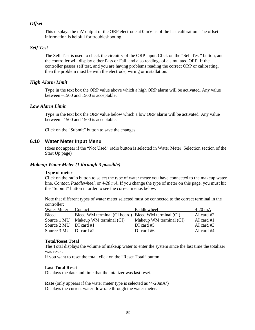# *Offset*

This displays the mV output of the ORP electrode at 0 mV as of the last calibration. The offset information is helpful for troubleshooting.

### *Self Test*

The Self Test is used to check the circuitry of the ORP input. Click on the "Self Test" button, and the controller will display either Pass or Fail, and also readings of a simulated ORP. If the controller passes self test, and you are having problems reading the correct ORP or calibrating, then the problem must be with the electrode, wiring or installation.

### *High Alarm Limit*

Type in the text box the ORP value above which a high ORP alarm will be activated. Any value between –1500 and 1500 is acceptable.

### *Low Alarm Limit*

Type in the text box the ORP value below which a low ORP alarm will be activated. Any value between –1500 and 1500 is acceptable.

Click on the "Submit" button to save the changes.

# **6.10 Water Meter Input Menu**

(does not appear if the "Not Used" radio button is selected in Water Meter Selection section of the Start Up page)

### *Makeup Water Meter (1 through 3 possible)*

#### **Type of meter**

Click on the radio button to select the type of water meter you have connected to the makeup water line, *Contact*, *Paddlewheel*, or *4-20 mA*. If you change the type of meter on this page, you must hit the "Submit" button in order to see the correct menus below.

Note that different types of water meter selected must be connected to the correct terminal in the controller:

| Water Meter              | Contact                                             | Paddlewheel             | $4-20$ mA    |
|--------------------------|-----------------------------------------------------|-------------------------|--------------|
| Bleed                    | Bleed WM terminal (CI board) Bleed WM terminal (CI) |                         | AI card $#2$ |
|                          | Source 1 MU Makeup WM terminal (CI)                 | Makeup WM terminal (CI) | AI card $#1$ |
| Source $2 MU$ DI card #1 |                                                     | DI card $#5$            | AI card $#3$ |
| Source $3 MU$ DI card #2 |                                                     | DI card $#6$            | AI card $#4$ |

#### **Total/Reset Total**

The Total displays the volume of makeup water to enter the system since the last time the totalizer was reset.

If you want to reset the total, click on the "Reset Total" button.

#### **Last Total Reset**

Displays the date and time that the totalizer was last reset.

**Rate** (only appears if the water meter type is selected as '4-20mA') Displays the current water flow rate through the water meter.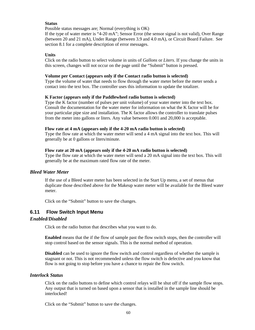### **Status**

Possible status messages are; Normal (everything is OK)

If the type of water meter is "4-20 mA"; Sensor Error (the sensor signal is not valid), Over Range (between 20 and 21 mA), Under Range (between 3.9 and 4.0 mA), or Circuit Board Failure. See section 8.1 for a complete description of error messages.

### **Units**

Click on the radio button to select volume in units of *Gallons* or *Liters*. If you change the units in this screen, changes will not occur on the page until the "Submit" button is pressed.

#### **Volume per Contact (appears only if the Contact radio button is selected)**

Type the volume of water that needs to flow through the water meter before the meter sends a contact into the text box. The controller uses this information to update the totalizer.

### **K Factor (appears only if the Paddlewheel radio button is selected)**

Type the K factor (number of pulses per unit volume) of your water meter into the text box. Consult the documentation for the water meter for information on what the K factor will be for your particular pipe size and installation. The K factor allows the controller to translate pulses from the meter into gallons or liters. Any value between 0.001 and 20,000 is acceptable.

### **Flow rate at 4 mA (appears only if the 4-20 mA radio button is selected)**

Type the flow rate at which the water meter will send a 4 mA signal into the text box. This will generally be at 0 gallons or liters/minute.

#### **Flow rate at 20 mA (appears only if the 4-20 mA radio button is selected)**

Type the flow rate at which the water meter will send a 20 mA signal into the text box. This will generally be at the maximum rated flow rate of the meter.

### *Bleed Water Meter*

If the use of a Bleed water meter has been selected in the Start Up menu, a set of menus that duplicate those described above for the Makeup water meter will be available for the Bleed water meter.

Click on the "Submit" button to save the changes.

### **6.11 Flow Switch Input Menu**

#### *Enabled/Disabled*

Click on the radio button that describes what you want to do.

**Enabled** means that the if the flow of sample past the flow switch stops, then the controller will stop control based on the sensor signals. This is the normal method of operation.

**Disabled** can be used to ignore the flow switch and control regardless of whether the sample is stagnant or not. This is not recommended unless the flow switch is defective and you know that flow is not going to stop before you have a chance to repair the flow switch.

### *Interlock Status*

Click on the radio buttons to define which control relays will be shut off if the sample flow stops. Any output that is turned on based upon a sensor that is installed in the sample line should be interlocked!

Click on the "Submit" button to save the changes.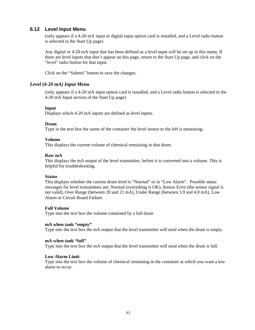# **6.12 Level Input Menu**

(only appears if a 4-20 mA input or digital input option card is installed, and a Level radio button is selected in the Start Up page)

Any digital or 4-20 mA input that has been defined as a level input will be set up in this menu. If there are level inputs that don't appear on this page, return to the Start Up page, and click on the "level" radio button for that input.

Click on the "Submit" button to save the changes.

### *Level (4-20 mA) Input Menu*

(only appears if a 4-20 mA input option card is installed, and a Level radio button is selected in the 4-20 mA Input section of the Start Up page)

### **Input**

Displays which 4-20 mA inputs are defined as level inputs.

### **Drum**

Type in the text box the name of the container the level sensor to the left is measuring.

### **Volume**

This displays the current volume of chemical remaining in that drum.

### **Raw mA**

This displays the mA output of the level transmitter, before it is converted into a volume. This is helpful for troubleshooting.

### **Status**

This displays whether the current drum level is "Normal" or in "Low Alarm". Possible status messages for level transmitters are; Normal (everything is OK), Sensor Error (the sensor signal is not valid), Over Range (between 20 and 21 mA), Under Range (between 3.9 and 4.0 mA), Low Alarm or Circuit Board Failure.

#### **Full Volume**

Type into the text box the volume contained by a full drum

#### **mA when tank "empty"**

Type into the text box the mA output that the level transmitter will send when the drum is empty.

#### **mA when tank "full"**

Type into the text box the mA output that the level transmitter will send when the drum is full.

### **Low Alarm Limit**

Type into the text box the volume of chemical remaining in the container at which you want a low alarm to occur.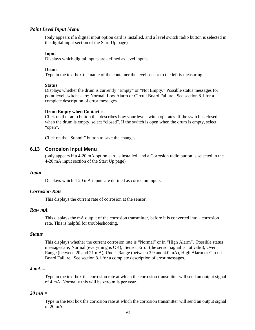### *Point Level Input Menu*

(only appears if a digital input option card is installed, and a level switch radio button is selected in the digital input section of the Start Up page)

#### **Input**

Displays which digital inputs are defined as level inputs.

#### **Drum**

Type in the text box the name of the container the level sensor to the left is measuring.

#### **Status**

Displays whether the drum is currently "Empty" or "Not Empty." Possible status messages for point level switches are; Normal, Low Alarm or Circuit Board Failure. See section 8.1 for a complete description of error messages.

#### **Drum Empty when Contact is**

Click on the radio button that describes how your level switch operates. If the switch is closed when the drum is empty, select "closed". If the switch is open when the drum is empty, select "open".

Click on the "Submit" button to save the changes.

# **6.13 Corrosion Input Menu**

(only appears if a 4-20 mA option card is installed, and a Corrosion radio button is selected in the 4-20 mA input section of the Start Up page)

### *Input*

Displays which 4-20 mA inputs are defined as corrosion inputs.

### *Corrosion Rate*

This displays the current rate of corrosion at the sensor.

#### *Raw mA*

This displays the mA output of the corrosion transmitter, before it is converted into a corrosion rate. This is helpful for troubleshooting.

### *Status*

This displays whether the current corrosion rate is "Normal" or in "High Alarm". Possible status messages are; Normal (everything is OK), Sensor Error (the sensor signal is not valid), Over Range (between 20 and 21 mA), Under Range (between 3.9 and 4.0 mA), High Alarm or Circuit Board Failure. See section 8.1 for a complete description of error messages.

### *4 mA =*

Type in the text box the corrosion rate at which the corrosion transmitter will send an output signal of 4 mA. Normally this will be zero mils per year.

### *20 mA =*

Type in the text box the corrosion rate at which the corrosion transmitter will send an output signal of 20 mA.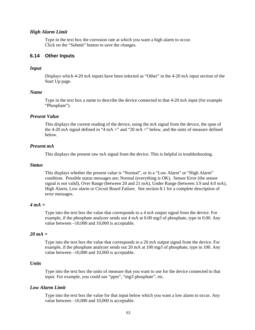### *High Alarm Limit*

Type in the text box the corrosion rate at which you want a high alarm to occur. Click on the "Submit" button to save the changes.

# **6.14 Other Inputs**

#### *Input*

Displays which 4-20 mA inputs have been selected as "Other" in the 4-20 mA input section of the Start Up page.

### *Name*

Type in the text box a name to describe the device connected to that 4-20 mA input (for example "Phosphate").

### *Present Value*

This displays the current reading of the device, using the mA signal from the device, the span of the 4-20 mA signal defined in "4 mA =" and "20 mA =" below, and the units of measure defined below.

#### *Present mA*

This displays the present raw mA signal from the device. This is helpful in troubleshooting.

### *Status*

This displays whether the present value is "Normal", or in a "Low Alarm" or "High Alarm" condition. Possible status messages are; Normal (everything is OK), Sensor Error (the sensor signal is not valid), Over Range (between 20 and 21 mA), Under Range (between 3.9 and 4.0 mA), High Alarm, Low alarm or Circuit Board Failure. See section 8.1 for a complete description of error messages.

# *4 mA =*

Type into the text box the value that corresponds to a 4 mA output signal from the device. For example, if the phosphate analyzer sends out 4 mA at 0.00 mg/l of phosphate, type in 0.00. Any value between –10,000 and 10,000 is acceptable.

### *20 mA =*

Type into the text box the value that corresponds to a 20 mA output signal from the device. For example, if the phosphate analyzer sends out 20 mA at 100 mg/l of phosphate, type in 100. Any value between –10,000 and 10,000 is acceptable.

### *Units*

Type into the text box the units of measure that you want to use for the device connected to that input. For example, you could use "ppm", "mg/l phosphate", etc.

### *Low Alarm Limit*

Type into the text box the value for that input below which you want a low alarm to occur. Any value between –10,000 and 10,000 is acceptable.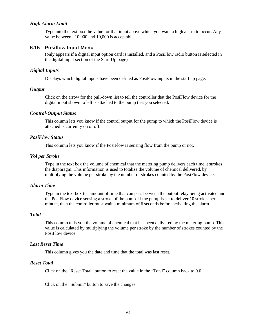### *High Alarm Limit*

Type into the text box the value for that input above which you want a high alarm to occur. Any value between –10,000 and 10,000 is acceptable.

### **6.15 Posiflow Input Menu**

(only appears if a digital input option card is installed, and a PosiFlow radio button is selected in the digital input section of the Start Up page)

#### *Digital Inputs*

Displays which digital inputs have been defined as PosiFlow inputs in the start up page.

### *Output*

Click on the arrow for the pull-down list to tell the controller that the PosiFlow device for the digital input shown to left is attached to the pump that you selected.

### *Control-Output Status*

This column lets you know if the control output for the pump to which the PosiFlow device is attached is currently on or off.

### *PosiFlow Status*

This column lets you know if the PosiFlow is sensing flow from the pump or not.

#### *Vol per Stroke*

Type in the text box the volume of chemical that the metering pump delivers each time it strokes the diaphragm. This information is used to totalize the volume of chemical delivered, by multiplying the volume per stroke by the number of strokes counted by the PosiFlow device.

# *Alarm Time*

Type in the text box the amount of time that can pass between the output relay being activated and the PosiFlow device sensing a stroke of the pump. If the pump is set to deliver 10 strokes per minute, then the controller must wait a minimum of 6 seconds before activating the alarm.

#### *Total*

This column tells you the volume of chemical that has been delivered by the metering pump. This value is calculated by multiplying the volume per stroke by the number of strokes counted by the PosiFlow device.

### *Last Reset Time*

This column gives you the date and time that the total was last reset.

### *Reset Total*

Click on the "Reset Total" button to reset the value in the "Total" column back to 0.0.

Click on the "Submit" button to save the changes.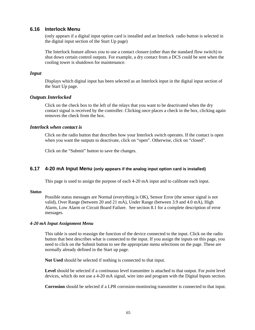# **6.16 Interlock Menu**

(only appears if a digital input option card is installed and an Interlock radio button is selected in the digital input section of the Start Up page)

The Interlock feature allows you to use a contact closure (other than the standard flow switch) to shut down certain control outputs. For example, a dry contact from a DCS could be sent when the cooling tower is shutdown for maintenance.

### *Input*

Displays which digital input has been selected as an Interlock input in the digital input section of the Start Up page.

### *Outputs Interlocked*

Click on the check box to the left of the relays that you want to be deactivated when the dry contact signal is received by the controller. Clicking once places a check in the box, clicking again removes the check from the box.

### *Interlock when contact is*

Click on the radio button that describes how your Interlock switch operates. If the contact is open when you want the outputs to deactivate, click on "open". Otherwise, click on "closed".

Click on the "Submit" button to save the changes.

### **6.17 4-20 mA Input Menu (only appears if the analog input option card is installed)**

This page is used to assign the purpose of each 4-20 mA input and to calibrate each input.

#### *Status*

Possible status messages are Normal (everything is OK), Sensor Error (the sensor signal is not valid), Over Range (between 20 and 21 mA), Under Range (between 3.9 and 4.0 mA), High Alarm, Low Alarm or Circuit Board Failure. See section 8.1 for a complete description of error messages.

#### *4-20 mA Input Assignment Menu*

This table is used to reassign the function of the device connected to the input. Click on the radio button that best describes what is connected to the input. If you assign the inputs on this page, you need to click on the Submit button to see the appropriate menu selections on the page. These are normally already defined in the Start up page.

**Not Used** should be selected if nothing is connected to that input.

**Level** should be selected if a *continuous* level transmitter is attached to that output. For *point* level devices, which do not use a 4-20 mA signal, wire into and program with the Digital Inputs section.

**Corrosion** should be selected if a LPR corrosion-monitoring transmitter is connected to that input.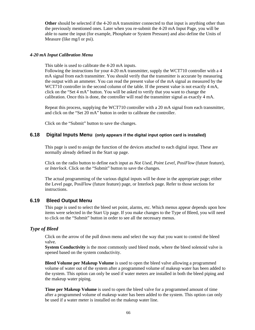**Other** should be selected if the 4-20 mA transmitter connected to that input is anything other than the previously mentioned ones. Later when you re-submit the 4-20 mA Input Page, you will be able to name the input (for example, Phosphate or System Pressure) and also define the Units of Measure (like mg/l or psi).

### *4-20 mA Input Calibration Menu*

This table is used to calibrate the 4-20 mA inputs.

Following the instructions for your 4-20 mA transmitter, supply the WCT710 controller with a 4 mA signal from each transmitter. You should verify that the transmitter is accurate by measuring the output with an ammeter. You can read the present value of the mA signal as measured by the WCT710 controller in the second column of the table. If the present value is not exactly 4 mA, click on the "Set 4 mA" button. You will be asked to verify that you want to change the calibration. Once this is done, the controller will read the transmitter signal as exactly 4 mA.

Repeat this process, supplying the WCT710 controller with a 20 mA signal from each transmitter, and click on the "Set 20 mA" button in order to calibrate the controller.

Click on the "Submit" button to save the changes.

### **6.18 Digital Inputs Menu (only appears if the digital input option card is installed)**

This page is used to assign the function of the devices attached to each digital input. These are normally already defined in the Start up page.

Click on the radio button to define each input as *Not Used*, *Point Level*, *PosiFlow* (future feature), or *Interlock*. Click on the "Submit" button to save the changes.

The actual programming of the various digital inputs will be done in the appropriate page; either the Level page, PosiFlow (future feature) page, or Interlock page. Refer to those sections for instructions.

### **6.19 Bleed Output Menu**

This page is used to select the bleed set point, alarms, etc. Which menus appear depends upon how items were selected in the Start Up page. If you make changes to the Type of Bleed, you will need to click on the "Submit" button in order to see all the necessary menus.

# *Type of Bleed*

Click on the arrow of the pull down menu and select the way that you want to control the bleed valve.

**System Conductivity** is the most commonly used bleed mode, where the bleed solenoid valve is opened based on the system conductivity.

**Bleed Volume per Makeup Volume** is used to open the bleed valve allowing a programmed volume of water out of the system after a programmed volume of makeup water has been added to the system. This option can only be used if water meters are installed in both the bleed piping and the makeup water piping.

**Time per Makeup Volume** is used to open the bleed valve for a programmed amount of time after a programmed volume of makeup water has been added to the system. This option can only be used if a water meter is installed on the makeup water line.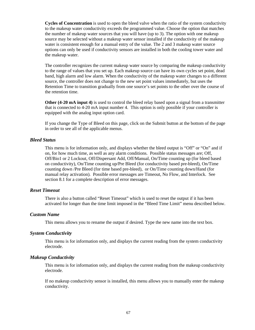**Cycles of Concentration** is used to open the bleed valve when the ratio of the system conductivity to the makeup water conductivity exceeds the programmed value. Choose the option that matches the number of makeup water sources that you will have (up to 3). The option with one makeup source may be selected without a makeup water sensor installed if the conductivity of the makeup water is consistent enough for a manual entry of the value. The 2 and 3 makeup water source options can only be used if conductivity sensors are installed in both the cooling tower water and the makeup water.

The controller recognizes the current makeup water source by comparing the makeup conductivity to the range of values that you set up. Each makeup source can have its own cycles set point, dead band, high alarm and low alarm. When the conductivity of the makeup water changes to a different source, the controller does not change to the new set point values immediately, but uses the Retention Time to transition gradually from one source's set points to the other over the course of the retention time.

**Other (4-20 mA input 4)** is used to control the bleed relay based upon a signal from a transmitter that is connected to 4-20 mA input number 4. This option is only possible if your controller is equipped with the analog input option card.

If you change the Type of Bleed on this page, click on the Submit button at the bottom of the page in order to see all of the applicable menus.

# *Bleed Status*

This menu is for information only, and displays whether the bleed output is "Off" or "On" and if on, for how much time, as well as any alarm conditions. Possible status messages are; Off, Off/Bio1 or 2 Lockout, Off/Dispersant Add, Off/Manual, On/Time counting up (for bleed based on conductivity), On/Time counting up/Pre Bleed (for conductivity based pre-bleed), On/Time counting down /Pre Bleed (for time based pre-bleed), or On/Time counting down/Hand (for manual relay activation). Possible error messages are Timeout, No Flow, and Interlock. See section 8.1 for a complete description of error messages.

### *Reset Timeout*

There is also a button called "Reset Timeout" which is used to reset the output if it has been activated for longer than the time limit imposed in the "Bleed Time Limit" menu described below.

#### *Custom Name*

This menu allows you to rename the output if desired. Type the new name into the text box.

### *System Conductivity*

This menu is for information only, and displays the current reading from the system conductivity electrode.

### *Makeup Conductivity*

This menu is for information only, and displays the current reading from the makeup conductivity electrode.

If no makeup conductivity sensor is installed, this menu allows you to manually enter the makeup conductivity.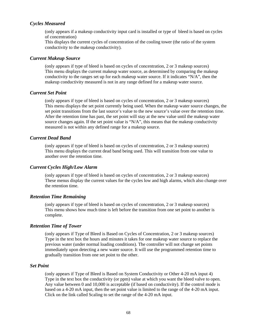# *Cycles Measured*

(only appears if a makeup conductivity input card is installed or type of bleed is based on cycles of concentration)

This displays the current cycles of concentration of the cooling tower (the ratio of the system conductivity to the makeup conductivity).

### *Current Makeup Source*

(only appears if type of bleed is based on cycles of concentration, 2 or 3 makeup sources) This menu displays the current makeup water source, as determined by comparing the makeup conductivity to the ranges set up for each makeup water source. If it indicates "N/A", then the makeup conductivity measured is not in any range defined for a makeup water source.

#### *Current Set Point*

(only appears if type of bleed is based on cycles of concentration, 2 or 3 makeup sources) This menu displays the set point currently being used. When the makeup water source changes, the set point transitions from the last source's value to the new source's value over the retention time. After the retention time has past, the set point will stay at the new value until the makeup water source changes again. If the set point value is "N/A", this means that the makeup conductivity measured is not within any defined range for a makeup source.

### *Current Dead Band*

(only appears if type of bleed is based on cycles of concentration, 2 or 3 makeup sources) This menu displays the current dead band being used. This will transition from one value to another over the retention time.

### *Current Cycles High/Low Alarm*

(only appears if type of bleed is based on cycles of concentration, 2 or 3 makeup sources) These menus display the current values for the cycles low and high alarms, which also change over the retention time.

### *Retention Time Remaining*

(only appears if type of bleed is based on cycles of concentration, 2 or 3 makeup sources) This menu shows how much time is left before the transition from one set point to another is complete.

### *Retention Time of Tower*

(only appears if Type of Bleed is Based on Cycles of Concentration, 2 or 3 makeup sources) Type in the text box the hours and minutes it takes for one makeup water source to replace the previous water (under normal loading conditions). The controller will not change set points immediately upon detecting a new water source. It will use the programmed retention time to gradually transition from one set point to the other.

### *Set Point*

(only appears if Type of Bleed is Based on System Conductivity or Other 4-20 mA input 4) Type in the text box the conductivity (or ppm) value at which you want the bleed valve to open. Any value between 0 and 10,000 is acceptable (if based on conductivity). If the control mode is based on a 4-20 mA input, then the set point value is limited to the range of the 4-20 mA input. Click on the link called Scaling to set the range of the 4-20 mA input.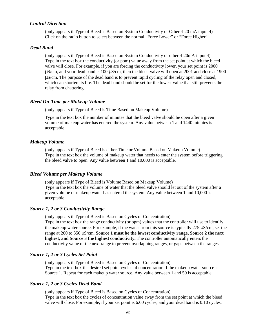#### *Control Direction*

(only appears if Type of Bleed is Based on System Conductivity or Other 4-20 mA input 4) Click on the radio button to select between the normal "Force Lower" or "Force Higher".

#### *Dead Band*

(only appears if Type of Bleed is Based on System Conductivity or other 4-20mA input 4) Type in the text box the conductivity (or ppm) value away from the set point at which the bleed valve will close. For example, if you are forcing the conductivity lower, your set point is 2000 μS/cm, and your dead band is 100 μS/cm, then the bleed valve will open at 2001 and close at 1900 μS/cm. The purpose of the dead band is to prevent rapid cycling of the relay open and closed, which can shorten its life. The dead band should be set for the lowest value that still prevents the relay from chattering.

#### *Bleed On-Time per Makeup Volume*

(only appears if Type of Bleed is Time Based on Makeup Volume)

Type in the text box the number of minutes that the bleed valve should be open after a given volume of makeup water has entered the system. Any value between 1 and 1440 minutes is acceptable.

#### *Makeup Volume*

(only appears if Type of Bleed is either Time or Volume Based on Makeup Volume) Type in the text box the volume of makeup water that needs to enter the system before triggering the bleed valve to open. Any value between 1 and 10,000 is acceptable.

#### *Bleed Volume per Makeup Volume*

(only appears if Type of Bleed is Volume Based on Makeup Volume) Type in the text box the volume of water that the bleed valve should let out of the system after a given volume of makeup water has entered the system. Any value between 1 and 10,000 is acceptable.

# *Source 1, 2 or 3 Conductivity Range*

(only appears if Type of Bleed is Based on Cycles of Concentration) Type in the text box the range conductivity (or ppm) values that the controller will use to identify the makeup water source. For example, if the water from this source is typically 275 μS/cm, set the range at 200 to 350 μS/cm. **Source 1 must be the lowest conductivity range, Source 2 the next highest, and Source 3 the highest conductivity.** The controller automatically enters the conductivity value of the next range to prevent overlapping ranges, or gaps between the ranges.

# *Source 1, 2 or 3 Cycles Set Point*

(only appears if Type of Bleed is Based on Cycles of Concentration) Type in the text box the desired set point cycles of concentration if the makeup water source is Source 1. Repeat for each makeup water source. Any value between 1 and 50 is acceptable.

# *Source 1, 2 or 3 Cycles Dead Band*

(only appears if Type of Bleed is Based on Cycles of Concentration) Type in the text box the cycles of concentration value away from the set point at which the bleed valve will close. For example, if your set point is 6.00 cycles, and your dead band is 0.10 cycles,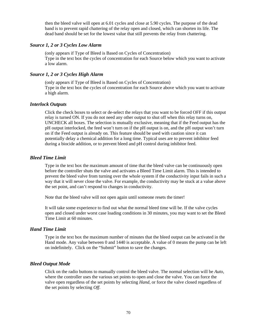then the bleed valve will open at 6.01 cycles and close at 5.90 cycles. The purpose of the dead band is to prevent rapid chattering of the relay open and closed, which can shorten its life. The dead band should be set for the lowest value that still prevents the relay from chattering.

# *Source 1, 2 or 3 Cycles Low Alarm*

(only appears if Type of Bleed is Based on Cycles of Concentration) Type in the text box the cycles of concentration for each Source below which you want to activate a low alarm.

# *Source 1, 2 or 3 Cycles High Alarm*

(only appears if Type of Bleed is Based on Cycles of Concentration) Type in the text box the cycles of concentration for each Source above which you want to activate a high alarm.

# *Interlock Outputs*

Click the check boxes to select or de-select the relays that you want to be forced OFF if this output relay is turned ON. If you do not need any other output to shut off when this relay turns on, UNCHECK all boxes. The selection is mutually exclusive, meaning that if the Feed output has the pH output interlocked, the feed won't turn on if the pH output is on, and the pH output won't turn on if the Feed output is already on. This feature should be used with caution since it can potentially delay a chemical addition for a long time. Typical uses are to prevent inhibitor feed during a biocide addition, or to prevent bleed and pH control during inhibitor feed.

# *Bleed Time Limit*

Type in the text box the maximum amount of time that the bleed valve can be continuously open before the controller shuts the valve and activates a Bleed Time Limit alarm. This is intended to prevent the bleed valve from turning over the whole system if the conductivity input fails in such a way that it will never close the valve. For example, the conductivity may be stuck at a value above the set point, and can't respond to changes in conductivity.

Note that the bleed valve will not open again until someone resets the timer!

It will take some experience to find out what the normal bleed time will be. If the valve cycles open and closed under worst case loading conditions in 30 minutes, you may want to set the Bleed Time Limit at 60 minutes.

# *Hand Time Limit*

Type in the text box the maximum number of minutes that the bleed output can be activated in the Hand mode. Any value between 0 and 1440 is acceptable. A value of 0 means the pump can be left on indefinitely. Click on the "Submit" button to save the changes.

# *Bleed Output Mode*

Click on the radio buttons to manually control the bleed valve. The normal selection will be *Auto*, where the controller uses the various set points to open and close the valve. You can force the valve open regardless of the set points by selecting *Hand*, or force the valve closed regardless of the set points by selecting *Off*.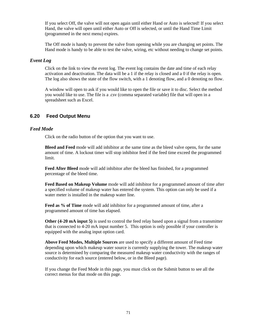If you select Off, the valve will not open again until either Hand or Auto is selected! If you select Hand, the valve will open until either Auto or Off is selected, or until the Hand Time Limit (programmed in the next menu) expires.

The Off mode is handy to prevent the valve from opening while you are changing set points. The Hand mode is handy to be able to test the valve, wiring, etc without needing to change set points.

# *Event Log*

Click on the link to view the event log. The event log contains the date and time of each relay activation and deactivation. The data will be a 1 if the relay is closed and a 0 if the relay is open. The log also shows the state of the flow switch, with a 1 denoting flow, and a 0 denoting no flow.

A window will open to ask if you would like to open the file or save it to disc. Select the method you would like to use. The file is a .csv (comma separated variable) file that will open in a spreadsheet such as Excel.

# **6.20 Feed Output Menu**

#### *Feed Mode*

Click on the radio button of the option that you want to use.

**Bleed and Feed** mode will add inhibitor at the same time as the bleed valve opens, for the same amount of time. A lockout timer will stop inhibitor feed if the feed time exceed the programmed limit.

**Feed After Bleed** mode will add inhibitor after the bleed has finished, for a programmed percentage of the bleed time.

**Feed Based on Makeup Volume** mode will add inhibitor for a programmed amount of time after a specified volume of makeup water has entered the system. This option can only be used if a water meter is installed in the makeup water line.

**Feed as % of Time** mode will add inhibitor for a programmed amount of time, after a programmed amount of time has elapsed.

**Other (4-20 mA input 5)** is used to control the feed relay based upon a signal from a transmitter that is connected to 4-20 mA input number 5. This option is only possible if your controller is equipped with the analog input option card.

**Above Feed Modes, Multiple Sources** are used to specify a different amount of Feed time depending upon which makeup water source is currently supplying the tower. The makeup water source is determined by comparing the measured makeup water conductivity with the ranges of conductivity for each source (entered below, or in the Bleed page).

If you change the Feed Mode in this page, you must click on the Submit button to see all the correct menus for that mode on this page.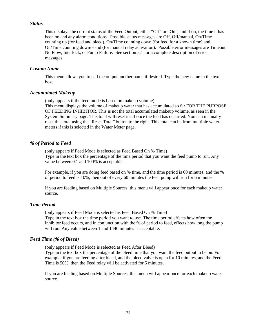#### *Status*

This displays the current status of the Feed Output, either "Off" or "On", and if on, the time it has been on and any alarm conditions. Possible status messages are Off, Off/manual, On/Time counting up (for feed and bleed), On/Time counting down (for feed for a known time) and On/Time counting down/Hand (for manual relay activation). Possible error messages are Timeout, No Flow, Interlock, or Pump Failure. See section 8.1 for a complete description of error messages.

# *Custom Name*

This menu allows you to call the output another name if desired. Type the new name in the text box.

#### *Accumulated Makeup*

(only appears if the feed mode is based on makeup volume)

This menu displays the volume of makeup water that has accumulated so far FOR THE PURPOSE OF FEEDING INHIBITOR. This is not the total accumulated makeup volume, as seen in the System Summary page. This total will reset itself once the feed has occurred. You can manually reset this total using the "Reset Total" button to the right. This total can be from multiple water meters if this is selected in the Water Meter page.

# *% of Period to Feed*

(only appears if Feed Mode is selected as Feed Based On % Time) Type in the text box the percentage of the time period that you want the feed pump to run. Any value between 0.1 and 100% is acceptable.

For example, if you are doing feed based on % time, and the time period is 60 minutes, and the % of period to feed is 10%, then out of every 60 minutes the feed pump will run for 6 minutes.

If you are feeding based on Multiple Sources, this menu will appear once for each makeup water source.

# *Time Period*

(only appears if Feed Mode is selected as Feed Based On % Time)

Type in the text box the time period you want to use. The time period effects how often the inhibitor feed occurs, and in conjunction with the % of period to feed, effects how long the pump will run. Any value between 1 and 1440 minutes is acceptable.

# *Feed Time (% of Bleed)*

(only appears if Feed Mode is selected as Feed After Bleed)

Type in the text box the percentage of the bleed time that you want the feed output to be on. For example, if you are feeding after bleed, and the bleed valve is open for 10 minutes, and the Feed Time is 50%, then the Feed relay will be activated for 5 minutes.

If you are feeding based on Multiple Sources, this menu will appear once for each makeup water source.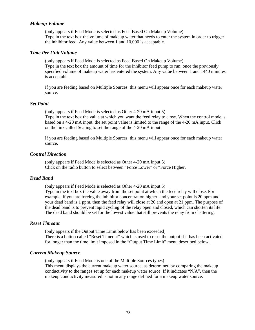# *Makeup Volume*

(only appears if Feed Mode is selected as Feed Based On Makeup Volume) Type in the text box the volume of makeup water that needs to enter the system in order to trigger the inhibitor feed. Any value between 1 and 10,000 is acceptable.

### *Time Per Unit Volume*

(only appears if Feed Mode is selected as Feed Based On Makeup Volume) Type in the text box the amount of time for the inhibitor feed pump to run, once the previously specified volume of makeup water has entered the system. Any value between 1 and 1440 minutes is acceptable.

If you are feeding based on Multiple Sources, this menu will appear once for each makeup water source.

#### *Set Point*

(only appears if Feed Mode is selected as Other 4-20 mA input 5) Type in the text box the value at which you want the feed relay to close. When the control mode is based on a 4-20 mA input, the set point value is limited to the range of the 4-20 mA input. Click on the link called Scaling to set the range of the 4-20 mA input.

If you are feeding based on Multiple Sources, this menu will appear once for each makeup water source.

#### *Control Direction*

(only appears if Feed Mode is selected as Other 4-20 mA input 5) Click on the radio button to select between "Force Lower" or "Force Higher.

### *Dead Band*

(only appears if Feed Mode is selected as Other 4-20 mA input 5) Type in the text box the value away from the set point at which the feed relay will close. For example, if you are forcing the inhibitor concentration higher, and your set point is 20 ppm and your dead band is 1 ppm, then the feed relay will close at 20 and open at 21 ppm. The purpose of the dead band is to prevent rapid cycling of the relay open and closed, which can shorten its life. The dead band should be set for the lowest value that still prevents the relay from chattering.

# *Reset Timeout*

(only appears if the Output Time Limit below has been exceeded) There is a button called "Reset Timeout" which is used to reset the output if it has been activated for longer than the time limit imposed in the "Output Time Limit" menu described below.

#### *Current Makeup Source*

(only appears if Feed Mode is one of the Multiple Sources types) This menu displays the current makeup water source, as determined by comparing the makeup conductivity to the ranges set up for each makeup water source. If it indicates "N/A", then the makeup conductivity measured is not in any range defined for a makeup water source.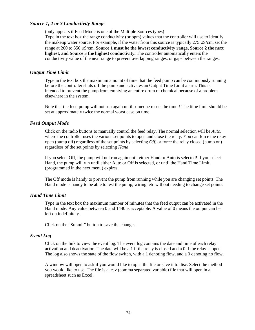# *Source 1, 2 or 3 Conductivity Range*

(only appears if Feed Mode is one of the Multiple Sources types)

Type in the text box the range conductivity (or ppm) values that the controller will use to identify the makeup water source. For example, if the water from this source is typically 275 μS/cm, set the range at 200 to 350 μS/cm. **Source 1 must be the lowest conductivity range, Source 2 the next highest, and Source 3 the highest conductivity.** The controller automatically enters the conductivity value of the next range to prevent overlapping ranges, or gaps between the ranges.

#### *Output Time Limit*

Type in the text box the maximum amount of time that the feed pump can be continuously running before the controller shuts off the pump and activates an Output Time Limit alarm. This is intended to prevent the pump from emptying an entire drum of chemical because of a problem elsewhere in the system.

Note that the feed pump will not run again until someone resets the timer! The time limit should be set at approximately twice the normal worst case on time.

#### *Feed Output Mode*

Click on the radio buttons to manually control the feed relay. The normal selection will be *Auto*, where the controller uses the various set points to open and close the relay. You can force the relay open (pump off) regardless of the set points by selecting *Off*, or force the relay closed (pump on) regardless of the set points by selecting *Hand*.

If you select Off, the pump will not run again until either Hand or Auto is selected! If you select Hand, the pump will run until either Auto or Off is selected, or until the Hand Time Limit (programmed in the next menu) expires.

The Off mode is handy to prevent the pump from running while you are changing set points. The Hand mode is handy to be able to test the pump, wiring, etc without needing to change set points.

# *Hand Time Limit*

Type in the text box the maximum number of minutes that the feed output can be activated in the Hand mode. Any value between 0 and 1440 is acceptable. A value of 0 means the output can be left on indefinitely.

Click on the "Submit" button to save the changes.

#### *Event Log*

Click on the link to view the event log. The event log contains the date and time of each relay activation and deactivation. The data will be a 1 if the relay is closed and a 0 if the relay is open. The log also shows the state of the flow switch, with a 1 denoting flow, and a 0 denoting no flow.

A window will open to ask if you would like to open the file or save it to disc. Select the method you would like to use. The file is a .csv (comma separated variable) file that will open in a spreadsheet such as Excel.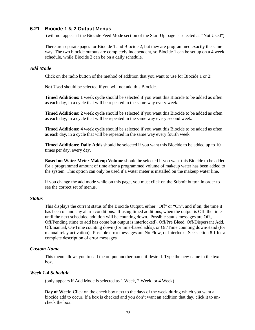# **6.21 Biocide 1 & 2 Output Menus**

(will not appear if the Biocide Feed Mode section of the Start Up page is selected as "Not Used")

There are separate pages for Biocide 1 and Biocide 2, but they are programmed exactly the same way. The two biocide outputs are completely independent, so Biocide 1 can be set up on a 4 week schedule, while Biocide 2 can be on a daily schedule.

#### *Add Mode*

Click on the radio button of the method of addition that you want to use for Biocide 1 or 2:

**Not Used** should be selected if you will not add this Biocide.

**Timed Additions: 1 week cycle** should be selected if you want this Biocide to be added as often as each day, in a cycle that will be repeated in the same way every week.

**Timed Additions: 2 week cycle** should be selected if you want this Biocide to be added as often as each day, in a cycle that will be repeated in the same way every second week.

**Timed Additions: 4 week cycle** should be selected if you want this Biocide to be added as often as each day, in a cycle that will be repeated in the same way every fourth week.

**Timed Additions: Daily Adds** should be selected if you want this Biocide to be added up to 10 times per day, every day.

**Based on Water Meter Makeup Volume** should be selected if you want this Biocide to be added for a programmed amount of time after a programmed volume of makeup water has been added to the system. This option can only be used if a water meter is installed on the makeup water line.

If you change the add mode while on this page, you must click on the Submit button in order to see the correct set of menus.

#### *Status*

This displays the current status of the Biocide Output, either "Off" or "On", and if on, the time it has been on and any alarm conditions. If using timed additions, when the output is Off, the time until the next scheduled addition will be counting down. Possible status messages are Off., Off/Pending (time to add has come but output is interlocked), Off/Pre Bleed, Off/Dispersant Add, Off/manual, On/Time counting down (for time-based adds), or On/Time counting down/Hand (for manual relay activation). Possible error messages are No Flow, or Interlock. See section 8.1 for a complete description of error messages.

# *Custom Name*

This menu allows you to call the output another name if desired. Type the new name in the text box.

# *Week 1-4 Schedule*

(only appears if Add Mode is selected as 1 Week, 2 Week, or 4 Week)

**Day of Week:** Click on the check box next to the days of the week during which you want a biocide add to occur. If a box is checked and you don't want an addition that day, click it to uncheck the box.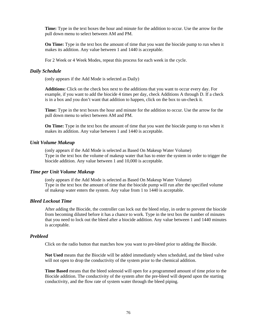**Time:** Type in the text boxes the hour and minute for the addition to occur. Use the arrow for the pull down menu to select between AM and PM.

**On Time:** Type in the text box the amount of time that you want the biocide pump to run when it makes its addition. Any value between 1 and 1440 is acceptable.

For 2 Week or 4 Week Modes, repeat this process for each week in the cycle.

#### *Daily Schedule*

(only appears if the Add Mode is selected as Daily)

**Additions:** Click on the check box next to the additions that you want to occur every day. For example, if you want to add the biocide 4 times per day, check Additions A through D. If a check is in a box and you don't want that addition to happen, click on the box to un-check it.

**Time:** Type in the text boxes the hour and minute for the addition to occur. Use the arrow for the pull down menu to select between AM and PM.

**On Time:** Type in the text box the amount of time that you want the biocide pump to run when it makes its addition. Any value between 1 and 1440 is acceptable.

#### *Unit Volume Makeup*

(only appears if the Add Mode is selected as Based On Makeup Water Volume) Type in the text box the volume of makeup water that has to enter the system in order to trigger the biocide addition. Any value between 1 and 10,000 is acceptable.

#### *Time per Unit Volume Makeup*

(only appears if the Add Mode is selected as Based On Makeup Water Volume) Type in the text box the amount of time that the biocide pump will run after the specified volume of makeup water enters the system. Any value from 1 to 1440 is acceptable.

#### *Bleed Lockout Time*

After adding the Biocide, the controller can lock out the bleed relay, in order to prevent the biocide from becoming diluted before it has a chance to work. Type in the text box the number of minutes that you need to lock out the bleed after a biocide addition. Any value between 1 and 1440 minutes is acceptable.

#### *Prebleed*

Click on the radio button that matches how you want to pre-bleed prior to adding the Biocide.

**Not Used** means that the Biocide will be added immediately when scheduled, and the bleed valve will not open to drop the conductivity of the system prior to the chemical addition.

**Time Based** means that the bleed solenoid will open for a programmed amount of time prior to the Biocide addition. The conductivity of the system after the pre-bleed will depend upon the starting conductivity, and the flow rate of system water through the bleed piping.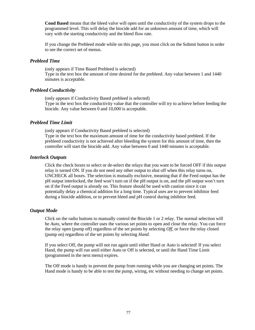**Cond Based** means that the bleed valve will open until the conductivity of the system drops to the programmed level. This will delay the biocide add for an unknown amount of time, which will vary with the starting conductivity and the bleed flow rate.

If you change the Prebleed mode while on this page, you must click on the Submit button in order to see the correct set of menus.

# *Prebleed Time*

(only appears if Time Based Prebleed is selected) Type in the text box the amount of time desired for the prebleed. Any value between 1 and 1440 minutes is acceptable.

# *Prebleed Conductivity*

(only appears if Conductivity Based prebleed is selected) Type in the text box the conductivity value that the controller will try to achieve before feeding the biocide. Any value between 0 and 10,000 is acceptable.

# *Prebleed Time Limit*

(only appears if Conductivity Based prebleed is selected) Type in the text box the maximum amount of time for the conductivity based prebleed. If the prebleed conductivity is not achieved after bleeding the system for this amount of time, then the controller will start the biocide add. Any value between 0 and 1440 minutes is acceptable.

# *Interlock Outputs*

Click the check boxes to select or de-select the relays that you want to be forced OFF if this output relay is turned ON. If you do not need any other output to shut off when this relay turns on, UNCHECK all boxes. The selection is mutually exclusive, meaning that if the Feed output has the pH output interlocked, the feed won't turn on if the pH output is on, and the pH output won't turn on if the Feed output is already on. This feature should be used with caution since it can potentially delay a chemical addition for a long time. Typical uses are to prevent inhibitor feed during a biocide addition, or to prevent bleed and pH control during inhibitor feed.

# *Output Mode*

Click on the radio buttons to manually control the Biocide 1 or 2 relay. The normal selection will be *Auto*, where the controller uses the various set points to open and close the relay. You can force the relay open (pump off) regardless of the set points by selecting *Off*, or force the relay closed (pump on) regardless of the set points by selecting *Hand*.

If you select Off, the pump will not run again until either Hand or Auto is selected! If you select Hand, the pump will run until either Auto or Off is selected, or until the Hand Time Limit (programmed in the next menu) expires.

The Off mode is handy to prevent the pump from running while you are changing set points. The Hand mode is handy to be able to test the pump, wiring, etc without needing to change set points.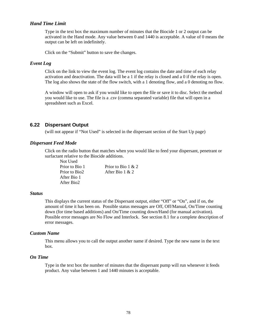# *Hand Time Limit*

Type in the text box the maximum number of minutes that the Biocide 1 or 2 output can be activated in the Hand mode. Any value between 0 and 1440 is acceptable. A value of 0 means the output can be left on indefinitely.

Click on the "Submit" button to save the changes.

#### *Event Log*

Click on the link to view the event log. The event log contains the date and time of each relay activation and deactivation. The data will be a 1 if the relay is closed and a 0 if the relay is open. The log also shows the state of the flow switch, with a 1 denoting flow, and a 0 denoting no flow.

A window will open to ask if you would like to open the file or save it to disc. Select the method you would like to use. The file is a .csv (comma separated variable) file that will open in a spreadsheet such as Excel.

# **6.22 Dispersant Output**

(will not appear if "Not Used" is selected in the dispersant section of the Start Up page)

#### *Dispersant Feed Mode*

Click on the radio button that matches when you would like to feed your dispersant, penetrant or surfactant relative to the Biocide additions.

Not Used Prior to Bio 1 Prior to Bio  $1 \& 2$ Prior to Bio2 After Bio 1 & 2 After Bio 1 After Bio2

#### *Status*

This displays the current status of the Dispersant output, either "Off" or "On", and if on, the amount of time it has been on. Possible status messages are Off, Off/Manual, On/Time counting down (for time based additions) and On/Time counting down/Hand (for manual activation). Possible error messages are No Flow and Interlock. See section 8.1 for a complete description of error messages.

#### *Custom Name*

This menu allows you to call the output another name if desired. Type the new name in the text box.

# *On Time*

Type in the text box the number of minutes that the dispersant pump will run whenever it feeds product. Any value between 1 and 1440 minutes is acceptable.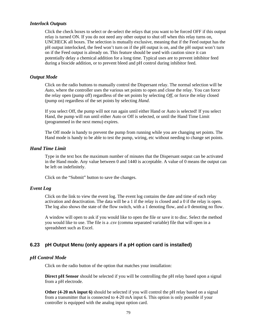### *Interlock Outputs*

Click the check boxes to select or de-select the relays that you want to be forced OFF if this output relay is turned ON. If you do not need any other output to shut off when this relay turns on, UNCHECK all boxes. The selection is mutually exclusive, meaning that if the Feed output has the pH output interlocked, the feed won't turn on if the pH output is on, and the pH output won't turn on if the Feed output is already on. This feature should be used with caution since it can potentially delay a chemical addition for a long time. Typical uses are to prevent inhibitor feed during a biocide addition, or to prevent bleed and pH control during inhibitor feed.

#### *Output Mode*

Click on the radio buttons to manually control the Dispersant relay. The normal selection will be *Auto*, where the controller uses the various set points to open and close the relay. You can force the relay open (pump off) regardless of the set points by selecting *Off*, or force the relay closed (pump on) regardless of the set points by selecting *Hand*.

If you select Off, the pump will not run again until either Hand or Auto is selected! If you select Hand, the pump will run until either Auto or Off is selected, or until the Hand Time Limit (programmed in the next menu) expires.

The Off mode is handy to prevent the pump from running while you are changing set points. The Hand mode is handy to be able to test the pump, wiring, etc without needing to change set points.

# *Hand Time Limit*

Type in the text box the maximum number of minutes that the Dispersant output can be activated in the Hand mode. Any value between 0 and 1440 is acceptable. A value of 0 means the output can be left on indefinitely.

Click on the "Submit" button to save the changes.

# *Event Log*

Click on the link to view the event log. The event log contains the date and time of each relay activation and deactivation. The data will be a 1 if the relay is closed and a 0 if the relay is open. The log also shows the state of the flow switch, with a 1 denoting flow, and a 0 denoting no flow.

A window will open to ask if you would like to open the file or save it to disc. Select the method you would like to use. The file is a .csv (comma separated variable) file that will open in a spreadsheet such as Excel.

# **6.23 pH Output Menu (only appears if a pH option card is installed)**

### *pH Control Mode*

Click on the radio button of the option that matches your installation:

**Direct pH Sensor** should be selected if you will be controlling the pH relay based upon a signal from a pH electrode.

**Other (4-20 mA input 6)** should be selected if you will control the pH relay based on a signal from a transmitter that is connected to 4-20 mA input 6. This option is only possible if your controller is equipped with the analog input option card.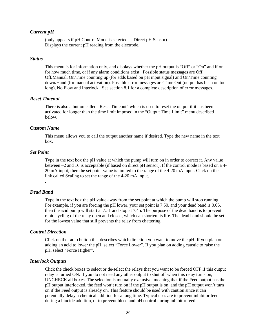# *Current pH*

(only appears if pH Control Mode is selected as Direct pH Sensor) Displays the current pH reading from the electrode.

#### *Status*

This menu is for information only, and displays whether the pH output is "Off" or "On" and if on, for how much time, or if any alarm conditions exist. Possible status messages are Off, Off/Manual, On/Time counting up (for adds based on pH input signal) and On/Time counting down/Hand (for manual activation). Possible error messages are Time Out (output has been on too long), No Flow and Interlock. See section 8.1 for a complete description of error messages.

# *Reset Timeout*

There is also a button called "Reset Timeout" which is used to reset the output if it has been activated for longer than the time limit imposed in the "Output Time Limit" menu described below.

# *Custom Name*

This menu allows you to call the output another name if desired. Type the new name in the text box.

### *Set Point*

Type in the text box the pH value at which the pump will turn on in order to correct it. Any value between –2 and 16 is acceptable (if based on direct pH sensor). If the control mode is based on a 4- 20 mA input, then the set point value is limited to the range of the 4-20 mA input. Click on the link called Scaling to set the range of the 4-20 mA input.

# *Dead Band*

.

Type in the text box the pH value away from the set point at which the pump will stop running. For example, if you are forcing the pH lower, your set point is 7.50, and your dead band is 0.05, then the acid pump will start at 7.51 and stop at 7.45. The purpose of the dead band is to prevent rapid cycling of the relay open and closed, which can shorten its life. The dead band should be set for the lowest value that still prevents the relay from chattering.

# *Control Direction*

Click on the radio button that describes which direction you want to move the pH. If you plan on adding an acid to lower the pH, select "Force Lower". If you plan on adding caustic to raise the pH, select "Force Higher".

### *Interlock Outputs*

Click the check boxes to select or de-select the relays that you want to be forced OFF if this output relay is turned ON. If you do not need any other output to shut off when this relay turns on, UNCHECK all boxes. The selection is mutually exclusive, meaning that if the Feed output has the pH output interlocked, the feed won't turn on if the pH output is on, and the pH output won't turn on if the Feed output is already on. This feature should be used with caution since it can potentially delay a chemical addition for a long time. Typical uses are to prevent inhibitor feed during a biocide addition, or to prevent bleed and pH control during inhibitor feed.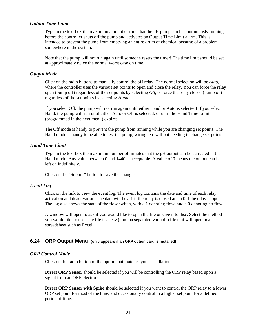# *Output Time Limit*

Type in the text box the maximum amount of time that the pH pump can be continuously running before the controller shuts off the pump and activates an Output Time Limit alarm. This is intended to prevent the pump from emptying an entire drum of chemical because of a problem somewhere in the system.

Note that the pump will not run again until someone resets the timer! The time limit should be set at approximately twice the normal worst case on time.

#### *Output Mode*

Click on the radio buttons to manually control the pH relay. The normal selection will be *Auto*, where the controller uses the various set points to open and close the relay. You can force the relay open (pump off) regardless of the set points by selecting *Off*, or force the relay closed (pump on) regardless of the set points by selecting *Hand*.

If you select Off, the pump will not run again until either Hand or Auto is selected! If you select Hand, the pump will run until either Auto or Off is selected, or until the Hand Time Limit (programmed in the next menu) expires.

The Off mode is handy to prevent the pump from running while you are changing set points. The Hand mode is handy to be able to test the pump, wiring, etc without needing to change set points.

# *Hand Time Limit*

Type in the text box the maximum number of minutes that the pH output can be activated in the Hand mode. Any value between 0 and 1440 is acceptable. A value of 0 means the output can be left on indefinitely.

Click on the "Submit" button to save the changes.

### *Event Log*

Click on the link to view the event log. The event log contains the date and time of each relay activation and deactivation. The data will be a 1 if the relay is closed and a 0 if the relay is open. The log also shows the state of the flow switch, with a 1 denoting flow, and a 0 denoting no flow.

A window will open to ask if you would like to open the file or save it to disc. Select the method you would like to use. The file is a .csv (comma separated variable) file that will open in a spreadsheet such as Excel.

# **6.24 ORP Output Menu (only appears if an ORP option card is installed)**

#### *ORP Control Mode*

Click on the radio button of the option that matches your installation:

**Direct ORP Sensor** should be selected if you will be controlling the ORP relay based upon a signal from an ORP electrode.

**Direct ORP Sensor with Spike** should be selected if you want to control the ORP relay to a lower ORP set point for most of the time, and occasionally control to a higher set point for a defined period of time.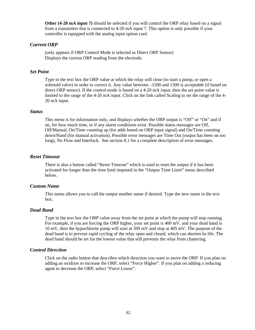**Other (4-20 mA input 7)** should be selected if you will control the ORP relay based on a signal from a transmitter that is connected to 4-20 mA input 7. This option is only possible if your controller is equipped with the analog input option card.

# *Current ORP*

(only appears if ORP Control Mode is selected as Direct ORP Sensor) Displays the current ORP reading from the electrode.

### *Set Point*

Type in the text box the ORP value at which the relay will close (to start a pump, or open a solenoid valve) in order to correct it. Any value between –1500 and 1500 is acceptable (if based on direct ORP sensor). If the control mode is based on a 4-20 mA input, then the set point value is limited to the range of the 4-20 mA input. Click on the link called Scaling to set the range of the 4- 20 mA input.

#### *Status*

This menu is for information only, and displays whether the ORP output is "Off" or "On" and if on, for how much time, or if any alarm conditions exist. Possible status messages are Off, Off/Manual, On/Time counting up (for adds based on ORP input signal) and On/Time counting down/Hand (for manual activation). Possible error messages are Time Out (output has been on too long), No Flow and Interlock. See section 8.1 for a complete description of error messages.

# *Reset Timeout*

There is also a button called "Reset Timeout" which is used to reset the output if it has been activated for longer than the time limit imposed in the "Output Time Limit" menu described below.

#### *Custom Name*

This menu allows you to call the output another name if desired. Type the new name in the text box.

#### *Dead Band*

Type in the text box the ORP value away from the set point at which the pump will stop running. For example, if you are forcing the ORP higher, your set point is 400 mV, and your dead band is 10 mV, then the hypochlorite pump will start at 399 mV and stop at 405 mV. The purpose of the dead band is to prevent rapid cycling of the relay open and closed, which can shorten its life. The dead band should be set for the lowest value that still prevents the relay from chattering.

# *Control Direction*

Click on the radio button that describes which direction you want to move the ORP. If you plan on adding an oxidizer to increase the ORP, select "Force Higher". If you plan on adding a reducing agent to decrease the ORP, select "Force Lower".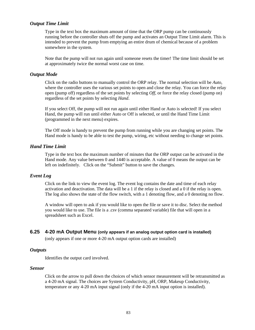# *Output Time Limit*

Type in the text box the maximum amount of time that the ORP pump can be continuously running before the controller shuts off the pump and activates an Output Time Limit alarm. This is intended to prevent the pump from emptying an entire drum of chemical because of a problem somewhere in the system.

Note that the pump will not run again until someone resets the timer! The time limit should be set at approximately twice the normal worst case on time.

#### *Output Mode*

Click on the radio buttons to manually control the ORP relay. The normal selection will be *Auto*, where the controller uses the various set points to open and close the relay. You can force the relay open (pump off) regardless of the set points by selecting *Off*, or force the relay closed (pump on) regardless of the set points by selecting *Hand*.

If you select Off, the pump will not run again until either Hand or Auto is selected! If you select Hand, the pump will run until either Auto or Off is selected, or until the Hand Time Limit (programmed in the next menu) expires.

The Off mode is handy to prevent the pump from running while you are changing set points. The Hand mode is handy to be able to test the pump, wiring, etc without needing to change set points.

### *Hand Time Limit*

Type in the text box the maximum number of minutes that the ORP output can be activated in the Hand mode. Any value between 0 and 1440 is acceptable. A value of 0 means the output can be left on indefinitely. Click on the "Submit" button to save the changes.

#### *Event Log*

Click on the link to view the event log. The event log contains the date and time of each relay activation and deactivation. The data will be a 1 if the relay is closed and a 0 if the relay is open. The log also shows the state of the flow switch, with a 1 denoting flow, and a 0 denoting no flow.

A window will open to ask if you would like to open the file or save it to disc. Select the method you would like to use. The file is a .csv (comma separated variable) file that will open in a spreadsheet such as Excel.

# **6.25 4-20 mA Output Menu (only appears if an analog output option card is installed)**

(only appears if one or more 4-20 mA output option cards are installed)

# *Outputs*

Identifies the output card involved.

### *Sensor*

Click on the arrow to pull down the choices of which sensor measurement will be retransmitted as a 4-20 mA signal. The choices are System Conductivity, pH, ORP, Makeup Conductivity, temperature or any 4-20 mA input signal (only if the 4-20 mA input option is installed).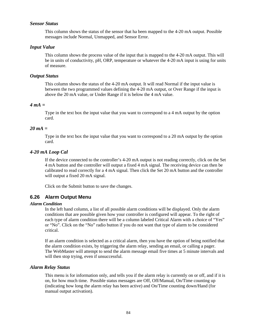# *Sensor Status*

This column shows the status of the sensor that ha been mapped to the 4-20 mA output. Possible messages include Normal, Unmapped, and Sensor Error.

### *Input Value*

This column shows the process value of the input that is mapped to the 4-20 mA output. This will be in units of conductivity, pH, ORP, temperature or whatever the 4-20 mA input is using for units of measure.

#### *Output Status*

This column shows the status of the 4-20 mA output. It will read Normal if the input value is between the two programmed values defining the 4-20 mA output, or Over Range if the input is above the 20 mA value, or Under Range if it is below the 4 mA value.

### *4 mA =*

Type in the text box the input value that you want to correspond to a 4 mA output by the option card.

# *20 mA =*

Type in the text box the input value that you want to correspond to a 20 mA output by the option card.

#### *4-20 mA Loop Cal*

If the device connected to the controller's 4-20 mA output is not reading correctly, click on the Set 4 mA button and the controller will output a fixed 4 mA signal. The receiving device can then be calibrated to read correctly for a 4 mA signal. Then click the Set 20 mA button and the controller will output a fixed 20 mA signal.

Click on the Submit button to save the changes.

# **6.26 Alarm Output Menu**

#### *Alarm Condition*

In the left hand column, a list of all possible alarm conditions will be displayed. Only the alarm conditions that are possible given how your controller is configured will appear. To the right of each type of alarm condition there will be a column labeled Critical Alarm with a choice of "Yes" or "No". Click on the "No" radio button if you do not want that type of alarm to be considered critical.

If an alarm condition is selected as a critical alarm, then you have the option of being notified that the alarm condition exists, by triggering the alarm relay, sending an email, or calling a pager. The WebMaster will attempt to send the alarm message email five times at 5 minute intervals and will then stop trying, even if unsuccessful.

#### *Alarm Relay Status*

This menu is for information only, and tells you if the alarm relay is currently on or off, and if it is on, for how much time. Possible status messages are Off, Off/Manual, On/Time counting up (indicating how long the alarm relay has been active) and On/Time counting down/Hand (for manual output activation).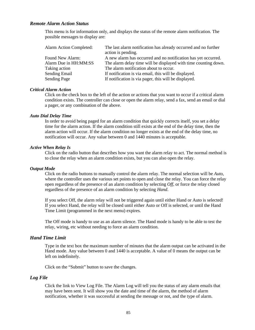# *Remote Alarm Action Status*

This menu is for information only, and displays the status of the remote alarm notification. The possible messages to display are:

| <b>Alarm Action Completed:</b> | The last alarm notification has already occurred and no further<br>action is pending. |
|--------------------------------|---------------------------------------------------------------------------------------|
| Found New Alarm:               | A new alarm has occurred and no notification has yet occurred.                        |
| Alarm Due in HH:MM:SS          | The alarm delay time will be displayed with time counting down.                       |
| Taking action                  | The alarm notification about to occur.                                                |
| <b>Sending Email</b>           | If notification is via email, this will be displayed.                                 |
| <b>Sending Page</b>            | If notification is via pager, this will be displayed.                                 |

#### *Critical Alarm Action*

Click on the check box to the left of the action or actions that you want to occur if a critical alarm condition exists. The controller can close or open the alarm relay, send a fax, send an email or dial a pager, or any combination of the above.

#### *Auto Dial Delay Time*

In order to avoid being paged for an alarm condition that quickly corrects itself, you set a delay time for the alarm action. If the alarm condition still exists at the end of the delay time, then the alarm action will occur. If the alarm condition no longer exists at the end of the delay time, no notification will occur. Any value between 0 and 1440 minutes is acceptable.

#### *Active When Relay Is*

Click on the radio button that describes how you want the alarm relay to act. The normal method is to close the relay when an alarm condition exists, but you can also open the relay.

#### *Output Mode*

Click on the radio buttons to manually control the alarm relay. The normal selection will be *Auto*, where the controller uses the various set points to open and close the relay. You can force the relay open regardless of the presence of an alarm condition by selecting *Off*, or force the relay closed regardless of the presence of an alarm condition by selecting *Hand*.

If you select Off, the alarm relay will not be triggered again until either Hand or Auto is selected! If you select Hand, the relay will be closed until either Auto or Off is selected, or until the Hand Time Limit (programmed in the next menu) expires.

The Off mode is handy to use as an alarm silence. The Hand mode is handy to be able to test the relay, wiring, etc without needing to force an alarm condition.

#### *Hand Time Limit*

Type in the text box the maximum number of minutes that the alarm output can be activated in the Hand mode. Any value between 0 and 1440 is acceptable. A value of 0 means the output can be left on indefinitely.

Click on the "Submit" button to save the changes.

### *Log File*

Click the link to View Log File. The Alarm Log will tell you the status of any alarm emails that may have been sent. It will show you the date and time of the alarm, the method of alarm notification, whether it was successful at sending the message or not, and the type of alarm.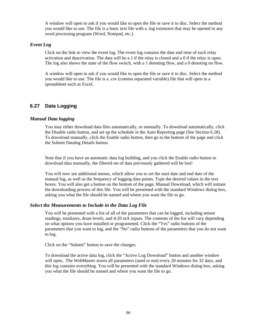A window will open to ask if you would like to open the file or save it to disc. Select the method you would like to use. The file is a basic text file with a .log extension that may be opened in any word processing program (Word, Notepad, etc.).

# *Event Log*

Click on the link to view the event log. The event log contains the date and time of each relay activation and deactivation. The data will be a 1 if the relay is closed and a 0 if the relay is open. The log also shows the state of the flow switch, with a 1 denoting flow, and a 0 denoting no flow.

A window will open to ask if you would like to open the file or save it to disc. Select the method you would like to use. The file is a .csv (comma separated variable) file that will open in a spreadsheet such as Excel.

# **6.27 Data Logging**

# *Manual Data logging*

You may either download data files automatically, or manually. To download automatically, click the Disable radio button, and set up the schedule in the Auto Reporting page (See Section 6.28). To download manually, click the Enable radio button, then go to the bottom of the page and click the Submit Datalog Details button.

Note that if you have an automatic data log building, and you click the Enable radio button to download data manually, the filtered set of data previously gathered will be lost!

You will now see additional menus, which allow you to set the start date and end date of the manual log, as well as the frequency of logging data points. Type the desired values in the text boxes. You will also get a button on the bottom of the page, Manual Download, which will initiate the downloading process of this file. You will be presented with the standard Windows dialog box, asking you what the file should be named and where you want the file to go.

# *Select the Measurements to Include in the Data Log File*

You will be presented with a list of all of the parameters that can be logged, including sensor readings, totalizers, drum levels, and 4-20 mA inputs. The contents of the list will vary depending on what options you have installed or programmed. Click the "Yes" radio buttons of the parameters that you want to log, and the "No" radio buttons of the parameters that you do not want to log.

Click on the "Submit" button to save the changes.

To download the active data log, click the "Active Log Download" button and another window will open.. The WebMaster stores all parameters (used or not) every 20 minutes for 32 days, and this log contains everything. You will be presented with the standard Windows dialog box, asking you what the file should be named and where you want the file to go.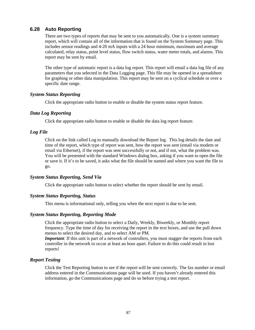# **6.28 Auto Reporting**

There are two types of reports that may be sent to you automatically. One is a system summary report, which will contain all of the information that is found on the System Summary page. This includes sensor readings and 4-20 mA inputs with a 24 hour minimum, maximum and average calculated, relay status, point level status, flow switch status, water meter totals, and alarms. This report may be sent by email.

The other type of automatic report is a data log report. This report will email a data log file of any parameters that you selected in the Data Logging page. This file may be opened in a spreadsheet for graphing or other data manipulation. This report may be sent on a cyclical schedule or over a specific date range.

# *System Status Reporting*

Click the appropriate radio button to enable or disable the system status report feature.

# *Data Log Reporting*

Click the appropriate radio button to enable or disable the data log report feature.

# *Log File*

Click on the link called Log to manually download the Report log. This log details the date and time of the report, which type of report was sent, how the report was sent (email via modem or email via Ethernet), if the report was sent successfully or not, and if not, what the problem was. You will be presented with the standard Windows dialog box, asking if you want to open the file or save it. If it's to be saved, it asks what the file should be named and where you want the file to go.

# *System Status Reporting, Send Via*

Click the appropriate radio button to select whether the report should be sent by email.

# *System Status Reporting, Status*

This menu is informational only, telling you when the next report is due to be sent.

# *System Status Reporting, Reporting Mode*

Click the appropriate radio button to select a Daily, Weekly, Biweekly, or Monthly report frequency. Type the time of day for receiving the report in the text boxes, and use the pull down menus to select the desired day, and to select AM or PM.

*Important*: If this unit is part of a network of controllers, you must stagger the reports from each controller in the network to occur at least an hour apart. Failure to do this could result in lost reports!

# *Report Testing*

Click the Test Reporting button to see if the report will be sent correctly. The fax number or email address entered in the Communications page will be used. If you haven't already entered this information, go the Communications page and do so before trying a test report.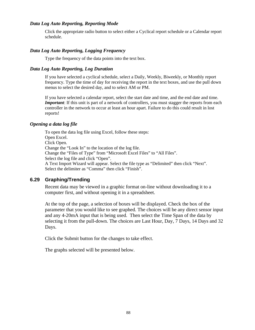# *Data Log Auto Reporting, Reporting Mode*

Click the appropriate radio button to select either a Cyclical report schedule or a Calendar report schedule.

# *Data Log Auto Reporting, Logging Frequency*

Type the frequency of the data points into the text box.

# *Data Log Auto Reporting, Log Duration*

If you have selected a cyclical schedule, select a Daily, Weekly, Biweekly, or Monthly report frequency. Type the time of day for receiving the report in the text boxes, and use the pull down menus to select the desired day, and to select AM or PM.

If you have selected a calendar report, select the start date and time, and the end date and time. *Important*: If this unit is part of a network of controllers, you must stagger the reports from each controller in the network to occur at least an hour apart. Failure to do this could result in lost reports!

# *Opening a data log file*

To open the data log file using Excel, follow these steps: Open Excel. Click Open. Change the "Look In" to the location of the log file. Change the "Files of Type" from "Microsoft Excel Files" to "All Files". Select the log file and click "Open". A Text Import Wizard will appear. Select the file type as "Delimited" then click "Next". Select the delimiter as "Comma" then click "Finish".

# **6.29 Graphing/Trending**

Recent data may be viewed in a graphic format on-line without downloading it to a computer first, and without opening it in a spreadsheet.

At the top of the page, a selection of boxes will be displayed. Check the box of the parameter that you would like to see graphed. The choices will be any direct sensor input and any 4-20mA input that is being used. Then select the Time Span of the data by selecting it from the pull-down. The choices are Last Hour, Day, 7 Days, 14 Days and 32 Days.

Click the Submit button for the changes to take effect.

The graphs selected will be presented below.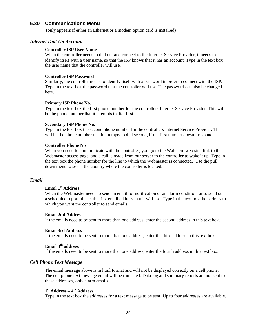# **6.30 Communications Menu**

(only appears if either an Ethernet or a modem option card is installed)

# *Internet Dial Up Account*

#### **Controller ISP User Name**

When the controller needs to dial out and connect to the Internet Service Provider, it needs to identify itself with a user name, so that the ISP knows that it has an account. Type in the text box the user name that the controller will use.

#### **Controller ISP Password**

Similarly, the controller needs to identify itself with a password in order to connect with the ISP. Type in the text box the password that the controller will use. The password can also be changed here.

#### **Primary ISP Phone No**.

Type in the text box the first phone number for the controllers Internet Service Provider. This will be the phone number that it attempts to dial first.

#### **Secondary ISP Phone No.**

Type in the text box the second phone number for the controllers Internet Service Provider. This will be the phone number that it attempts to dial second, if the first number doesn't respond.

#### **Controller Phone No**

When you need to communicate with the controller, you go to the Walchem web site, link to the Webmaster access page, and a call is made from our server to the controller to wake it up. Type in the text box the phone number for the line to which the Webmaster is connected. Use the pull down menu to select the country where the controller is located.

#### *Email*

# **Email 1st Address**

When the Webmaster needs to send an email for notification of an alarm condition, or to send out a scheduled report, this is the first email address that it will use. Type in the text box the address to which you want the controller to send emails.

#### **Email 2nd Address**

If the emails need to be sent to more than one address, enter the second address in this text box.

#### **Email 3rd Address**

If the emails need to be sent to more than one address, enter the third address in this text box.

# **Email 4th address**

If the emails need to be sent to more than one address, enter the fourth address in this text box.

### *Cell Phone Text Message*

The email message above is in html format and will not be displayed correctly on a cell phone. The cell phone text message email will be truncated. Data log and summary reports are not sent to these addresses, only alarm emails.

# **1 st Address – 4th Address**

Type in the text box the addresses for a text message to be sent. Up to four addresses are available.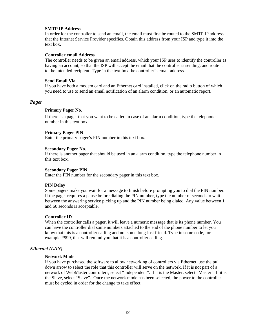#### **SMTP IP Address**

In order for the controller to send an email, the email must first be routed to the SMTP IP address that the Internet Service Provider specifies. Obtain this address from your ISP and type it into the text box.

#### **Controller email Address**

The controller needs to be given an email address, which your ISP uses to identify the controller as having an account, so that the ISP will accept the email that the controller is sending, and route it to the intended recipient. Type in the text box the controller's email address.

#### **Send Email Via**

If you have both a modem card and an Ethernet card installed, click on the radio button of which you need to use to send an email notification of an alarm condition, or an automatic report.

# *Pager*

#### **Primary Pager No.**

If there is a pager that you want to be called in case of an alarm condition, type the telephone number in this text box.

#### **Primary Pager PIN**

Enter the primary pager's PIN number in this text box.

#### **Secondary Pager No.**

If there is another pager that should be used in an alarm condition, type the telephone number in this text box.

#### **Secondary Pager PIN**

Enter the PIN number for the secondary pager in this text box.

#### **PIN Delay**

Some pagers make you wait for a message to finish before prompting you to dial the PIN number. If the pager requires a pause before dialing the PIN number, type the number of seconds to wait between the answering service picking up and the PIN number being dialed. Any value between 1 and 60 seconds is acceptable.

#### **Controller ID**

When the controller calls a pager, it will leave a numeric message that is its phone number. You can have the controller dial some numbers attached to the end of the phone number to let you know that this is a controller calling and not some long-lost friend. Type in some code, for example \*999, that will remind you that it is a controller calling.

# *Ethernet (LAN)*

#### **Network Mode**

If you have purchased the software to allow networking of controllers via Ethernet, use the pull down arrow to select the role that this controller will serve on the network. If it is not part of a network of WebMaster controllers, select "Independent". If it is the Master, select "Master". If it is the Slave, select "Slave". Once the network mode has been selected, the power to the controller must be cycled in order for the change to take effect.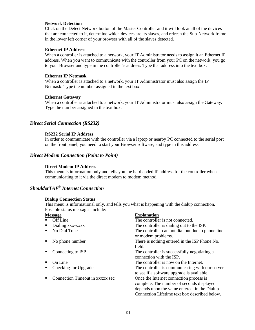#### **Network Detection**

Click on the Detect Network button of the Master Controller and it will look at all of the devices that are connected to it, determine which devices are its slaves, and refresh the Sub-Network frame in the lower left corner of your browser with all of the slaves detected.

#### **Ethernet IP Address**

When a controller is attached to a network, your IT Administrator needs to assign it an Ethernet IP address. When you want to communicate with the controller from your PC on the network, you go to your Browser and type in the controller's address. Type that address into the text box.

#### **Ethernet IP Netmask**

When a controller is attached to a network, your IT Administrator must also assign the IP Netmask. Type the number assigned in the text box.

#### **Ethernet Gateway**

When a controller is attached to a network, your IT Administrator must also assign the Gateway. Type the number assigned in the text box.

### *Direct Serial Connection (RS232)*

#### **RS232 Serial IP Address**

In order to communicate with the controller via a laptop or nearby PC connected to the serial port on the front panel, you need to start your Browser software, and type in this address.

#### *Direct Modem Connection (Point to Point)*

#### **Direct Modem IP Address**

This menu is information only and tells you the hard coded IP address for the controller when communicating to it via the direct modem to modem method.

# *ShoulderTAP® Internet Connection*

#### **Dialup Connection Status**

This menu is informational only, and tells you what is happening with the dialup connection. Possible status messages include:

#### **Message Explanation**

| Off Line                        | The controller is not connected.                                                                                                                                                      |
|---------------------------------|---------------------------------------------------------------------------------------------------------------------------------------------------------------------------------------|
| Dialing xxx-xxxx                | The controller is dialing out to the ISP.                                                                                                                                             |
| No Dial Tone                    | The controller can not dial out due to phone line<br>or modem problems.                                                                                                               |
| No phone number                 | There is nothing entered in the ISP Phone No.<br>field.                                                                                                                               |
| Connecting to ISP               | The controller is successfully negotiating a<br>connection with the ISP.                                                                                                              |
| On Line                         | The controller is now on the Internet.                                                                                                                                                |
| Checking for Upgrade            | The controller is communicating with our server<br>to see if a software upgrade is available.                                                                                         |
| Connection Timeout in xxxxx sec | Once the Internet connection process is<br>complete. The number of seconds displayed<br>depends upon the value entered in the Dialup<br>Connection Lifetime text box described below. |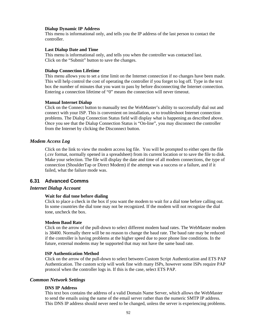#### **Dialup Dynamic IP Address**

This menu is informational only, and tells you the IP address of the last person to contact the controller.

#### **Last Dialup Date and Time**

This menu is informational only, and tells you when the controller was contacted last. Click on the "Submit" button to save the changes.

#### **Dialup Connection Lifetime**

This menu allows you to set a time limit on the Internet connection if no changes have been made. This will help control the cost of operating the controller if you forget to log off. Type in the text box the number of minutes that you want to pass by before disconnecting the Internet connection. Entering a connection lifetime of "0" means the connection will never timeout.

#### **Manual Internet Dialup**

Click on the Connect button to manually test the WebMaster's ability to successfully dial out and connect with your ISP. This is convenient on installation, or to troubleshoot Internet connection problems. The Dialup Connection Status field will display what is happening as described above. Once you see that the Dialup Connection Status is "On-line", you may disconnect the controller from the Internet by clicking the Disconnect button.

#### *Modem Access Log*

Click on the link to view the modem access log file. You will be prompted to either open the file (.csv format, normally opened in a spreadsheet) from its current location or to save the file to disk. Make your selection. The file will display the date and time of all modem connections, the type of connection (ShoulderTap or Direct Modem) if the attempt was a success or a failure, and if it failed, what the failure mode was.

# **6.31 Advanced Comms**

#### *Internet Dialup Account*

#### **Wait for dial tone before dialing**

Click to place a check in the box if you want the modem to wait for a dial tone before calling out. In some countries the dial tone may not be recognized. If the modem will not recognize the dial tone, uncheck the box.

#### **Modem Baud Rate**

Click on the arrow of the pull-down to select different modem baud rates. The WebMaster modem is 38400. Normally there will be no reason to change the baud rate. The baud rate may be reduced if the controller is having problems at the higher speed due to poor phone line conditions. In the future, external modems may be supported that may not have the same baud rate.

#### **ISP Authentication Method**

Click on the arrow of the pull-down to select between Custom Script Authentication and ETS PAP Authentication. The custom scrip will work fine with many ISPs, however some ISPs require PAP protocol when the controller logs in. If this is the case, select ETS PAP.

#### *Common Network Settings*

#### **DNS IP Address**

This text box contains the address of a valid Domain Name Server, which allows the WebMaster to send the emails using the name of the email server rather than the numeric SMTP IP address. This DNS IP address should never need to be changed, unless the server is experiencing problems.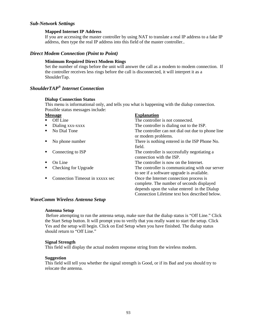# *Sub-Network Settings*

### **Mapped Internet IP Address**

If you are accessing the master controller by using NAT to translate a real IP address to a fake IP address, then type the real IP address into this field of the master controller..

# *Direct Modem Connection (Point to Point)*

# **Minimum Required Direct Modem Rings**

Set the number of rings before the unit will answer the call as a modem to modem connection. If the controller receives less rings before the call is disconnected, it will interpret it as a ShoulderTap.

# *ShoulderTAP® Internet Connection*

#### **Dialup Connection Status**

This menu is informational only, and tells you what is happening with the dialup connection. Possible status messages include:

| <b>Message</b>                  | <b>Explanation</b>                                                                                                                                                                    |
|---------------------------------|---------------------------------------------------------------------------------------------------------------------------------------------------------------------------------------|
| Off Line                        | The controller is not connected.                                                                                                                                                      |
| Dialing xxx-xxxx                | The controller is dialing out to the ISP.                                                                                                                                             |
| No Dial Tone<br>■               | The controller can not dial out due to phone line<br>or modem problems.                                                                                                               |
| No phone number                 | There is nothing entered in the ISP Phone No.<br>field.                                                                                                                               |
| Connecting to ISP               | The controller is successfully negotiating a<br>connection with the ISP.                                                                                                              |
| On Line                         | The controller is now on the Internet.                                                                                                                                                |
| Checking for Upgrade            | The controller is communicating with our server<br>to see if a software upgrade is available.                                                                                         |
| Connection Timeout in xxxxx sec | Once the Internet connection process is<br>complete. The number of seconds displayed<br>depends upon the value entered in the Dialup<br>Connection Lifetime text box described below. |
|                                 |                                                                                                                                                                                       |

# *WaveComm Wireless Antenna Setup*

#### **Antenna Setup**

 Before attempting to run the antenna setup, make sure that the dialup status is "Off Line." Click the Start Setup button. It will prompt you to verify that you really want to start the setup. Click Yes and the setup will begin. Click on End Setup when you have finished. The dialup status should return to "Off Line."

#### **Signal Strength**

This field will display the actual modem response string from the wireless modem.

#### **Suggestion**

This field will tell you whether the signal strength is Good, or if its Bad and you should try to relocate the antenna.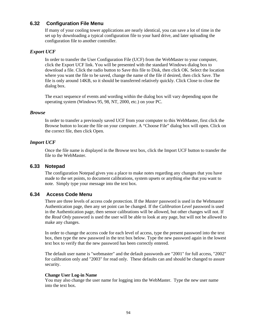# **6.32 Configuration File Menu**

If many of your cooling tower applications are nearly identical, you can save a lot of time in the set up by downloading a typical configuration file to your hard drive, and later uploading the configuration file to another controller.

# *Export UCF*

In order to transfer the User Configuration File (UCF) from the WebMaster to your computer, click the Export UCF link. You will be presented with the standard Windows dialog box to download a file. Click the radio button to Save this file to Disk, then click OK. Select the location where you want the file to be saved, change the name of the file if desired, then click Save. The file is only around 14KB, so it should be transferred relatively quickly. Click Close to close the dialog box.

The exact sequence of events and wording within the dialog box will vary depending upon the operating system (Windows 95, 98, NT, 2000, etc.) on your PC.

#### *Browse*

In order to transfer a previously saved UCF from your computer to this WebMaster, first click the Browse button to locate the file on your computer. A "Choose File" dialog box will open. Click on the correct file, then click Open.

# *Import UCF*

Once the file name is displayed in the Browse text box, click the Import UCF button to transfer the file to the WebMaster.

# **6.33 Notepad**

The configuration Notepad gives you a place to make notes regarding any changes that you have made to the set points, to document calibrations, system upsets or anything else that you want to note. Simply type your message into the text box.

# **6.34 Access Code Menu**

There are three levels of access code protection. If the *Master* password is used in the Webmaster Authentication page, then any set point can be changed. If the *Calibration Level* password is used in the Authentication page, then sensor calibrations will be allowed, but other changes will not. If the *Read Only* password is used the user will be able to look at any page, but will not be allowed to make any changes.

In order to change the access code for each level of access, type the present password into the text box, then type the new password in the text box below. Type the new password again in the lowest text box to verify that the new password has been correctly entered.

The default user name is "webmaster" and the default passwords are "2001" for full access, "2002" for calibration only and "2003" for read only. These defaults can and should be changed to assure security.

#### **Change User Log-in Name**

You may also change the user name for logging into the WebMaster. Type the new user name into the text box.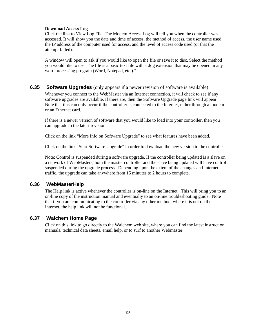# **Download Access Log**

Click the link to View Log File. The Modem Access Log will tell you when the controller was accessed. It will show you the date and time of access, the method of access, the user name used, the IP address of the computer used for access, and the level of access code used (or that the attempt failed).

A window will open to ask if you would like to open the file or save it to disc. Select the method you would like to use. The file is a basic text file with a .log extension that may be opened in any word processing program (Word, Notepad, etc.)."

# **6.35 Software Upgrades** (only appears if a newer revision of software is available)

Whenever you connect to the WebMaster via an Internet connection, it will check to see if any software upgrades are available. If there are, then the Software Upgrade page link will appear. Note that this can only occur if the controller is connected to the Internet, either through a modem or an Ethernet card.

If there is a newer version of software that you would like to load into your controller, then you can upgrade to the latest revision.

Click on the link "More Info on Software Upgrade" to see what features have been added.

Click on the link "Start Software Upgrade" in order to download the new version to the controller.

Note: Control is suspended during a software upgrade. If the controller being updated is a slave on a network of WebMasters, both the master controller and the slave being updated will have control suspended during the upgrade process. Depending upon the extent of the changes and Internet traffic, the upgrade can take anywhere from 15 minutes to 2 hours to complete.

# **6.36 WebMasterHelp**

The Help link is active whenever the controller is on-line on the Internet. This will bring you to an on-line copy of the instruction manual and eventually to an on-line troubleshooting guide. Note that if you are communicating to the controller via any other method, where it is not on the Internet, the help link will not be functional.

# **6.37 Walchem Home Page**

Click on this link to go directly to the Walchem web site, where you can find the latest instruction manuals, technical data sheets, email help, or to surf to another Webmaster.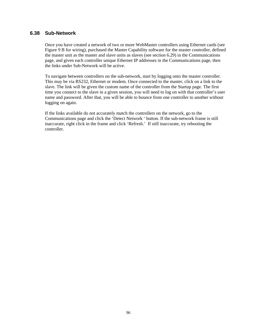# **6.38 Sub-Network**

Once you have created a network of two or more WebMaster controllers using Ethernet cards (see Figure 9 B for wiring), purchased the Master Capability software for the master controller, defined the master unit as the master and slave units as slaves (see section 6.29) in the Communications page, and given each controller unique Ethernet IP addresses in the Communications page, then the links under Sub-Network will be active.

To navigate between controllers on the sub-network, start by logging onto the master controller. This may be via RS232, Ethernet or modem. Once connected to the master, click on a link to the slave. The link will be given the custom name of the controller from the Startup page. The first time you connect to the slave in a given session, you will need to log on with that controller's user name and password. After that, you will be able to bounce from one controller to another without logging on again.

If the links available do not accurately match the controllers on the network, go to the Communications page and click the 'Detect Network ' button. If the sub-network frame is still inaccurate, right click in the frame and click 'Refresh.' If still inaccurate, try rebooting the controller.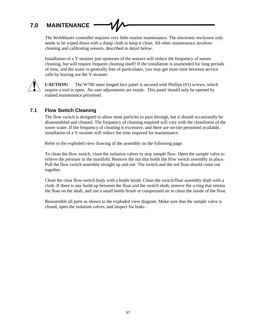# **7.0 MAINTENANCE**

The WebMaster controller requires very little routine maintenance. The electronic enclosure only needs to be wiped down with a damp cloth to keep it clean. All other maintenance involves cleaning and calibrating sensors, described in detail below.

Installation of a Y-strainer just upstream of the sensors will reduce the frequency of sensor cleaning, but will require frequent cleaning itself! If the installation is unattended for long periods of time, and the water is generally free of particulates, you may get more time between service calls by leaving out the Y-strainer.



**CAUTION!** The W700 inner hinged face panel is secured with Phillips (#1) screws, which require a tool to open. No user adjustments are inside. This panel should only be opened by trained maintenance personnel.

# **7.1 Flow Switch Cleaning**

The flow switch is designed to allow most particles to pass through, but it should occasionally be disassembled and cleaned. The frequency of cleaning required will vary with the cleanliness of the tower water. If the frequency of cleaning is excessive, and there are on-site personnel available, installation of a Y-strainer will reduce the time required for maintenance.

Refer to the exploded view drawing of the assembly on the following page.

To clean the flow switch, close the isolation valves to stop sample flow. Open the sample valve to relieve the pressure in the manifold. Remove the nut that holds the flow switch assembly in place. Pull the flow switch assembly straight up and out. The switch and the red float should come out together.

Clean the clear flow switch body with a bottle brush. Clean the switch/float assembly shaft with a cloth. If there is any build-up between the float and the switch shaft, remove the o-ring that retains the float on the shaft, and use a small bottle brush or compressed air to clean the inside of the float.

Reassemble all parts as shown in the exploded view diagram. Make sure that the sample valve is closed, open the isolation valves, and inspect for leaks.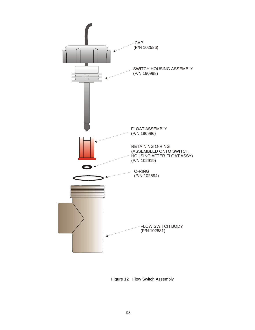

Figure 12 Flow Switch Assembly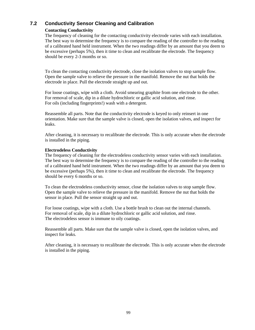# **7.2 Conductivity Sensor Cleaning and Calibration**

# **Contacting Conductivity**

The frequency of cleaning for the contacting conductivity electrode varies with each installation. The best way to determine the frequency is to compare the reading of the controller to the reading of a calibrated hand held instrument. When the two readings differ by an amount that you deem to be excessive (perhaps 5%), then it time to clean and recalibrate the electrode. The frequency should be every 2-3 months or so.

To clean the contacting conductivity electrode, close the isolation valves to stop sample flow. Open the sample valve to relieve the pressure in the manifold. Remove the nut that holds the electrode in place. Pull the electrode straight up and out.

For loose coatings, wipe with a cloth. Avoid smearing graphite from one electrode to the other. For removal of scale, dip in a dilute hydrochloric or gallic acid solution, and rinse. For oils (including fingerprints!) wash with a detergent.

Reassemble all parts. Note that the conductivity electrode is keyed to only reinsert in one orientation. Make sure that the sample valve is closed, open the isolation valves, and inspect for leaks.

After cleaning, it is necessary to recalibrate the electrode. This is only accurate when the electrode is installed in the piping.

# **Electrodeless Conductivity**

The frequency of cleaning for the electrodeless conductivity sensor varies with each installation. The best way to determine the frequency is to compare the reading of the controller to the reading of a calibrated hand held instrument. When the two readings differ by an amount that you deem to be excessive (perhaps 5%), then it time to clean and recalibrate the electrode. The frequency should be every 6 months or so.

To clean the electrodeless conductivity sensor, close the isolation valves to stop sample flow. Open the sample valve to relieve the pressure in the manifold. Remove the nut that holds the sensor in place. Pull the sensor straight up and out.

For loose coatings, wipe with a cloth. Use a bottle brush to clean out the internal channels. For removal of scale, dip in a dilute hydrochloric or gallic acid solution, and rinse. The electrodeless sensor is immune to oily coatings.

Reassemble all parts. Make sure that the sample valve is closed, open the isolation valves, and inspect for leaks.

After cleaning, it is necessary to recalibrate the electrode. This is only accurate when the electrode is installed in the piping.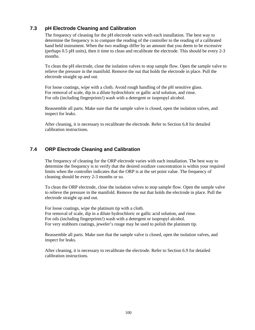# **7.3 pH Electrode Cleaning and Calibration**

The frequency of cleaning for the pH electrode varies with each installation. The best way to determine the frequency is to compare the reading of the controller to the reading of a calibrated hand held instrument. When the two readings differ by an amount that you deem to be excessive (perhaps 0.5 pH units), then it time to clean and recalibrate the electrode. This should be every 2-3 months.

To clean the pH electrode, close the isolation valves to stop sample flow. Open the sample valve to relieve the pressure in the manifold. Remove the nut that holds the electrode in place. Pull the electrode straight up and out.

For loose coatings, wipe with a cloth. Avoid rough handling of the pH sensitive glass. For removal of scale, dip in a dilute hydrochloric or gallic acid solution, and rinse. For oils (including fingerprints!) wash with a detergent or isopropyl alcohol.

Reassemble all parts. Make sure that the sample valve is closed, open the isolation valves, and inspect for leaks.

After cleaning, it is necessary to recalibrate the electrode. Refer to Section 6.8 for detailed calibration instructions.

# **7.4 ORP Electrode Cleaning and Calibration**

The frequency of cleaning for the ORP electrode varies with each installation. The best way to determine the frequency is to verify that the desired oxidizer concentration is within your required limits when the controller indicates that the ORP is at the set point value. The frequency of cleaning should be every 2-3 months or so.

To clean the ORP electrode, close the isolation valves to stop sample flow. Open the sample valve to relieve the pressure in the manifold. Remove the nut that holds the electrode in place. Pull the electrode straight up and out.

For loose coatings, wipe the platinum tip with a cloth. For removal of scale, dip in a dilute hydrochloric or gallic acid solution, and rinse. For oils (including fingerprints!) wash with a detergent or isopropyl alcohol. For very stubborn coatings, jeweler's rouge may be used to polish the platinum tip.

Reassemble all parts. Make sure that the sample valve is closed, open the isolation valves, and inspect for leaks.

After cleaning, it is necessary to recalibrate the electrode. Refer to Section 6.9 for detailed calibration instructions.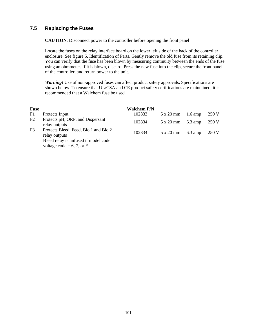# **7.5 Replacing the Fuses**

**CAUTION**: Disconnect power to the controller before opening the front panel!

Locate the fuses on the relay interface board on the lower left side of the back of the controller enclosure. See figure 5, Identification of Parts. Gently remove the old fuse from its retaining clip. You can verify that the fuse has been blown by measuring continuity between the ends of the fuse using an ohmmeter. If it is blown, discard. Press the new fuse into the clip, secure the front panel of the controller, and return power to the unit.

*Warning!* Use of non-approved fuses can affect product safety approvals. Specifications are shown below. To ensure that UL/CSA and CE product safety certifications are maintained, it is recommended that a Walchem fuse be used.

| <b>Fuse</b>    |                                                                     | Walchem P/N |           |                   |       |
|----------------|---------------------------------------------------------------------|-------------|-----------|-------------------|-------|
| F1             | Protects Input                                                      | 102833      | 5 x 20 mm | $1.6 \text{ amp}$ | 250 V |
| F2             | Protects pH, ORP, and Dispersant<br>relay outputs                   | 102834      | 5 x 20 mm | $6.3 \text{ amp}$ | 250 V |
| F <sub>3</sub> | Protects Bleed, Feed, Bio 1 and Bio 2<br>relay outputs              | 102834      | 5 x 20 mm | $6.3 \text{ amp}$ | 250 V |
|                | Bleed relay is unfused if model code<br>voltage code = 6, 7, or $E$ |             |           |                   |       |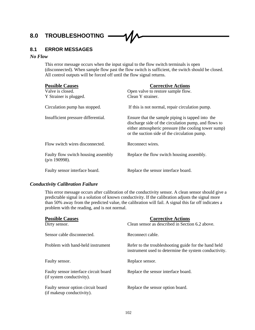# **8.0 TROUBLESHOOTING**

# **8.1 ERROR MESSAGES**

# *No Flow*

This error message occurs when the input signal to the flow switch terminals is open (disconnected). When sample flow past the flow switch is sufficient, the switch should be closed. All control outputs will be forced off until the flow signal returns.

| <b>Possible Causes</b>                                  | <b>Corrective Actions</b>                                                                                                                                                                                        |
|---------------------------------------------------------|------------------------------------------------------------------------------------------------------------------------------------------------------------------------------------------------------------------|
| Valve is closed.                                        | Open valve to restore sample flow.                                                                                                                                                                               |
| Y Strainer is plugged.                                  | Clean Y strainer.                                                                                                                                                                                                |
| Circulation pump has stopped.                           | If this is not normal, repair circulation pump.                                                                                                                                                                  |
| Insufficient pressure differential.                     | Ensure that the sample piping is tapped into the<br>discharge side of the circulation pump, and flows to<br>either atmospheric pressure (the cooling tower sump)<br>or the suction side of the circulation pump. |
| Flow switch wires disconnected.                         | Reconnect wires.                                                                                                                                                                                                 |
| Faulty flow switch housing assembly<br>$(p/n 190998)$ . | Replace the flow switch housing assembly.                                                                                                                                                                        |
| Faulty sensor interface board.                          | Replace the sensor interface board.                                                                                                                                                                              |

# *Conductivity Calibration Failure*

This error message occurs after calibration of the conductivity sensor. A clean sensor should give a predictable signal in a solution of known conductivity. If the calibration adjusts the signal more than 50% away from the predicted value, the calibration will fail. A signal this far off indicates a problem with the reading, and is not normal.

| <b>Possible Causes</b><br>Dirty sensor.                            | <b>Corrective Actions</b><br>Clean sensor as described in Section 6.2 above.                                  |
|--------------------------------------------------------------------|---------------------------------------------------------------------------------------------------------------|
| Sensor cable disconnected.                                         | Reconnect cable.                                                                                              |
| Problem with hand-held instrument                                  | Refer to the troubleshooting guide for the hand held<br>instrument used to determine the system conductivity. |
| Faulty sensor.                                                     | Replace sensor.                                                                                               |
| Faulty sensor interface circuit board<br>(if system conductivity). | Replace the sensor interface board.                                                                           |
| Faulty sensor option circuit board<br>(if makeup conductivity).    | Replace the sensor option board.                                                                              |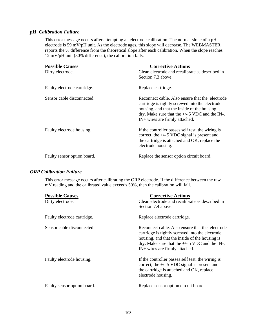# *pH Calibration Failure*

This error message occurs after attempting an electrode calibration. The normal slope of a pH electrode is 59 mV/pH unit. As the electrode ages, this slope will decrease. The WEBMASTER reports the % difference from the theoretical slope after each calibration. When the slope reaches 12 mV/pH unit (80% difference), the calibration fails.

| <b>Possible Causes</b><br>Dirty electrode. | <b>Corrective Actions</b><br>Clean electrode and recalibrate as described in<br>Section 7.3 above.                                                                                                                                         |
|--------------------------------------------|--------------------------------------------------------------------------------------------------------------------------------------------------------------------------------------------------------------------------------------------|
| Faulty electrode cartridge.                | Replace cartridge.                                                                                                                                                                                                                         |
| Sensor cable disconnected.                 | Reconnect cable. Also ensure that the electrode<br>cartridge is tightly screwed into the electrode<br>housing, and that the inside of the housing is<br>dry. Make sure that the $+/- 5$ VDC and the IN-,<br>IN+ wires are firmly attached. |
| Faulty electrode housing.                  | If the controller passes self test, the wiring is<br>correct, the $+/-$ 5 VDC signal is present and<br>the cartridge is attached and OK, replace the<br>electrode housing.                                                                 |
| Faulty sensor option board.                | Replace the sensor option circuit board.                                                                                                                                                                                                   |

# *ORP Calibration Failure*

This error message occurs after calibrating the ORP electrode. If the difference between the raw mV reading and the calibrated value exceeds 50%, then the calibration will fail.

| <b>Possible Causes</b><br>Dirty electrode. | <b>Corrective Actions</b><br>Clean electrode and recalibrate as described in<br>Section 7.4 above.                                                                                                                                         |
|--------------------------------------------|--------------------------------------------------------------------------------------------------------------------------------------------------------------------------------------------------------------------------------------------|
| Faulty electrode cartridge.                | Replace electrode cartridge.                                                                                                                                                                                                               |
| Sensor cable disconnected.                 | Reconnect cable. Also ensure that the electrode<br>cartridge is tightly screwed into the electrode<br>housing, and that the inside of the housing is<br>dry. Make sure that the $+/- 5$ VDC and the IN-,<br>IN+ wires are firmly attached. |
| Faulty electrode housing.                  | If the controller passes self test, the wiring is<br>correct, the $+/- 5$ VDC signal is present and<br>the cartridge is attached and OK, replace<br>electrode housing.                                                                     |
| Faulty sensor option board.                | Replace sensor option circuit board.                                                                                                                                                                                                       |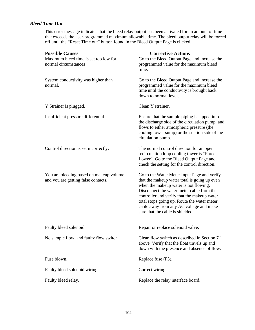# *Bleed Time Out*

This error message indicates that the bleed relay output has been activated for an amount of time that exceeds the user-programmed maximum allowable time. The bleed output relay will be forced off until the "Reset Time out" button found in the Bleed Output Page is clicked.

| <b>Possible Causes</b>                                                         | <b>Corrective Actions</b>                                                                                                                                                                                                                                                                                                                                      |
|--------------------------------------------------------------------------------|----------------------------------------------------------------------------------------------------------------------------------------------------------------------------------------------------------------------------------------------------------------------------------------------------------------------------------------------------------------|
| Maximum bleed time is set too low for<br>normal circumstances                  | Go to the Bleed Output Page and increase the<br>programmed value for the maximum bleed<br>time.                                                                                                                                                                                                                                                                |
| System conductivity was higher than<br>normal.                                 | Go to the Bleed Output Page and increase the<br>programmed value for the maximum bleed<br>time until the conductivity is brought back<br>down to normal levels.                                                                                                                                                                                                |
| Y Strainer is plugged.                                                         | Clean Y strainer.                                                                                                                                                                                                                                                                                                                                              |
| Insufficient pressure differential.                                            | Ensure that the sample piping is tapped into<br>the discharge side of the circulation pump, and<br>flows to either atmospheric pressure (the<br>cooling tower sump) or the suction side of the<br>circulation pump.                                                                                                                                            |
| Control direction is set incorrectly.                                          | The normal control direction for an open<br>recirculation loop cooling tower is "Force<br>Lower". Go to the Bleed Output Page and<br>check the setting for the control direction.                                                                                                                                                                              |
| You are bleeding based on makeup volume<br>and you are getting false contacts. | Go to the Water Meter Input Page and verify<br>that the makeup water total is going up even<br>when the makeup water is not flowing.<br>Disconnect the water meter cable from the<br>controller and verify that the makeup water<br>total stops going up. Route the water meter<br>cable away from any AC voltage and make<br>sure that the cable is shielded. |
| Faulty bleed solenoid.                                                         | Repair or replace solenoid valve.                                                                                                                                                                                                                                                                                                                              |
| No sample flow, and faulty flow switch.                                        | Clean flow switch as described in Section 7.1<br>above. Verify that the float travels up and<br>down with the presence and absence of flow.                                                                                                                                                                                                                    |
| Fuse blown.                                                                    | Replace fuse (F3).                                                                                                                                                                                                                                                                                                                                             |
| Faulty bleed solenoid wiring.                                                  | Correct wiring.                                                                                                                                                                                                                                                                                                                                                |
| Faulty bleed relay.                                                            | Replace the relay interface board.                                                                                                                                                                                                                                                                                                                             |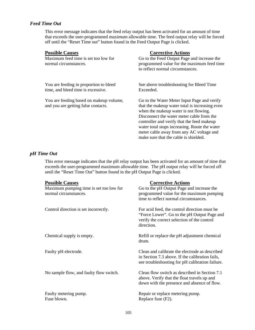### *Feed Time Out*

This error message indicates that the feed relay output has been activated for an amount of time that exceeds the user-programmed maximum allowable time. The feed output relay will be forced off until the "Reset Time out" button found in the Feed Output Page is clicked.

| <b>Possible Causes</b>                                                         | <b>Corrective Actions</b>                                                                                                                                                                                                                                                                                                                                               |
|--------------------------------------------------------------------------------|-------------------------------------------------------------------------------------------------------------------------------------------------------------------------------------------------------------------------------------------------------------------------------------------------------------------------------------------------------------------------|
| Maximum feed time is set too low for                                           | Go to the Feed Output Page and increase the                                                                                                                                                                                                                                                                                                                             |
| normal circumstances.                                                          | programmed value for the maximum feed time<br>to reflect normal circumstances.                                                                                                                                                                                                                                                                                          |
| You are feeding in proportion to bleed<br>time, and bleed time is excessive.   | See above troubleshooting for Bleed Time<br>Exceeded.                                                                                                                                                                                                                                                                                                                   |
| You are feeding based on makeup volume,<br>and you are getting false contacts. | Go to the Water Meter Input Page and verify<br>that the makeup water total is increasing even<br>when the makeup water is not flowing.<br>Disconnect the water meter cable from the<br>controller and verify that the feed makeup<br>water total stops increasing. Route the water<br>meter cable away from any AC voltage and<br>make sure that the cable is shielded. |

## *pH Time Out*

This error message indicates that the pH relay output has been activated for an amount of time that exceeds the user-programmed maximum allowable time. The pH output relay will be forced off until the "Reset Time Out" button found in the pH Output Page is clicked.

| <b>Possible Causes</b>                                           | <b>Corrective Actions</b>                                                                                                                                |
|------------------------------------------------------------------|----------------------------------------------------------------------------------------------------------------------------------------------------------|
| Maximum pumping time is set too low for<br>normal circumstances. | Go to the pH Output Page and increase the<br>programmed value for the maximum pumping<br>time to reflect normal circumstances.                           |
| Control direction is set incorrectly.                            | For acid feed, the control direction must be<br>"Force Lower". Go to the pH Output Page and<br>verify the correct selection of the control<br>direction. |
| Chemical supply is empty.                                        | Refill or replace the pH adjustment chemical<br>drum.                                                                                                    |
| Faulty pH electrode.                                             | Clean and calibrate the electrode as described<br>in Section 7.3 above. If the calibration fails,<br>see troubleshooting for pH calibration failure.     |
| No sample flow, and faulty flow switch.                          | Clean flow switch as described in Section 7.1<br>above. Verify that the float travels up and<br>down with the presence and absence of flow.              |
| Faulty metering pump.<br>Fuse blown.                             | Repair or replace metering pump.<br>Replace fuse (F2).                                                                                                   |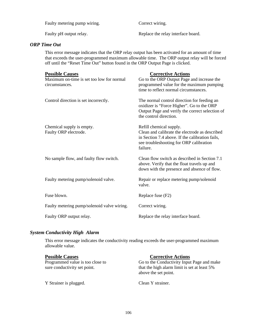Faulty pH output relay. Replace the relay interface board.

## *ORP Time Out*

This error message indicates that the ORP relay output has been activated for an amount of time that exceeds the user-programmed maximum allowable time. The ORP output relay will be forced off until the "Reset Time Out" button found in the ORP Output Page is clicked.

| <b>Possible Causes</b><br>Maximum on-time is set too low for normal<br>circumstances. | <b>Corrective Actions</b><br>Go to the ORP Output Page and increase the<br>programmed value for the maximum pumping<br>time to reflect normal circumstances.                        |
|---------------------------------------------------------------------------------------|-------------------------------------------------------------------------------------------------------------------------------------------------------------------------------------|
| Control direction is set incorrectly.                                                 | The normal control direction for feeding an<br>oxidizer is "Force Higher". Go to the ORP<br>Output Page and verify the correct selection of<br>the control direction.               |
| Chemical supply is empty.<br>Faulty ORP electrode.                                    | Refill chemical supply.<br>Clean and calibrate the electrode as described<br>in Section 7.4 above. If the calibration fails,<br>see troubleshooting for ORP calibration<br>failure. |
| No sample flow, and faulty flow switch.                                               | Clean flow switch as described in Section 7.1<br>above. Verify that the float travels up and<br>down with the presence and absence of flow.                                         |
| Faulty metering pump/solenoid valve.                                                  | Repair or replace metering pump/solenoid<br>valve.                                                                                                                                  |
| Fuse blown.                                                                           | Replace fuse (F2)                                                                                                                                                                   |
| Faulty metering pump/solenoid valve wiring.                                           | Correct wiring.                                                                                                                                                                     |
| Faulty ORP output relay.                                                              | Replace the relay interface board.                                                                                                                                                  |

## *System Conductivity High Alarm*

This error message indicates the conductivity reading exceeds the user-programmed maximum allowable value.

| <b>Possible Causes</b>           | <b>Corrective Actions</b>                                            |
|----------------------------------|----------------------------------------------------------------------|
| Programmed value is too close to | Go to the Conductivity Input Page and make                           |
| sure conductivity set point.     | that the high alarm limit is set at least 5%<br>above the set point. |
| Y Strainer is plugged.           | Clean Y strainer.                                                    |

Faulty metering pump wiring. Correct wiring.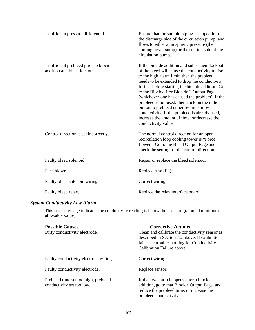| Insufficient pressure differential.                                   | Ensure that the sample piping is tapped into<br>the discharge side of the circulation pump, and<br>flows to either atmospheric pressure (the<br>cooling tower sump) or the suction side of the<br>circulation pump.                                                                                                                                                                                                                                                                                                                                                       |
|-----------------------------------------------------------------------|---------------------------------------------------------------------------------------------------------------------------------------------------------------------------------------------------------------------------------------------------------------------------------------------------------------------------------------------------------------------------------------------------------------------------------------------------------------------------------------------------------------------------------------------------------------------------|
| Insufficient prebleed prior to biocide<br>addition and bleed lockout. | If the biocide addition and subsequent lockout<br>of the bleed will cause the conductivity to rise<br>to the high alarm limit, then the prebleed<br>needs to be extended to drop the conductivity<br>further before starting the biocide addition. Go<br>to the Biocide 1 or Biocide 2 Output Page<br>(whichever one has caused the problem). If the<br>prebleed is not used, then click on the radio<br>button to prebleed either by time or by<br>conductivity. If the prebleed is already used,<br>increase the amount of time, or decrease the<br>conductivity value. |
| Control direction is set incorrectly.                                 | The normal control direction for an open<br>recirculation loop cooling tower is "Force<br>Lower". Go to the Bleed Output Page and<br>check the setting for the control direction.                                                                                                                                                                                                                                                                                                                                                                                         |
| Faulty bleed solenoid.                                                | Repair or replace the bleed solenoid.                                                                                                                                                                                                                                                                                                                                                                                                                                                                                                                                     |
| Fuse blown.                                                           | Replace fuse (F3).                                                                                                                                                                                                                                                                                                                                                                                                                                                                                                                                                        |
| Faulty bleed solenoid wiring.                                         | Correct wiring.                                                                                                                                                                                                                                                                                                                                                                                                                                                                                                                                                           |
| Faulty bleed relay.                                                   | Replace the relay interface board.                                                                                                                                                                                                                                                                                                                                                                                                                                                                                                                                        |

# *System Conductivity Low Alarm*

This error message indicates the conductivity reading is below the user-programmed minimum allowable value.

| <b>Possible Causes</b>                                            | <b>Corrective Actions</b>                                                                                                                                        |
|-------------------------------------------------------------------|------------------------------------------------------------------------------------------------------------------------------------------------------------------|
| Dirty conductivity electrode.                                     | Clean and calibrate the conductivity sensor as<br>described in Section 7.2 above. If calibration                                                                 |
|                                                                   | fails, see troubleshooting for Conductivity                                                                                                                      |
|                                                                   | Calibration Failure above.                                                                                                                                       |
| Faulty conductivity electrode wiring.                             | Correct wiring.                                                                                                                                                  |
| Faulty conductivity electrode.                                    | Replace sensor.                                                                                                                                                  |
| Prebleed time set too high, prebleed<br>conductivity set too low. | If the low alarm happens after a biocide<br>addition, go to that Biocide Output Page, and<br>reduce the prebleed time, or increase the<br>prebleed conductivity. |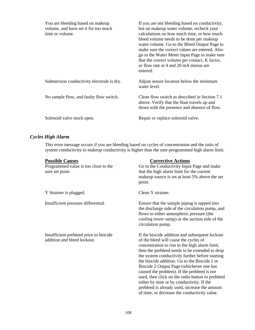| You are bleeding based on makeup<br>volume, and have set it for too much<br>time or volume. | If you are not bleeding based on conductivity,<br>but on makeup water volume, recheck your<br>calculations on how much time, or how much<br>bleed volume needs to be done per makeup<br>water volume. Go to the Bleed Output Page to<br>make sure the correct values are entered. Also<br>go to the Water Meter Input Page to make sure<br>that the correct volume per contact, K factor,<br>or flow rate at 4 and 20 mA menus are<br>entered. |
|---------------------------------------------------------------------------------------------|------------------------------------------------------------------------------------------------------------------------------------------------------------------------------------------------------------------------------------------------------------------------------------------------------------------------------------------------------------------------------------------------------------------------------------------------|
| Submersion conductivity electrode is dry.                                                   | Adjust sensor location below the minimum<br>water level.                                                                                                                                                                                                                                                                                                                                                                                       |
| No sample flow, and faulty flow switch.                                                     | Clean flow switch as described in Section 7.1<br>above. Verify that the float travels up and<br>down with the presence and absence of flow.                                                                                                                                                                                                                                                                                                    |
| Solenoid valve stuck open.                                                                  | Repair or replace solenoid valve.                                                                                                                                                                                                                                                                                                                                                                                                              |

## *Cycles High Alarm*

This error message occurs if you are bleeding based on cycles of concentration and the ratio of system conductivity to makeup conductivity is higher than the user-programmed high alarm limit.

| <b>Possible Causes</b><br>Programmed value is too close to the<br>sure set point. | <b>Corrective Actions</b><br>Go to the Conductivity Input Page and make<br>that the high alarm limit for the current<br>makeup source is set at least 5% above the set<br>point.                                                                                                                                                                                                                                                                                                                                                                                                            |
|-----------------------------------------------------------------------------------|---------------------------------------------------------------------------------------------------------------------------------------------------------------------------------------------------------------------------------------------------------------------------------------------------------------------------------------------------------------------------------------------------------------------------------------------------------------------------------------------------------------------------------------------------------------------------------------------|
| Y Strainer is plugged.                                                            | Clean Y strainer.                                                                                                                                                                                                                                                                                                                                                                                                                                                                                                                                                                           |
| Insufficient pressure differential.                                               | Ensure that the sample piping is tapped into<br>the discharge side of the circulation pump, and<br>flows to either atmospheric pressure (the<br>cooling tower sump) or the suction side of the<br>circulation pump.                                                                                                                                                                                                                                                                                                                                                                         |
| Insufficient prebleed prior to biocide<br>addition and bleed lockout.             | If the biocide addition and subsequent lockout<br>of the bleed will cause the cycles of<br>concentration to rise to the high alarm limit,<br>then the prebleed needs to be extended to drop<br>the system conductivity further before starting<br>the biocide addition. Go to the Biocide 1 or<br>Biocide 2 Output Page (whichever one has<br>caused the problem). If the prebleed is not<br>used, then click on the radio button to prebleed<br>either by time or by conductivity. If the<br>prebleed is already used, increase the amount<br>of time, or decrease the conductivity value. |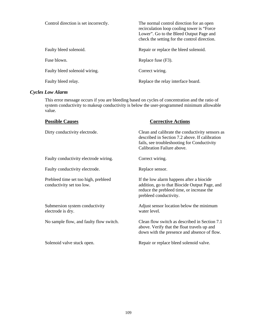| Control direction is set incorrectly. | The normal control direction for an open<br>recirculation loop cooling tower is "Force"<br>Lower". Go to the Bleed Output Page and<br>check the setting for the control direction. |
|---------------------------------------|------------------------------------------------------------------------------------------------------------------------------------------------------------------------------------|
| Faulty bleed solenoid.                | Repair or replace the bleed solenoid.                                                                                                                                              |
| Fuse blown.                           | Replace fuse (F3).                                                                                                                                                                 |
| Faulty bleed solenoid wiring.         | Correct wiring.                                                                                                                                                                    |
| Faulty bleed relay.                   | Replace the relay interface board.                                                                                                                                                 |

## *Cycles Low Alarm*

This error message occurs if you are bleeding based on cycles of concentration and the ratio of system conductivity to makeup conductivity is below the user-programmed minimum allowable value.

| <b>Possible Causes</b>                                            | <b>Corrective Actions</b>                                                                                                                                                      |
|-------------------------------------------------------------------|--------------------------------------------------------------------------------------------------------------------------------------------------------------------------------|
| Dirty conductivity electrode.                                     | Clean and calibrate the conductivity sensors as<br>described in Section 7.2 above. If calibration<br>fails, see troubleshooting for Conductivity<br>Calibration Failure above. |
| Faulty conductivity electrode wiring.                             | Correct wiring.                                                                                                                                                                |
| Faulty conductivity electrode.                                    | Replace sensor.                                                                                                                                                                |
| Prebleed time set too high, prebleed<br>conductivity set too low. | If the low alarm happens after a biocide<br>addition, go to that Biocide Output Page, and<br>reduce the prebleed time, or increase the<br>prebleed conductivity.               |
| Submersion system conductivity<br>electrode is dry.               | Adjust sensor location below the minimum<br>water level.                                                                                                                       |
| No sample flow, and faulty flow switch.                           | Clean flow switch as described in Section 7.1<br>above. Verify that the float travels up and<br>down with the presence and absence of flow.                                    |
| Solenoid valve stuck open.                                        | Repair or replace bleed solenoid valve.                                                                                                                                        |
|                                                                   |                                                                                                                                                                                |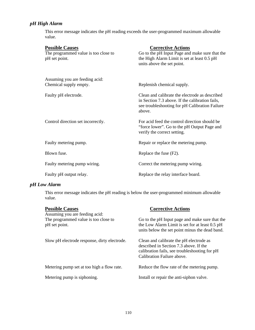## *pH High Alarm*

This error message indicates the pH reading exceeds the user-programmed maximum allowable value.

| <b>Possible Causes</b><br>The programmed value is too close to<br>pH set point. | <b>Corrective Actions</b><br>Go to the pH Input Page and make sure that the<br>the High Alarm Limit is set at least 0.5 pH<br>units above the set point.      |
|---------------------------------------------------------------------------------|---------------------------------------------------------------------------------------------------------------------------------------------------------------|
| Assuming you are feeding acid:<br>Chemical supply empty.                        | Replenish chemical supply.                                                                                                                                    |
| Faulty pH electrode.                                                            | Clean and calibrate the electrode as described<br>in Section 7.3 above. If the calibration fails,<br>see troubleshooting for pH Calibration Failure<br>above. |
| Control direction set incorrectly.                                              | For acid feed the control direction should be<br>"force lower". Go to the pH Output Page and<br>verify the correct setting.                                   |
| Faulty metering pump.                                                           | Repair or replace the metering pump.                                                                                                                          |
| Blown fuse.                                                                     | Replace the fuse (F2).                                                                                                                                        |
| Faulty metering pump wiring.                                                    | Correct the metering pump wiring.                                                                                                                             |
| Faulty pH output relay.                                                         | Replace the relay interface board.                                                                                                                            |

## *pH Low Alarm*

This error message indicates the pH reading is below the user-programmed minimum allowable value.

| <b>Possible Causes</b>                                                                  | <b>Corrective Actions</b>                                                                                                                                        |
|-----------------------------------------------------------------------------------------|------------------------------------------------------------------------------------------------------------------------------------------------------------------|
| Assuming you are feeding acid:<br>The programmed value is too close to<br>pH set point. | Go to the pH Input page and make sure that the<br>the Low Alarm Limit is set for at least 0.5 pH<br>units below the set point minus the dead band.               |
| Slow pH electrode response, dirty electrode.                                            | Clean and calibrate the pH electrode as<br>described in Section 7.3 above. If the<br>calibration fails, see troubleshooting for pH<br>Calibration Failure above. |
| Metering pump set at too high a flow rate.                                              | Reduce the flow rate of the metering pump.                                                                                                                       |
| Metering pump is siphoning.                                                             | Install or repair the anti-siphon valve.                                                                                                                         |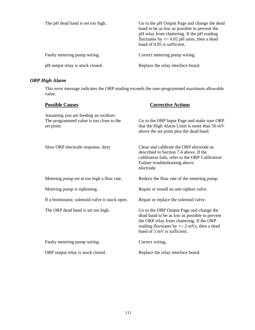| The pH dead band is set too high. | Go to the pH Output Page and change the dead<br>band to be as low as possible to prevent the<br>pH relay from chattering. If the pH reading<br>fluctuates by $+/- 0.02$ pH units, then a dead<br>band of 0.05 is sufficient. |
|-----------------------------------|------------------------------------------------------------------------------------------------------------------------------------------------------------------------------------------------------------------------------|
| Faulty metering pump wiring.      | Correct metering pump wiring.                                                                                                                                                                                                |
| pH output relay is stuck closed.  | Replace the relay interface board.                                                                                                                                                                                           |

## *ORP High Alarm*

This error message indicates the ORP reading exceeds the user-programmed maximum allowable value.

| <b>Possible Causes</b>                                                                          | <b>Corrective Actions</b>                                                                                                                                                                                               |
|-------------------------------------------------------------------------------------------------|-------------------------------------------------------------------------------------------------------------------------------------------------------------------------------------------------------------------------|
| Assuming you are feeding an oxidizer:<br>The programmed value is too close to the<br>set point. | Go to the ORP Input Page and make sure ORP<br>that the High Alarm Limit is more than 50 mV<br>above the set point plus the dead band.                                                                                   |
| Slow ORP electrode response, dirty                                                              | Clean and calibrate the ORP electrode as<br>described in Section 7.4 above. If the<br>calibration fails, refer to the ORP Calibration<br>Failure troubleshooting above.<br>electrode.                                   |
| Metering pump set at too high a flow rate.                                                      | Reduce the flow rate of the metering pump.                                                                                                                                                                              |
| Metering pump is siphoning.                                                                     | Repair or install an anti-siphon valve.                                                                                                                                                                                 |
| If a brominator, solenoid valve is stuck open.                                                  | Repair or replace the solenoid valve.                                                                                                                                                                                   |
| The ORP dead band is set too high.                                                              | Go to the ORP Output Page and change the<br>dead band to be as low as possible to prevent<br>the ORP relay from chattering. If the ORP<br>reading fluctuates by $+/- 2$ mVs, then a dead<br>band of 5 mV is sufficient. |
| Faulty metering pump wiring.                                                                    | Correct wiring.                                                                                                                                                                                                         |
| ORP output relay is stuck closed.                                                               | Replace the relay interface board.                                                                                                                                                                                      |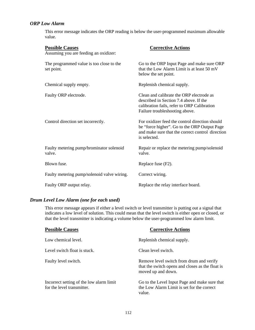## *ORP Low Alarm*

This error message indicates the ORP reading is below the user-programmed maximum allowable value.

| <b>Possible Causes</b><br>Assuming you are feeding an oxidizer: | <b>Corrective Actions</b>                                                                                                                                           |
|-----------------------------------------------------------------|---------------------------------------------------------------------------------------------------------------------------------------------------------------------|
| The programmed value is too close to the<br>set point.          | Go to the ORP Input Page and make sure ORP<br>that the Low Alarm Limit is at least 50 mV<br>below the set point.                                                    |
| Chemical supply empty.                                          | Replenish chemical supply.                                                                                                                                          |
| Faulty ORP electrode.                                           | Clean and calibrate the ORP electrode as<br>described in Section 7.4 above. If the<br>calibration fails, refer to ORP Calibration<br>Failure troubleshooting above. |
| Control direction set incorrectly.                              | For oxidizer feed the control direction should<br>be "force higher". Go to the ORP Output Page<br>and make sure that the correct control direction<br>is selected.  |
| Faulty metering pump/brominator solenoid<br>valve.              | Repair or replace the metering pump/solenoid<br>valve.                                                                                                              |
| Blown fuse.                                                     | Replace fuse (F2).                                                                                                                                                  |
| Faulty metering pump/solenoid valve wiring.                     | Correct wiring.                                                                                                                                                     |
| Faulty ORP output relay.                                        | Replace the relay interface board.                                                                                                                                  |

## *Drum Level Low Alarm (one for each used)*

This error message appears if either a level switch or level transmitter is putting out a signal that indicates a low level of solution. This could mean that the level switch is either open or closed, or that the level transmitter is indicating a volume below the user-programmed low alarm limit.

| <b>Possible Causes</b>                                                 | <b>Corrective Actions</b>                                                                                          |
|------------------------------------------------------------------------|--------------------------------------------------------------------------------------------------------------------|
| Low chemical level.                                                    | Replenish chemical supply.                                                                                         |
| Level switch float is stuck.                                           | Clean level switch.                                                                                                |
| Faulty level switch.                                                   | Remove level switch from drum and verify<br>that the switch opens and closes as the float is<br>moved up and down. |
| Incorrect setting of the low alarm limit<br>for the level transmitter. | Go to the Level Input Page and make sure that<br>the Low Alarm Limit is set for the correct<br>value.              |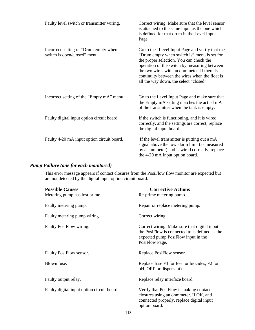| Faulty level switch or transmitter wiring.                            | Correct wiring. Make sure that the level sensor<br>is attached to the same input as the one which<br>is defined for that drum in the Level Input<br>Page.                                                                                                                                                                            |
|-----------------------------------------------------------------------|--------------------------------------------------------------------------------------------------------------------------------------------------------------------------------------------------------------------------------------------------------------------------------------------------------------------------------------|
| Incorrect setting of "Drum empty when<br>switch is open/closed" menu. | Go to the "Level Input Page and verify that the<br>"Drum empty when switch is" menu is set for<br>the proper selection. You can check the<br>operation of the switch by measuring between<br>the two wires with an ohmmeter. If there is<br>continuity between the wires when the float is<br>all the way down, the select "closed". |
| Incorrect setting of the "Empty mA" menu.                             | Go to the Level Input Page and make sure that<br>the Empty mA setting matches the actual mA<br>of the transmitter when the tank is empty.                                                                                                                                                                                            |
| Faulty digital input option circuit board.                            | If the switch is functioning, and it is wired<br>correctly, and the settings are correct, replace<br>the digital input board.                                                                                                                                                                                                        |
| Faulty 4-20 mA input option circuit board.                            | If the level transmitter is putting out a mA<br>signal above the low alarm limit (as measured<br>by an ammeter) and is wired correctly, replace<br>the 4-20 mA input option board.                                                                                                                                                   |

## *Pump Failure (one for each monitored)*

This error message appears if contact closures from the PosiFlow flow monitor are expected but are not detected by the digital input option circuit board.

| <b>Possible Causes</b>                     | <b>Corrective Actions</b>                                                                                                                               |
|--------------------------------------------|---------------------------------------------------------------------------------------------------------------------------------------------------------|
| Metering pump has lost prime.              | Re-prime metering pump.                                                                                                                                 |
| Faulty metering pump.                      | Repair or replace metering pump.                                                                                                                        |
| Faulty metering pump wiring.               | Correct wiring.                                                                                                                                         |
| Faulty PosiFlow wiring.                    | Correct wiring. Make sure that digital input<br>the PosiFlow is connected to is defined as the<br>expected pump PosiFlow input in the<br>PosiFlow Page. |
| Faulty PosiFlow sensor.                    | Replace PosiFlow sensor.                                                                                                                                |
| Blown fuse.                                | Replace fuse F3 for feed or biocides, F2 for<br>pH, ORP or dispersant)                                                                                  |
| Faulty output relay.                       | Replace relay interface board.                                                                                                                          |
| Faulty digital input option circuit board. | Verify that PosiFlow is making contact<br>closures using an ohmmeter. If OK, and<br>connected properly, replace digital input<br>option board.          |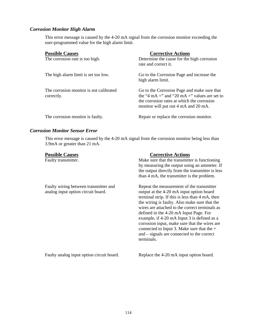## *Corrosion Monitor High Alarm*

This error message is caused by the 4-20 mA signal from the corrosion monitor exceeding the user-programmed value for the high alarm limit.

| <b>Possible Causes</b><br>The corrosion rate is too high. | <b>Corrective Actions</b><br>Determine the cause for the high corrosion<br>rate and correct it.                                                                                   |
|-----------------------------------------------------------|-----------------------------------------------------------------------------------------------------------------------------------------------------------------------------------|
| The high alarm limit is set too low.                      | Go to the Corrosion Page and increase the<br>high alarm limit.                                                                                                                    |
| The corrosion monitor is not calibrated<br>correctly.     | Go to the Corrosion Page and make sure that<br>the "4 mA =" and "20 mA =" values are set to<br>the corrosion rates at which the corrosion<br>monitor will put out 4 mA and 20 mA. |
| The corrosion monitor is faulty.                          | Repair or replace the corrosion monitor.                                                                                                                                          |

### *Corrosion Monitor Sensor Error*

This error message is caused by the 4-20 mA signal from the corrosion monitor being less than 3.9mA or greater than 21 mA.

| <b>Possible Causes</b><br>Faulty transmitter.                               | <b>Corrective Actions</b><br>Make sure that the transmitter is functioning<br>by measuring the output using an ammeter. If<br>the output directly from the transmitter is less<br>than 4 mA, the transmitter is the problem.                                                                                                                                                                                                                                                                      |
|-----------------------------------------------------------------------------|---------------------------------------------------------------------------------------------------------------------------------------------------------------------------------------------------------------------------------------------------------------------------------------------------------------------------------------------------------------------------------------------------------------------------------------------------------------------------------------------------|
| Faulty wiring between transmitter and<br>analog input option circuit board. | Repeat the measurement of the transmitter<br>output at the 4-20 mA input option board<br>terminal strip. If this is less than 4 mA, then<br>the wiring is faulty. Also make sure that the<br>wires are attached to the correct terminals as<br>defined in the 4-20 mA Input Page. For<br>example, if 4-20 mA Input 3 is defined as a<br>corrosion input, make sure that the wires are<br>connected to Input 3. Make sure that the $+$<br>and – signals are connected to the correct<br>terminals. |
| Faulty analog input option circuit board.                                   | Replace the 4-20 mA input option board.                                                                                                                                                                                                                                                                                                                                                                                                                                                           |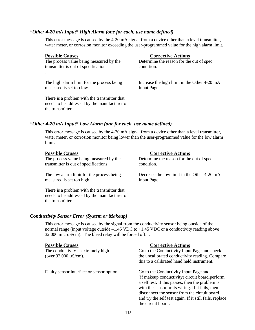### *"Other 4-20 mA Input" High Alarm (one for each, use name defined)*

This error message is caused by the 4-20 mA signal from a device other than a level transmitter, water meter, or corrosion monitor exceeding the user-programmed value for the high alarm limit.

## **Possible Causes** Corrective Actions

.

The process value being measured by the Determine the reason for the out of spec transmitter is out of specifications condition.

measured is set too low. Input Page.

The high alarm limit for the process being Increase the high limit in the Other 4-20 mA

There is a problem with the transmitter that needs to be addressed by the manufacturer of the transmitter.

### *"Other 4-20 mA Input" Low Alarm (one for each, use name defined)*

This error message is caused by the 4-20 mA signal from a device other than a level transmitter, water meter, or corrosion monitor being lower than the user-programmed value for the low alarm limit.

| <b>Possible Causes</b>                                                                                           | <b>Corrective Actions</b>                   |
|------------------------------------------------------------------------------------------------------------------|---------------------------------------------|
| The process value being measured by the                                                                          | Determine the reason for the out of spec    |
| transmitter is out of specifications.                                                                            | condition.                                  |
| The low alarm limit for the process being                                                                        | Decrease the low limit in the Other 4-20 mA |
| measured is set too high.                                                                                        | Input Page.                                 |
| There is a problem with the transmitter that<br>needs to be addressed by the manufacturer of<br>the transmitter. |                                             |

### *Conductivity Sensor Error (System or Makeup)*

This error message is caused by the signal from the conductivity sensor being outside of the normal range (input voltage outside –1.45 VDC to +1.45 VDC or a conductivity reading above 32,000 microS/cm). The bleed relay will be forced off. .

Faulty sensor interface or sensor option Go to the Conductivity Input Page and

### **Possible Causes Corrective Actions**

The conductivity is extremely high  $\overline{a}$  Go to the Conductivity Input Page and check (over 32,000 µS/cm). the uncalibrated conductivity reading. Compare this to a calibrated hand held instrument.

> (if makeup conductivity) circuit board.perform a self test. If this passes, then the problem is with the sensor or its wiring. If it fails, then disconnect the sensor from the circuit board and try the self test again. If it still fails, replace the circuit board.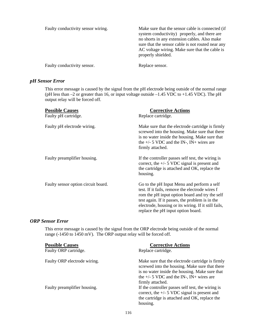| Faulty conductivity sensor wiring. | Make sure that the sensor cable is connected (if<br>system conductivity) properly, and there are<br>no shorts in any extension cables. Also make<br>sure that the sensor cable is not routed near any<br>AC voltage wiring. Make sure that the cable is<br>properly shielded. |
|------------------------------------|-------------------------------------------------------------------------------------------------------------------------------------------------------------------------------------------------------------------------------------------------------------------------------|
| Faulty conductivity sensor.        | Replace sensor.                                                                                                                                                                                                                                                               |

## *pH Sensor Error*

This error message is caused by the signal from the pH electrode being outside of the normal range (pH less than  $-2$  or greater than 16, or input voltage outside  $-1.45$  VDC to  $+1.45$  VDC). The pH output relay will be forced off.

| <b>Possible Causes</b><br>Faulty pH cartridge. | <b>Corrective Actions</b><br>Replace cartridge.                                                                                                                                                                                                                                                  |
|------------------------------------------------|--------------------------------------------------------------------------------------------------------------------------------------------------------------------------------------------------------------------------------------------------------------------------------------------------|
| Faulty pH electrode wiring.                    | Make sure that the electrode cartridge is firmly<br>screwed into the housing. Make sure that there<br>is no water inside the housing. Make sure that<br>the $+/-$ 5 VDC and the IN-, IN+ wires are<br>firmly attached.                                                                           |
| Faulty preamplifier housing.                   | If the controller passes self test, the wiring is<br>correct, the $+/- 5$ VDC signal is present and<br>the cartridge is attached and OK, replace the<br>housing.                                                                                                                                 |
| Faulty sensor option circuit board.            | Go to the pH Input Menu and perform a self<br>test. If it fails, remove the electrode wires f<br>rom the pH input option board and try the self<br>test again. If it passes, the problem is in the<br>electrode, housing or its wiring. If it still fails,<br>replace the pH input option board. |

### *ORP Sensor Error*

This error message is caused by the signal from the ORP electrode being outside of the normal range (-1450 to 1450 mV). The ORP output relay will be forced off.

| <b>Possible Causes</b>       | <b>Corrective Actions</b>                                                                                                                                                                                              |
|------------------------------|------------------------------------------------------------------------------------------------------------------------------------------------------------------------------------------------------------------------|
| Faulty ORP cartridge.        | Replace cartridge.                                                                                                                                                                                                     |
| Faulty ORP electrode wiring. | Make sure that the electrode cartridge is firmly<br>screwed into the housing. Make sure that there<br>is no water inside the housing. Make sure that<br>the $+/-$ 5 VDC and the IN-, IN+ wires are<br>firmly attached. |
| Faulty preamplifier housing. | If the controller passes self test, the wiring is<br>correct, the $+/-$ 5 VDC signal is present and<br>the cartridge is attached and OK, replace the<br>housing.                                                       |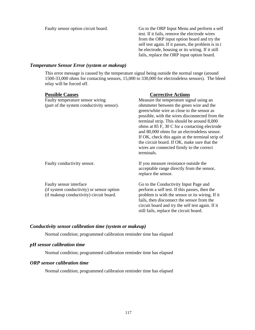Faulty sensor option circuit board. Go to the ORP Input Menu and perform a self test. If it fails, remove the electrode wires from the ORP input option board and try the self test again. If it passes, the problem is in t he electrode, housing or its wiring. If it still fails, replace the ORP input option board.

### *Temperature Sensor Error (system or makeup)*

This error message is caused by the temperature signal being outside the normal range (around 1500-33,000 ohms for contacting sensors, 15,000 to 330,000 for electrodeless sensors). The bleed relay will be forced off.

| <b>Possible Causes</b>                                                                                          | <b>Corrective Actions</b>                                                                                                                                                                                                                                                                                                                                                                                                                              |
|-----------------------------------------------------------------------------------------------------------------|--------------------------------------------------------------------------------------------------------------------------------------------------------------------------------------------------------------------------------------------------------------------------------------------------------------------------------------------------------------------------------------------------------------------------------------------------------|
| Faulty temperature sensor wiring                                                                                | Measure the temperature signal using an                                                                                                                                                                                                                                                                                                                                                                                                                |
| (part of the system conductivity sensor).                                                                       | ohmmeter between the green wire and the<br>green/white wire as close to the sensor as<br>possible, with the wires disconnected from the<br>terminal strip. This should be around 8,000<br>ohms at 85 F, 30 C for a contacting electrode<br>and 80,000 ohms for an electrodeless sensor.<br>If OK, check this again at the terminal strip of<br>the circuit board. If OK, make sure that the<br>wires are connected firmly to the correct<br>terminals. |
| Faulty conductivity sensor.                                                                                     | If you measure resistance outside the<br>acceptable range directly from the sensor,<br>replace the sensor.                                                                                                                                                                                                                                                                                                                                             |
| Faulty sensor interface<br>(if system conductivity) or sensor option<br>(if makeup conductivity) circuit board. | Go to the Conductivity Input Page and<br>perform a self test. If this passes, then the<br>problem is with the sensor or its wiring. If it<br>fails, then disconnect the sensor from the<br>circuit board and try the self test again. If it<br>still fails, replace the circuit board.                                                                                                                                                                 |

### *Conductivity sensor calibration time (system or makeup)*

Normal condition; programmed calibration reminder time has elapsed

### *pH sensor calibration time*

Normal condition; programmed calibration reminder time has elapsed

### *ORP sensor calibration time*

Normal condition; programmed calibration reminder time has elapsed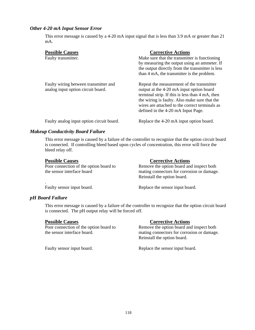### *Other 4-20 mA Input Sensor Error*

This error message is caused by a 4-20 mA input signal that is less than 3.9 mA or greater than 21 mA.

| <b>Possible Causes</b><br>Faulty transmitter.                               | <b>Corrective Actions</b><br>Make sure that the transmitter is functioning.<br>by measuring the output using an ammeter. If<br>the output directly from the transmitter is less<br>than 4 mA, the transmitter is the problem.                                                     |
|-----------------------------------------------------------------------------|-----------------------------------------------------------------------------------------------------------------------------------------------------------------------------------------------------------------------------------------------------------------------------------|
| Faulty wiring between transmitter and<br>analog input option circuit board. | Repeat the measurement of the transmitter<br>output at the 4-20 mA input option board<br>terminal strip. If this is less than 4 mA, then<br>the wiring is faulty. Also make sure that the<br>wires are attached to the correct terminals as<br>defined in the 4-20 mA Input Page. |
| Faulty analog input option circuit board.                                   | Replace the 4-20 mA input option board.                                                                                                                                                                                                                                           |

### *Makeup Conductivity Board Failure*

This error message is caused by a failure of the controller to recognize that the option circuit board is connected. If controlling bleed based upon cycles of concentration, this error will force the bleed relay off.

| <b>Possible Causes</b>                 | <b>Corrective Actions</b>                  |
|----------------------------------------|--------------------------------------------|
| Poor connection of the option board to | Remove the option board and inspect both   |
| the sensor interface board             | mating connectors for corrosion or damage. |
|                                        | Reinstall the option board.                |
|                                        |                                            |

Faulty sensor input board. Replace the sensor input board.

### *pH Board Failure*

This error message is caused by a failure of the controller to recognize that the option circuit board is connected. The pH output relay will be forced off.

**Possible Causes**<br>Poor connection of the option board to<br>Remove the option board and

### Remove the option board and inspect both

the sensor interface board. mating connectors for corrosion or damage. Reinstall the option board.

Faulty sensor input board. Replace the sensor input board.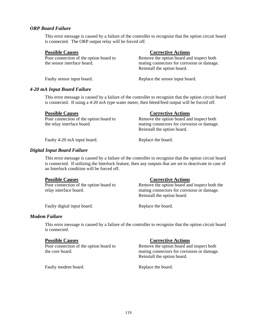### *ORP Board Failure*

This error message is caused by a failure of the controller to recognize that the option circuit board is connected. The ORP output relay will be forced off.

**Possible Causes**<br>Poor connection of the option board to Remove the option board and<br>Remove the option board and

Remove the option board and inspect both the sensor interface board. mating connectors for corrosion or damage. Reinstall the option board.

Faulty sensor input board. Replace the sensor input board.

### *4-20 mA Input Board Failure*

This error message is caused by a failure of the controller to recognize that the option circuit board is connected. If using a 4-20 mA type water meter, then bleed/feed output will be forced off.

| <b>Possible Causes</b>                 | <b>Corrective Actions</b>                  |
|----------------------------------------|--------------------------------------------|
| Poor connection of the option board to | Remove the option board and inspect both   |
| the relay interface board.             | mating connectors for corrosion or damage. |
|                                        | Reinstall the option board.                |

Faulty 4-20 mA input board. Replace the board.

### *Digital Input Board Failure*

This error message is caused by a failure of the controller to recognize that the option circuit board is connected. If utilizing the Interlock feature, then any outputs that are set to deactivate in case of an Interlock condition will be forced off.

**Possible Causes** Corrective Actions

Poor connection of the option board to Remove the option board and inspect both the relay interface board. mating connectors for corrosion or damage. Reinstall the option board.

Faulty digital input board. Replace the board.

### *Modem Failure*

This error message is caused by a failure of the controller to recognize that the option circuit board is connected.

### **Possible Causes** Corrective Actions

Poor connection of the option board to Remove the option board and inspect both the core board. mating connectors for corrosion or damage. Reinstall the option board.

Faulty modem board. Replace the board.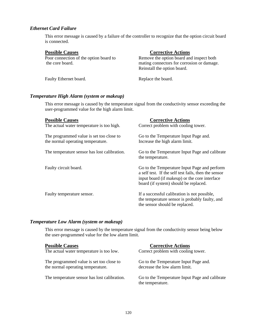### *Ethernet Card Failure*

This error message is caused by a failure of the controller to recognize that the option circuit board is connected.

**Possible Causes**<br>Poor connection of the option board to<br>Remove the option board and

Remove the option board and inspect both the core board. mating connectors for corrosion or damage. Reinstall the option board.

Faulty Ethernet board. Replace the board.

### *Temperature High Alarm (system or makeup)*

This error message is caused by the temperature signal from the conductivity sensor exceeding the user-programmed value for the high alarm limit.

| <b>Possible Causes</b>                                                        | <b>Corrective Actions</b>                                                                                                                                                                      |
|-------------------------------------------------------------------------------|------------------------------------------------------------------------------------------------------------------------------------------------------------------------------------------------|
| The actual water temperature is too high.                                     | Correct problem with cooling tower.                                                                                                                                                            |
| The programmed value is set too close to<br>the normal operating temperature. | Go to the Temperature Input Page and.<br>Increase the high alarm limit.                                                                                                                        |
| The temperature sensor has lost calibration.                                  | Go to the Temperature Input Page and calibrate<br>the temperature.                                                                                                                             |
| Faulty circuit board.                                                         | Go to the Temperature Input Page and perform<br>a self test. If the self test fails, then the sensor<br>input board (if makeup) or the core interface<br>board (if system) should be replaced. |
| Faulty temperature sensor.                                                    | If a successful calibration is not possible,<br>the temperature sensor is probably faulty, and<br>the sensor should be replaced.                                                               |

### *Temperature Low Alarm (system or makeup)*

This error message is caused by the temperature signal from the conductivity sensor being below the user-programmed value for the low alarm limit.

| <b>Possible Causes</b>                       | <b>Corrective Actions</b>                                          |
|----------------------------------------------|--------------------------------------------------------------------|
| The actual water temperature is too low.     | Correct problem with cooling tower.                                |
| The programmed value is set too close to     | Go to the Temperature Input Page and.                              |
| the normal operating temperature.            | decrease the low alarm limit.                                      |
| The temperature sensor has lost calibration. | Go to the Temperature Input Page and calibrate<br>the temperature. |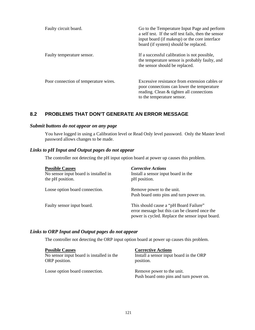| Faulty circuit board.                 | Go to the Temperature Input Page and perform<br>a self test. If the self test fails, then the sensor<br>input board (if makeup) or the core interface<br>board (if system) should be replaced. |
|---------------------------------------|------------------------------------------------------------------------------------------------------------------------------------------------------------------------------------------------|
| Faulty temperature sensor.            | If a successful calibration is not possible,<br>the temperature sensor is probably faulty, and<br>the sensor should be replaced.                                                               |
| Poor connection of temperature wires. | Excessive resistance from extension cables or<br>poor connections can lower the temperature<br>reading. Clean & tighten all connections<br>to the temperature sensor.                          |

## **8.2 PROBLEMS THAT DON'T GENERATE AN ERROR MESSAGE**

### *Submit buttons do not appear on any page*

You have logged in using a Calibration level or Read Only level password. Only the Master level password allows changes to be made.

### *Links to pH Input and Output pages do not appear*

The controller not detecting the pH input option board at power up causes this problem.

| <b>Possible Causes</b><br>No sensor input board is installed in<br>the pH position. | <b>Corrective Actions</b><br>Install a sensor input board in the<br>pH position.                                                             |
|-------------------------------------------------------------------------------------|----------------------------------------------------------------------------------------------------------------------------------------------|
| Loose option board connection.                                                      | Remove power to the unit.<br>Push board onto pins and turn power on.                                                                         |
| Faulty sensor input board.                                                          | This should cause a "pH Board Failure"<br>error message but this can be cleared once the<br>power is cycled. Replace the sensor input board. |

### *Links to ORP Input and Output pages do not appear*

The controller not detecting the ORP input option board at power up causes this problem.

| <b>Possible Causes</b>                    | <b>Corrective Actions</b>                                            |
|-------------------------------------------|----------------------------------------------------------------------|
| No sensor input board is installed in the | Install a sensor input board in the ORP                              |
| ORP position.                             | position.                                                            |
| Loose option board connection.            | Remove power to the unit.<br>Push board onto pins and turn power on. |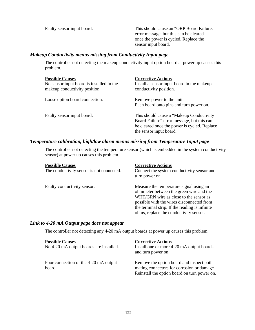Faulty sensor input board. This should cause an "ORP Board Failure. error message, but this can be cleared once the power is cycled. Replace the sensor input board.

### *Makeup Conductivity menus missing from Conductivity Input page*

The controller not detecting the makeup conductivity input option board at power up causes this problem.

| <b>Possible Causes</b><br>No sensor input board is installed in the<br>makeup conductivity position. | <b>Corrective Actions</b><br>Install a sensor input board in the makeup<br>conductivity position.                                                                  |
|------------------------------------------------------------------------------------------------------|--------------------------------------------------------------------------------------------------------------------------------------------------------------------|
| Loose option board connection.                                                                       | Remove power to the unit.<br>Push board onto pins and turn power on.                                                                                               |
| Faulty sensor input board.                                                                           | This should cause a "Makeup Conductivity"<br>Board Failure" error message, but this can<br>be cleared once the power is cycled. Replace<br>the sensor input board. |

### *Temperature calibration, high/low alarm menus missing from Temperature Input page*

The controller not detecting the temperature sensor (which is embedded in the system conductivity sensor) at power up causes this problem.

| <b>Possible Causes</b><br>The conductivity sensor is not connected. | <b>Corrective Actions</b><br>Connect the system conductivity sensor and<br>turn power on.                                                                                                                                                                             |
|---------------------------------------------------------------------|-----------------------------------------------------------------------------------------------------------------------------------------------------------------------------------------------------------------------------------------------------------------------|
| Faulty conductivity sensor.                                         | Measure the temperature signal using an<br>ohmmeter between the green wire and the<br>WHT/GRN wire as close to the sensor as<br>possible with the wires disconnected from<br>the terminal strip. If the reading is infinite<br>ohms, replace the conductivity sensor. |

### *Link to 4-20 mA Output page does not appear*

The controller not detecting any 4-20 mA output boards at power up causes this problem.

| <b>Possible Causes</b><br>No 4-20 mA output boards are installed. | <b>Corrective Actions</b><br>Install one or more 4-20 mA output boards<br>and turn power on.                                          |
|-------------------------------------------------------------------|---------------------------------------------------------------------------------------------------------------------------------------|
| Poor connection of the 4-20 mA output<br>board.                   | Remove the option board and inspect both<br>mating connectors for corrosion or damage<br>Reinstall the option board on turn power on. |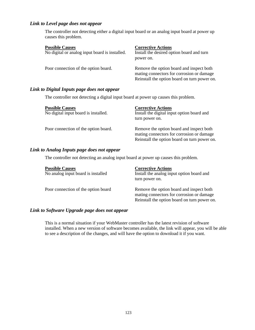## *Link to Level page does not appear*

The controller not detecting either a digital input board or an analog input board at power up causes this problem.

| <b>Possible Causes</b>                         | <b>Corrective Actions</b>                                                                                                             |
|------------------------------------------------|---------------------------------------------------------------------------------------------------------------------------------------|
| No digital or analog input board is installed. | Install the desired option board and turn<br>power on.                                                                                |
| Poor connection of the option board.           | Remove the option board and inspect both<br>mating connectors for corrosion or damage<br>Reinstall the option board on turn power on. |

## *Link to Digital Inputs page does not appear*

The controller not detecting a digital input board at power up causes this problem.

| <b>Possible Causes</b>               | <b>Corrective Actions</b>                                                             |
|--------------------------------------|---------------------------------------------------------------------------------------|
| No digital input board is installed. | Install the digital input option board and                                            |
|                                      | turn power on.                                                                        |
| Poor connection of the option board. | Remove the option board and inspect both<br>mating connectors for corrosion or damage |
|                                      | Reinstall the option board on turn power on.                                          |

### *Link to Analog Inputs page does not appear*

The controller not detecting an analog input board at power up causes this problem.

| <b>Possible Causes</b>              | <b>Corrective Actions</b>                    |
|-------------------------------------|----------------------------------------------|
| No analog input board is installed  | Install the analog input option board and    |
|                                     | turn power on.                               |
| Poor connection of the option board | Remove the option board and inspect both     |
|                                     | mating connectors for corrosion or damage    |
|                                     | Reinstall the option board on turn power on. |

### *Link to Software Upgrade page does not appear*

This is a normal situation if your WebMaster controller has the latest revision of software installed. When a new version of software becomes available, the link will appear, you will be able to see a description of the changes, and will have the option to download it if you want.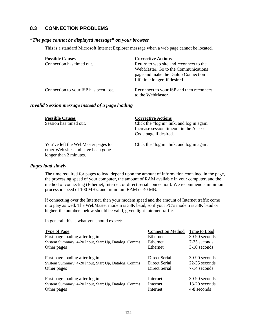## **8.3 CONNECTION PROBLEMS**

### *"The page cannot be displayed message" on your browser*

This is a standard Microsoft Internet Explorer message when a web page cannot be located.

| <b>Possible Causes</b>                | <b>Corrective Actions</b>                                                                                                                             |
|---------------------------------------|-------------------------------------------------------------------------------------------------------------------------------------------------------|
| Connection has timed out.             | Return to web site and reconnect to the<br>WebMaster. Go to the Communications<br>page and make the Dialup Connection<br>Lifetime longer, if desired. |
| Connection to your ISP has been lost. | Reconnect to your ISP and then reconnect<br>to the WebMaster.                                                                                         |

### *Invalid Session message instead of a page loading*

| <b>Possible Causes</b><br>Session has timed out.                                                   | <b>Corrective Actions</b><br>Click the "log in" link, and log in again.<br>Increase session timeout in the Access<br>Code page if desired. |
|----------------------------------------------------------------------------------------------------|--------------------------------------------------------------------------------------------------------------------------------------------|
| You've left the WebMaster pages to<br>other Web sites and have been gone<br>longer than 2 minutes. | Click the "log in" link, and log in again.                                                                                                 |

### *Pages load slowly*

The time required for pages to load depend upon the amount of information contained in the page, the processing speed of your computer, the amount of RAM available in your computer, and the method of connecting (Ethernet, Internet, or direct serial connection). We recommend a minimum processor speed of 100 MHz, and minimum RAM of 40 MB.

If connecting over the Internet, then your modem speed and the amount of Internet traffic come into play as well. The WebMaster modem is 33K baud, so if your PC's modem is 33K baud or higher, the numbers below should be valid, given light Internet traffic.

In general, this is what you should expect:

| Type of Page                                         | <b>Connection Method</b> | Time to Load   |
|------------------------------------------------------|--------------------------|----------------|
| First page loading after log in                      | Ethernet                 | 30-90 seconds  |
| System Summary, 4-20 Input, Start Up, Datalog, Comms | Ethernet                 | 7-25 seconds   |
| Other pages                                          | Ethernet                 | $3-10$ seconds |
|                                                      |                          |                |
| First page loading after log in                      | Direct Serial            | 30-90 seconds  |
| System Summary, 4-20 Input, Start Up, Datalog, Comms | Direct Serial            | 22-35 seconds  |
| Other pages                                          | Direct Serial            | 7-14 seconds   |
|                                                      |                          |                |
| First page loading after log in                      | Internet                 | 30-90 seconds  |
| System Summary, 4-20 Input, Start Up, Datalog, Comms | Internet                 | 13-20 seconds  |
| Other pages                                          | Internet                 | 4-8 seconds    |